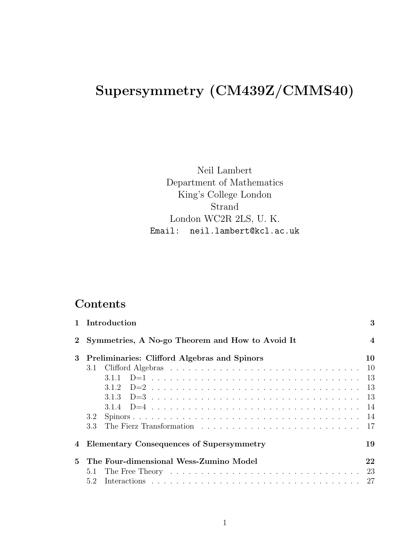# Supersymmetry (CM439Z/CMMS40)

Neil Lambert Department of Mathematics King's College London Strand London WC2R 2LS, U. K. Email: neil.lambert@kcl.ac.uk

## **Contents**

|                | 1 Introduction                                  | 3              |
|----------------|-------------------------------------------------|----------------|
| $\overline{2}$ | Symmetries, A No-go Theorem and How to Avoid It | $\overline{4}$ |
| $\bf{3}$       | Preliminaries: Clifford Algebras and Spinors    | 10             |
|                |                                                 | <sup>10</sup>  |
|                |                                                 |                |
|                |                                                 |                |
|                |                                                 | - 13           |
|                |                                                 |                |
|                | 3.2                                             |                |
|                | 3.3                                             |                |
| 4              | <b>Elementary Consequences of Supersymmetry</b> | 19             |
| 5.             | The Four-dimensional Wess-Zumino Model          | 22             |
|                | 5.1                                             | 23             |
|                | 5.2                                             | 27             |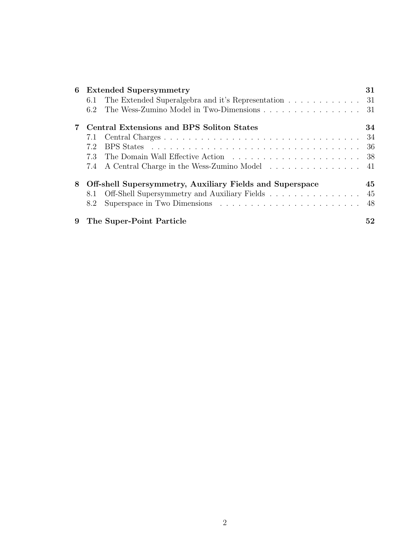| 6 |     | <b>Extended Supersymmetry</b>                            | 31  |
|---|-----|----------------------------------------------------------|-----|
|   | 6.1 | The Extended Superalgebra and it's Representation        | -31 |
|   | 6.2 | The Wess-Zumino Model in Two-Dimensions                  | -31 |
|   |     | Central Extensions and BPS Soliton States                | 34  |
|   | 7.1 |                                                          | -34 |
|   | 7.2 |                                                          | 36  |
|   | 7.3 |                                                          | 38  |
|   | 7.4 | A Central Charge in the Wess-Zumino Model                | 41  |
| 8 |     | Off-shell Supersymmetry, Auxiliary Fields and Superspace | 45  |
|   | 8.1 | Off-Shell Supersymmetry and Auxiliary Fields             | 45  |
|   | 8.2 |                                                          | 48  |
| 9 |     | The Super-Point Particle                                 | 52  |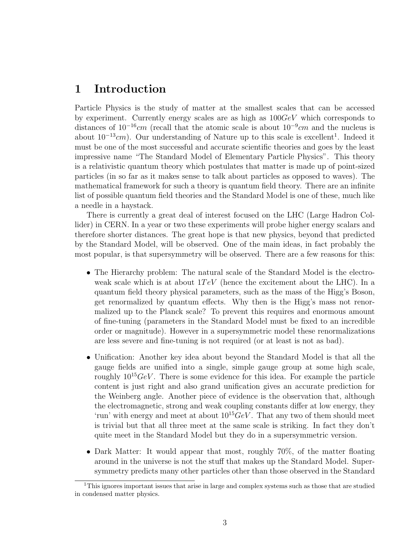### 1 Introduction

Particle Physics is the study of matter at the smallest scales that can be accessed by experiment. Currently energy scales are as high as  $100GeV$  which corresponds to distances of  $10^{-16}$ cm (recall that the atomic scale is about  $10^{-9}$ cm and the nucleus is about  $10^{-13}$ cm). Our understanding of Nature up to this scale is excellent<sup>1</sup>. Indeed it must be one of the most successful and accurate scientific theories and goes by the least impressive name "The Standard Model of Elementary Particle Physics". This theory is a relativistic quantum theory which postulates that matter is made up of point-sized particles (in so far as it makes sense to talk about particles as opposed to waves). The mathematical framework for such a theory is quantum field theory. There are an infinite list of possible quantum field theories and the Standard Model is one of these, much like a needle in a haystack.

There is currently a great deal of interest focused on the LHC (Large Hadron Collider) in CERN. In a year or two these experiments will probe higher energy scalars and therefore shorter distances. The great hope is that new physics, beyond that predicted by the Standard Model, will be observed. One of the main ideas, in fact probably the most popular, is that supersymmetry will be observed. There are a few reasons for this:

- The Hierarchy problem: The natural scale of the Standard Model is the electroweak scale which is at about  $1TeV$  (hence the excitement about the LHC). In a quantum field theory physical parameters, such as the mass of the Higg's Boson, get renormalized by quantum effects. Why then is the Higg's mass not renormalized up to the Planck scale? To prevent this requires and enormous amount of fine-tuning (parameters in the Standard Model must be fixed to an incredible order or magnitude). However in a supersymmetric model these renormalizations are less severe and fine-tuning is not required (or at least is not as bad).
- Unification: Another key idea about beyond the Standard Model is that all the gauge fields are unified into a single, simple gauge group at some high scale, roughly  $10^{15}GeV$ . There is some evidence for this idea. For example the particle content is just right and also grand unification gives an accurate prediction for the Weinberg angle. Another piece of evidence is the observation that, although the electromagnetic, strong and weak coupling constants differ at low energy, they 'run' with energy and meet at about  $10^{15}GeV$ . That any two of them should meet is trivial but that all three meet at the same scale is striking. In fact they don't quite meet in the Standard Model but they do in a supersymmetric version.
- Dark Matter: It would appear that most, roughly 70%, of the matter floating around in the universe is not the stuff that makes up the Standard Model. Supersymmetry predicts many other particles other than those observed in the Standard

<sup>&</sup>lt;sup>1</sup>This ignores important issues that arise in large and complex systems such as those that are studied in condensed matter physics.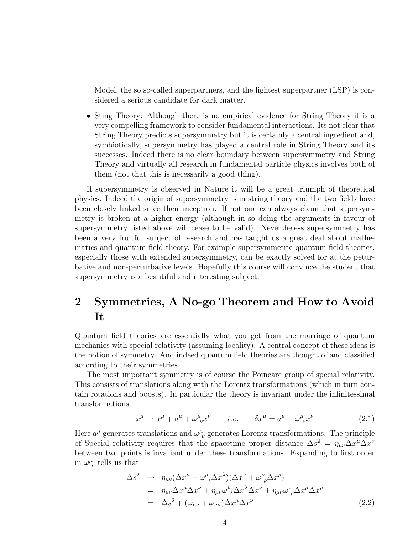Model, the so so-called superpartners, and the lightest superpartner (LSP) is considered a serious candidate for dark matter.

• Sting Theory: Although there is no empirical evidence for String Theory it is a very compelling framework to consider fundamental interactions. Its not clear that String Theory predicts supersymmetry but it is certainly a central ingredient and, symbiotically, supersymmetry has played a central role in String Theory and its successes. Indeed there is no clear boundary between supersymmetry and String Theory and virtually all research in fundamental particle physics involves both of them (not that this is necessarily a good thing).

If supersymmetry is observed in Nature it will be a great triumph of theoretical physics. Indeed the origin of supersymmetry is in string theory and the two fields have been closely linked since their inception. If not one can always claim that supersymmetry is broken at a higher energy (although in so doing the arguments in favour of supersymmetry listed above will cease to be valid). Nevertheless supersymmetry has been a very fruitful subject of research and has taught us a great deal about mathematics and quantum field theory. For example supersymmetric quantum field theories, especially those with extended supersymmetry, can be exactly solved for at the peturbative and non-perturbative levels. Hopefully this course will convince the student that supersymmetry is a beautiful and interesting subject.

## 2 Symmetries, A No-go Theorem and How to Avoid It

Quantum field theories are essentially what you get from the marriage of quantum mechanics with special relativity (assuming locality). A central concept of these ideas is the notion of symmetry. And indeed quantum field theories are thought of and classified according to their symmetries.

The most important symmetry is of course the Poincare group of special relativity. This consists of translations along with the Lorentz transformations (which in turn contain rotations and boosts). In particular the theory is invariant under the infinitessimal transformations

$$
x^{\mu} \to x^{\mu} + a^{\mu} + \omega^{\mu}_{\ \nu} x^{\nu} \qquad i.e. \qquad \delta x^{\mu} = a^{\mu} + \omega^{\mu}_{\ \nu} x^{\nu} \tag{2.1}
$$

Here  $a^{\mu}$  generates translations and  $\omega^{\mu}_{\ \nu}$  generates Lorentz transformations. The principle of Special relativity requires that the spacetime proper distance  $\Delta s^2 = \eta_{\mu\nu} \Delta x^{\mu} \Delta x^{\nu}$ between two points is invariant under these transformations. Expanding to first order in  $\omega^{\mu}_{\ \nu}$  tells us that

$$
\Delta s^2 \rightarrow \eta_{\mu\nu} (\Delta x^{\mu} + \omega^{\mu}_{\ \lambda} \Delta x^{\lambda}) (\Delta x^{\nu} + \omega^{\nu}_{\ \rho} \Delta x^{\rho})
$$
  
\n
$$
= \eta_{\mu\nu} \Delta x^{\mu} \Delta x^{\nu} + \eta_{\mu\nu} \omega^{\mu}_{\ \lambda} \Delta x^{\lambda} \Delta x^{\nu} + \eta_{\mu\nu} \omega^{\nu}_{\ \rho} \Delta x^{\mu} \Delta x^{\rho}
$$
  
\n
$$
= \Delta s^2 + (\omega_{\mu\nu} + \omega_{\nu\mu}) \Delta x^{\mu} \Delta x^{\nu}
$$
\n(2.2)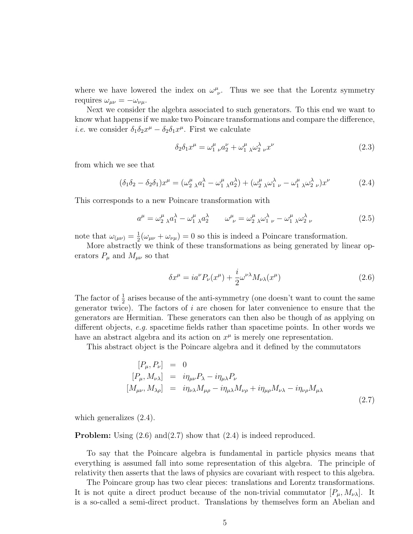where we have lowered the index on  $\omega^{\mu}_{\nu}$ . Thus we see that the Lorentz symmetry requires  $\omega_{\mu\nu} = -\omega_{\nu\mu}$ .

Next we consider the algebra associated to such generators. To this end we want to know what happens if we make two Poincare transformations and compare the difference, *i.e.* we consider  $\delta_1 \delta_2 x^{\mu} - \delta_2 \delta_1 x^{\mu}$ . First we calculate

$$
\delta_2 \delta_1 x^{\mu} = \omega_1^{\mu} \, _{\nu} a_2^{\nu} + \omega_1^{\mu} \, _{\lambda} \omega_2^{\lambda} \, _{\nu} x^{\nu} \tag{2.3}
$$

from which we see that

$$
(\delta_1 \delta_2 - \delta_2 \delta_1) x^{\mu} = (\omega_2^{\mu}{}_{\lambda} a_1^{\lambda} - \omega_1^{\mu}{}_{\lambda} a_2^{\lambda}) + (\omega_2^{\mu}{}_{\lambda} \omega_1^{\lambda}{}_{\nu} - \omega_1^{\mu}{}_{\lambda} \omega_2^{\lambda}{}_{\nu}) x^{\nu}
$$
(2.4)

This corresponds to a new Poincare transformation with

$$
a^{\mu} = \omega_2^{\mu}{}_{\lambda} a_1^{\lambda} - \omega_1^{\mu}{}_{\lambda} a_2^{\lambda} \qquad \omega_{\nu}^{\mu} = \omega_2^{\mu}{}_{\lambda} \omega_1^{\lambda}{}_{\nu} - \omega_1^{\mu}{}_{\lambda} \omega_2^{\lambda}{}_{\nu}
$$
 (2.5)

note that  $\omega_{(\mu\nu)} = \frac{1}{2}$  $\frac{1}{2}(\omega_{\mu\nu} + \omega_{\nu\mu}) = 0$  so this is indeed a Poincare transformation.

More abstractly we think of these transformations as being generated by linear operators  $P_{\mu}$  and  $M_{\mu\nu}$  so that

$$
\delta x^{\mu} = i a^{\nu} P_{\nu}(x^{\mu}) + \frac{i}{2} \omega^{\nu \lambda} M_{\nu \lambda}(x^{\mu}) \tag{2.6}
$$

The factor of  $\frac{1}{2}$  arises because of the anti-symmetry (one doesn't want to count the same generator twice). The factors of  $i$  are chosen for later convenience to ensure that the generators are Hermitian. These generators can then also be though of as applying on different objects, e.g. spacetime fields rather than spacetime points. In other words we have an abstract algebra and its action on  $x^{\mu}$  is merely one representation.

This abstract object is the Poincare algebra and it defined by the commutators

$$
[P_{\mu}, P_{\nu}] = 0
$$
  
\n
$$
[P_{\mu}, M_{\nu\lambda}] = i\eta_{\mu\nu} P_{\lambda} - i\eta_{\mu\lambda} P_{\nu}
$$
  
\n
$$
[M_{\mu\nu}, M_{\lambda\rho}] = i\eta_{\nu\lambda} M_{\mu\rho} - i\eta_{\mu\lambda} M_{\nu\rho} + i\eta_{\mu\rho} M_{\nu\lambda} - i\eta_{\nu\rho} M_{\mu\lambda}
$$
\n(2.7)

which generalizes (2.4).

**Problem:** Using  $(2.6)$  and  $(2.7)$  show that  $(2.4)$  is indeed reproduced.

To say that the Poincare algebra is fundamental in particle physics means that everything is assumed fall into some representation of this algebra. The principle of relativity then asserts that the laws of physics are covariant with respect to this algebra.

The Poincare group has two clear pieces: translations and Lorentz transformations. It is not quite a direct product because of the non-trivial commutator  $[P_\mu, M_{\nu\lambda}]$ . It is a so-called a semi-direct product. Translations by themselves form an Abelian and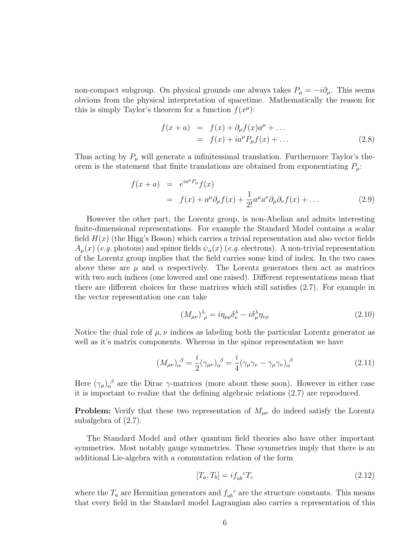non-compact subgroup. On physical grounds one always takes  $P_{\mu} = -i\partial_{\mu}$ . This seems obvious from the physical interpretation of spacetime. Mathematically the reason for this is simply Taylor's theorem for a function  $f(x^{\mu})$ :

$$
f(x+a) = f(x) + \partial_{\mu} f(x) a^{\mu} + \dots
$$
  
= 
$$
f(x) + i a^{\mu} P_{\mu} f(x) + \dots
$$
 (2.8)

Thus acting by  $P_{\mu}$  will generate a infinitessimal translation. Furthermore Taylor's theorem is the statement that finite translations are obtained from exponentiating  $P_{\mu}$ :

$$
f(x+a) = e^{ia^{\mu}P_{\mu}}f(x)
$$
  
=  $f(x) + a^{\mu}\partial_{\mu}f(x) + \frac{1}{2!}a^{\mu}a^{\nu}\partial_{\mu}\partial_{\nu}f(x) + ...$  (2.9)

However the other part, the Lorentz group, is non-Abelian and admits interesting finite-dimensional representations. For example the Standard Model contains a scalar field  $H(x)$  (the Higg's Boson) which carries a trivial representation and also vector fields  $A<sub>u</sub>(x)$  (e.g. photons) and spinor fields  $\psi_{\alpha}(x)$  (e.g. electrons). A non-trivial representation of the Lorentz group implies that the field carries some kind of index. In the two cases above these are  $\mu$  and  $\alpha$  respectively. The Lorentz generators then act as matrices with two such indices (one lowered and one raised). Different representations mean that there are different choices for these matrices which still satisfies (2.7). For example in the vector representation one can take

$$
(M_{\mu\nu})^{\lambda}_{\ \rho} = i\eta_{\mu\rho}\delta^{\lambda}_{\nu} - i\delta^{\lambda}_{\mu}\eta_{\nu\rho}
$$
\n(2.10)

Notice the dual role of  $\mu, \nu$  indices as labeling both the particular Lorentz generator as well as it's matrix components. Whereas in the spinor representation we have

$$
(M_{\mu\nu})_{\alpha}^{\ \beta} = \frac{i}{2} (\gamma_{\mu\nu})_{\alpha}^{\ \beta} = \frac{i}{4} (\gamma_{\mu}\gamma_{\nu} - \gamma_{\mu}\gamma_{\nu})_{\alpha}^{\ \beta} \tag{2.11}
$$

Here  $(\gamma_\mu)_\alpha^{\ \beta}$  are the Dirac  $\gamma$ -matrices (more about these soon). However in either case it is important to realize that the defining algebraic relations (2.7) are reproduced.

**Problem:** Verify that these two representation of  $M_{\mu\nu}$  do indeed satisfy the Lorentz subalgebra of (2.7).

The Standard Model and other quantum field theories also have other important symmetries. Most notably gauge symmetries. These symmetries imply that there is an additional Lie-algebra with a commutation relation of the form

$$
[T_a, T_b] = i f_{ab}^{\ \ c} T_c \tag{2.12}
$$

where the  $T_a$  are Hermitian generators and  $f_{ab}^c$  are the structure constants. This means that every field in the Standard model Lagrangian also carries a representation of this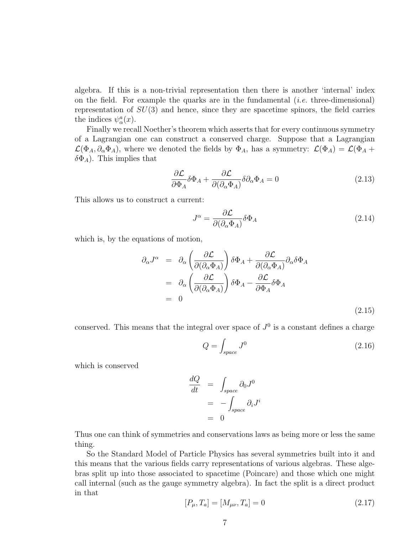algebra. If this is a non-trivial representation then there is another 'internal' index on the field. For example the quarks are in the fundamental  $(i.e.$  three-dimensional) representation of  $SU(3)$  and hence, since they are spacetime spinors, the field carries the indices  $\psi^a_\alpha(x)$ .

Finally we recall Noether's theorem which asserts that for every continuous symmetry of a Lagrangian one can construct a conserved charge. Suppose that a Lagrangian  $\mathcal{L}(\Phi_A, \partial_\alpha \Phi_A)$ , where we denoted the fields by  $\Phi_A$ , has a symmetry:  $\mathcal{L}(\Phi_A) = \mathcal{L}(\Phi_A +$  $\delta \Phi_A$ ). This implies that

$$
\frac{\partial \mathcal{L}}{\partial \Phi_A} \delta \Phi_A + \frac{\partial \mathcal{L}}{\partial (\partial_\alpha \Phi_A)} \delta \partial_\alpha \Phi_A = 0 \tag{2.13}
$$

This allows us to construct a current:

$$
J^{\alpha} = \frac{\partial \mathcal{L}}{\partial(\partial_{\alpha} \Phi_{A})} \delta \Phi_{A}
$$
 (2.14)

which is, by the equations of motion,

$$
\partial_{\alpha} J^{\alpha} = \partial_{\alpha} \left( \frac{\partial \mathcal{L}}{\partial (\partial_{\alpha} \Phi_{A})} \right) \delta \Phi_{A} + \frac{\partial \mathcal{L}}{\partial (\partial_{\alpha} \Phi_{A})} \partial_{\alpha} \delta \Phi_{A}
$$
  
\n
$$
= \partial_{\alpha} \left( \frac{\partial \mathcal{L}}{\partial (\partial_{\alpha} \Phi_{A})} \right) \delta \Phi_{A} - \frac{\partial \mathcal{L}}{\partial \Phi_{A}} \delta \Phi_{A}
$$
  
\n
$$
= 0
$$
 (2.15)

conserved. This means that the integral over space of  $J^0$  is a constant defines a charge

$$
Q = \int_{space} J^0 \tag{2.16}
$$

which is conserved

$$
\frac{dQ}{dt} = \int_{space} \partial_0 J^0
$$

$$
= -\int_{space} \partial_i J^i
$$

$$
= 0
$$

Thus one can think of symmetries and conservations laws as being more or less the same thing.

So the Standard Model of Particle Physics has several symmetries built into it and this means that the various fields carry representations of various algebras. These algebras split up into those associated to spacetime (Poincare) and those which one might call internal (such as the gauge symmetry algebra). In fact the split is a direct product in that

$$
[P_{\mu}, T_a] = [M_{\mu\nu}, T_a] = 0 \tag{2.17}
$$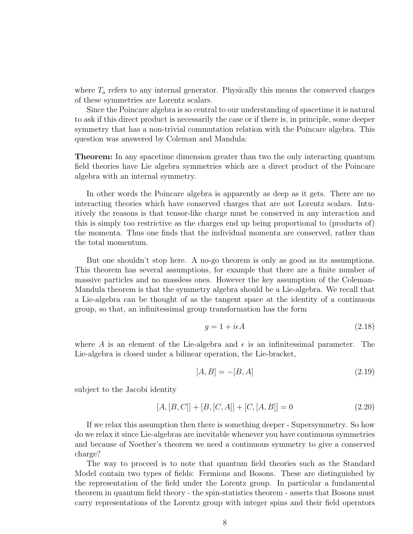where  $T_a$  refers to any internal generator. Physically this means the conserved charges of these symmetries are Lorentz scalars.

Since the Poincare algebra is so central to our understanding of spacetime it is natural to ask if this direct product is necessarily the case or if there is, in principle, some deeper symmetry that has a non-trivial commutation relation with the Poincare algebra. This question was answered by Coleman and Mandula:

Theorem: In any spacetime dimension greater than two the only interacting quantum field theories have Lie algebra symmetries which are a direct product of the Poincare algebra with an internal symmetry.

In other words the Poincare algebra is apparently as deep as it gets. There are no interacting theories which have conserved charges that are not Lorentz scalars. Intuitively the reasons is that tensor-like charge must be conserved in any interaction and this is simply too restrictive as the charges end up being proportional to (products of) the momenta. Thus one finds that the individual momenta are conserved, rather than the total momentum.

But one shouldn't stop here. A no-go theorem is only as good as its assumptions. This theorem has several assumptions, for example that there are a finite number of massive particles and no massless ones. However the key assumption of the Coleman-Mandula theorem is that the symmetry algebra should be a Lie-algebra. We recall that a Lie-algebra can be thought of as the tangent space at the identity of a continuous group, so that, an infinitessimal group transformation has the form

$$
g = 1 + i\epsilon A \tag{2.18}
$$

where A is an element of the Lie-algebra and  $\epsilon$  is an infinitessimal parameter. The Lie-algebra is closed under a bilinear operation, the Lie-bracket,

$$
[A, B] = -[B, A] \tag{2.19}
$$

subject to the Jacobi identity

$$
[A, [B, C]] + [B, [C, A]] + [C, [A, B]] = 0 \tag{2.20}
$$

If we relax this assumption then there is something deeper - Supersymmetry. So how do we relax it since Lie-algebras are inevitable whenever you have continuous symmetries and because of Noether's theorem we need a continuous symmetry to give a conserved charge?

The way to proceed is to note that quantum field theories such as the Standard Model contain two types of fields: Fermions and Bosons. These are distinguished by the representation of the field under the Lorentz group. In particular a fundamental theorem in quantum field theory - the spin-statistics theorem - asserts that Bosons must carry representations of the Lorentz group with integer spins and their field operators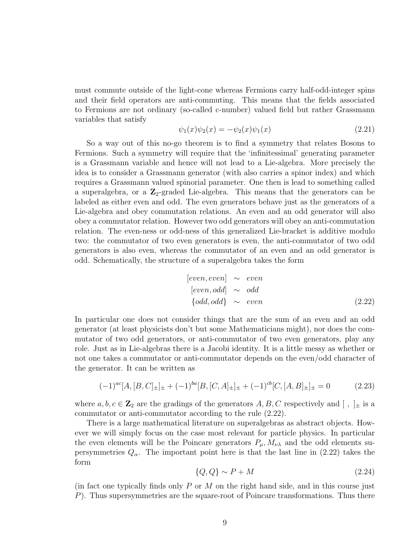must commute outside of the light-cone whereas Fermions carry half-odd-integer spins and their field operators are anti-commuting. This means that the fields associated to Fermions are not ordinary (so-called c-number) valued field but rather Grassmann variables that satisfy

$$
\psi_1(x)\psi_2(x) = -\psi_2(x)\psi_1(x) \tag{2.21}
$$

So a way out of this no-go theorem is to find a symmetry that relates Bosons to Fermions. Such a symmetry will require that the 'infinitessimal' generating parameter is a Grassmann variable and hence will not lead to a Lie-algebra. More precisely the idea is to consider a Grassmann generator (with also carries a spinor index) and which requires a Grassmann valued spinorial parameter. One then is lead to something called a superalgebra, or a  $\mathbb{Z}_2$ -graded Lie-algebra. This means that the generators can be labeled as either even and odd. The even generators behave just as the generators of a Lie-algebra and obey commutation relations. An even and an odd generator will also obey a commutator relation. However two odd generators will obey an anti-commutation relation. The even-ness or odd-ness of this generalized Lie-bracket is additive modulo two: the commutator of two even generators is even, the anti-commutator of two odd generators is also even, whereas the commutator of an even and an odd generator is odd. Schematically, the structure of a superalgebra takes the form

[even, even] 
$$
\sim
$$
 even  
\n[even, odd]  $\sim$  odd  
\n[odd, odd]  $\sim$  even  
\n(2.22)

In particular one does not consider things that are the sum of an even and an odd generator (at least physicists don't but some Mathematicians might), nor does the commutator of two odd generators, or anti-commutator of two even generators, play any role. Just as in Lie-algebras there is a Jacobi identity. It is a little messy as whether or not one takes a commutator or anti-commutator depends on the even/odd character of the generator. It can be written as

$$
(-1)^{ac}[A,[B,C]_{\pm}]_{\pm} + (-1)^{ba}[B,[C,A]_{\pm}]_{\pm} + (-1)^{cb}[C,[A,B]_{\pm}]_{\pm} = 0 \qquad (2.23)
$$

where  $a, b, c \in \mathbb{Z}_2$  are the gradings of the generators  $A, B, C$  respectively and  $[ , ]_{\pm}$  is a commutator or anti-commutator according to the rule (2.22).

There is a large mathematical literature on superalgebras as abstract objects. However we will simply focus on the case most relevant for particle physics. In particular the even elements will be the Poincare generators  $P_{\mu}$ ,  $M_{\nu\lambda}$  and the odd elements supersymmetries  $Q_{\alpha}$ . The important point here is that the last line in (2.22) takes the form

$$
\{Q, Q\} \sim P + M \tag{2.24}
$$

(in fact one typically finds only  $P$  or  $M$  on the right hand side, and in this course just P). Thus supersymmetries are the square-root of Poincare transformations. Thus there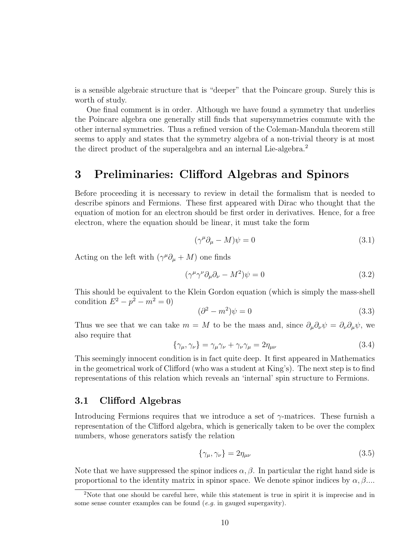is a sensible algebraic structure that is "deeper" that the Poincare group. Surely this is worth of study.

One final comment is in order. Although we have found a symmetry that underlies the Poincare algebra one generally still finds that supersymmetries commute with the other internal symmetries. Thus a refined version of the Coleman-Mandula theorem still seems to apply and states that the symmetry algebra of a non-trivial theory is at most the direct product of the superalgebra and an internal Lie-algebra.<sup>2</sup>

### 3 Preliminaries: Clifford Algebras and Spinors

Before proceeding it is necessary to review in detail the formalism that is needed to describe spinors and Fermions. These first appeared with Dirac who thought that the equation of motion for an electron should be first order in derivatives. Hence, for a free electron, where the equation should be linear, it must take the form

$$
(\gamma^{\mu}\partial_{\mu} - M)\psi = 0 \tag{3.1}
$$

Acting on the left with  $(\gamma^{\mu} \partial_{\mu} + M)$  one finds

$$
(\gamma^{\mu}\gamma^{\nu}\partial_{\mu}\partial_{\nu} - M^{2})\psi = 0
$$
\n(3.2)

This should be equivalent to the Klein Gordon equation (which is simply the mass-shell condition  $E^2 - p^2 - m^2 = 0$ 

$$
(\partial^2 - m^2)\psi = 0\tag{3.3}
$$

Thus we see that we can take  $m = M$  to be the mass and, since  $\partial_\mu \partial_\nu \psi = \partial_\nu \partial_\mu \psi$ , we also require that

$$
\{\gamma_{\mu}, \gamma_{\nu}\} = \gamma_{\mu}\gamma_{\nu} + \gamma_{\nu}\gamma_{\mu} = 2\eta_{\mu\nu} \tag{3.4}
$$

This seemingly innocent condition is in fact quite deep. It first appeared in Mathematics in the geometrical work of Clifford (who was a student at King's). The next step is to find representations of this relation which reveals an 'internal' spin structure to Fermions.

### 3.1 Clifford Algebras

Introducing Fermions requires that we introduce a set of  $\gamma$ -matrices. These furnish a representation of the Clifford algebra, which is generically taken to be over the complex numbers, whose generators satisfy the relation

$$
\{\gamma_{\mu}, \gamma_{\nu}\} = 2\eta_{\mu\nu} \tag{3.5}
$$

Note that we have suppressed the spinor indices  $\alpha, \beta$ . In particular the right hand side is proportional to the identity matrix in spinor space. We denote spinor indices by  $\alpha, \beta, \ldots$ 

<sup>&</sup>lt;sup>2</sup>Note that one should be careful here, while this statement is true in spirit it is imprecise and in some sense counter examples can be found  $(e.g.$  in gauged supergavity).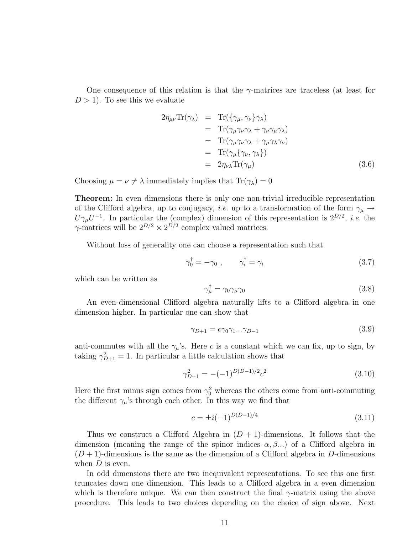One consequence of this relation is that the  $\gamma$ -matrices are traceless (at least for  $D > 1$ ). To see this we evaluate

$$
2\eta_{\mu\nu} \text{Tr}(\gamma_{\lambda}) = \text{Tr}(\{\gamma_{\mu}, \gamma_{\nu}\} \gamma_{\lambda})
$$
  
\n
$$
= \text{Tr}(\gamma_{\mu} \gamma_{\nu} \gamma_{\lambda} + \gamma_{\nu} \gamma_{\mu} \gamma_{\lambda})
$$
  
\n
$$
= \text{Tr}(\gamma_{\mu} \gamma_{\nu} \gamma_{\lambda} + \gamma_{\mu} \gamma_{\lambda} \gamma_{\nu})
$$
  
\n
$$
= \text{Tr}(\gamma_{\mu} \{\gamma_{\nu}, \gamma_{\lambda}\})
$$
  
\n
$$
= 2\eta_{\nu\lambda} \text{Tr}(\gamma_{\mu})
$$
 (3.6)

Choosing  $\mu = \nu \neq \lambda$  immediately implies that  $\text{Tr}(\gamma_{\lambda}) = 0$ 

Theorem: In even dimensions there is only one non-trivial irreducible representation of the Clifford algebra, up to conjugacy, *i.e.* up to a transformation of the form  $\gamma_{\mu} \rightarrow$  $U\gamma_\mu U^{-1}$ . In particular the (complex) dimension of this representation is  $2^{D/2}$ , *i.e.* the  $\gamma$ -matrices will be  $2^{D/2} \times 2^{D/2}$  complex valued matrices.

Without loss of generality one can choose a representation such that

$$
\gamma_0^{\dagger} = -\gamma_0 \;, \qquad \gamma_i^{\dagger} = \gamma_i \tag{3.7}
$$

which can be written as

$$
\gamma_{\mu}^{\dagger} = \gamma_0 \gamma_{\mu} \gamma_0 \tag{3.8}
$$

An even-dimensional Clifford algebra naturally lifts to a Clifford algebra in one dimension higher. In particular one can show that

$$
\gamma_{D+1} = c\gamma_0\gamma_1...\gamma_{D-1} \tag{3.9}
$$

anti-commutes with all the  $\gamma_{\mu}$ 's. Here c is a constant which we can fix, up to sign, by taking  $\gamma_{D+1}^2 = 1$ . In particular a little calculation shows that

$$
\gamma_{D+1}^2 = -(-1)^{D(D-1)/2} c^2 \tag{3.10}
$$

Here the first minus sign comes from  $\gamma_0^2$  whereas the others come from anti-commuting the different  $\gamma_{\mu}$ 's through each other. In this way we find that

$$
c = \pm i(-1)^{D(D-1)/4} \tag{3.11}
$$

Thus we construct a Clifford Algebra in  $(D + 1)$ -dimensions. It follows that the dimension (meaning the range of the spinor indices  $\alpha, \beta, \ldots$ ) of a Clifford algebra in  $(D+1)$ -dimensions is the same as the dimension of a Clifford algebra in D-dimensions when  $D$  is even.

In odd dimensions there are two inequivalent representations. To see this one first truncates down one dimension. This leads to a Clifford algebra in a even dimension which is therefore unique. We can then construct the final  $\gamma$ -matrix using the above procedure. This leads to two choices depending on the choice of sign above. Next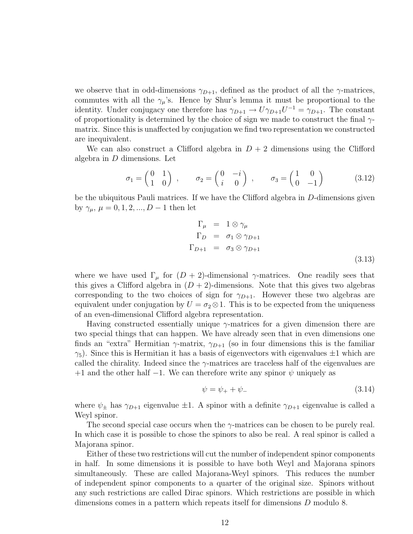we observe that in odd-dimensions  $\gamma_{D+1}$ , defined as the product of all the  $\gamma$ -matrices, commutes with all the  $\gamma_{\mu}$ 's. Hence by Shur's lemma it must be proportional to the identity. Under conjugacy one therefore has  $\gamma_{D+1} \to U \gamma_{D+1} U^{-1} = \gamma_{D+1}$ . The constant of proportionality is determined by the choice of sign we made to construct the final  $\gamma$ matrix. Since this is unaffected by conjugation we find two representation we constructed are inequivalent.

We can also construct a Clifford algebra in  $D+2$  dimensions using the Clifford algebra in D dimensions. Let

$$
\sigma_1 = \begin{pmatrix} 0 & 1 \\ 1 & 0 \end{pmatrix} , \qquad \sigma_2 = \begin{pmatrix} 0 & -i \\ i & 0 \end{pmatrix} , \qquad \sigma_3 = \begin{pmatrix} 1 & 0 \\ 0 & -1 \end{pmatrix} \tag{3.12}
$$

be the ubiquitous Pauli matrices. If we have the Clifford algebra in D-dimensions given by  $\gamma_{\mu}, \mu = 0, 1, 2, ..., D - 1$  then let

$$
\Gamma_{\mu} = 1 \otimes \gamma_{\mu}
$$
\n
$$
\Gamma_{D} = \sigma_{1} \otimes \gamma_{D+1}
$$
\n
$$
\Gamma_{D+1} = \sigma_{3} \otimes \gamma_{D+1}
$$
\n(3.13)

where we have used  $\Gamma_{\mu}$  for  $(D+2)$ -dimensional  $\gamma$ -matrices. One readily sees that this gives a Clifford algebra in  $(D + 2)$ -dimensions. Note that this gives two algebras corresponding to the two choices of sign for  $\gamma_{D+1}$ . However these two algebras are equivalent under conjugation by  $U = \sigma_2 \otimes 1$ . This is to be expected from the uniqueness of an even-dimensional Clifford algebra representation.

Having constructed essentially unique  $\gamma$ -matrices for a given dimension there are two special things that can happen. We have already seen that in even dimensions one finds an "extra" Hermitian  $\gamma$ -matrix,  $\gamma_{D+1}$  (so in four dimensions this is the familiar  $\gamma_5$ ). Since this is Hermitian it has a basis of eigenvectors with eigenvalues  $\pm 1$  which are called the chirality. Indeed since the  $\gamma$ -matrices are traceless half of the eigenvalues are  $+1$  and the other half  $-1$ . We can therefore write any spinor  $\psi$  uniquely as

$$
\psi = \psi_+ + \psi_- \tag{3.14}
$$

where  $\psi_{\pm}$  has  $\gamma_{D+1}$  eigenvalue  $\pm 1$ . A spinor with a definite  $\gamma_{D+1}$  eigenvalue is called a Weyl spinor.

The second special case occurs when the  $\gamma$ -matrices can be chosen to be purely real. In which case it is possible to chose the spinors to also be real. A real spinor is called a Majorana spinor.

Either of these two restrictions will cut the number of independent spinor components in half. In some dimensions it is possible to have both Weyl and Majorana spinors simultaneously. These are called Majorana-Weyl spinors. This reduces the number of independent spinor components to a quarter of the original size. Spinors without any such restrictions are called Dirac spinors. Which restrictions are possible in which dimensions comes in a pattern which repeats itself for dimensions D modulo 8.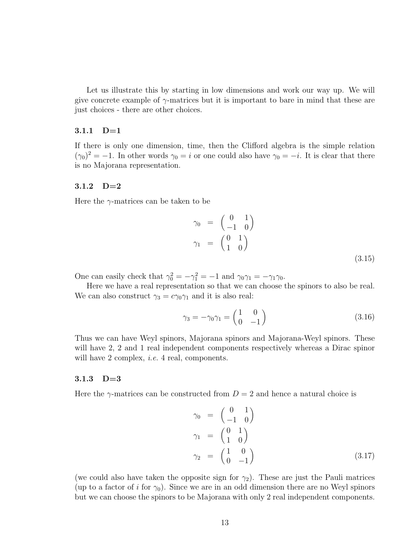Let us illustrate this by starting in low dimensions and work our way up. We will give concrete example of  $\gamma$ -matrices but it is important to bare in mind that these are just choices - there are other choices.

#### 3.1.1 D=1

If there is only one dimension, time, then the Clifford algebra is the simple relation  $(\gamma_0)^2 = -1$ . In other words  $\gamma_0 = i$  or one could also have  $\gamma_0 = -i$ . It is clear that there is no Majorana representation.

#### 3.1.2 D=2

Here the  $\gamma$ -matrices can be taken to be

$$
\gamma_0 = \begin{pmatrix} 0 & 1 \\ -1 & 0 \end{pmatrix}
$$
  
\n
$$
\gamma_1 = \begin{pmatrix} 0 & 1 \\ 1 & 0 \end{pmatrix}
$$
 (3.15)

One can easily check that  $\gamma_0^2 = -\gamma_1^2 = -1$  and  $\gamma_0 \gamma_1 = -\gamma_1 \gamma_0$ .

Here we have a real representation so that we can choose the spinors to also be real. We can also construct  $\gamma_3 = c\gamma_0\gamma_1$  and it is also real:

$$
\gamma_3 = -\gamma_0 \gamma_1 = \begin{pmatrix} 1 & 0 \\ 0 & -1 \end{pmatrix} \tag{3.16}
$$

Thus we can have Weyl spinors, Majorana spinors and Majorana-Weyl spinors. These will have 2, 2 and 1 real independent components respectively whereas a Dirac spinor will have 2 complex, *i.e.* 4 real, components.

#### 3.1.3 D=3

Here the  $\gamma$ -matrices can be constructed from  $D = 2$  and hence a natural choice is

$$
\gamma_0 = \begin{pmatrix} 0 & 1 \\ -1 & 0 \end{pmatrix}
$$
  
\n
$$
\gamma_1 = \begin{pmatrix} 0 & 1 \\ 1 & 0 \end{pmatrix}
$$
  
\n
$$
\gamma_2 = \begin{pmatrix} 1 & 0 \\ 0 & -1 \end{pmatrix}
$$
 (3.17)

(we could also have taken the opposite sign for  $\gamma_2$ ). These are just the Pauli matrices (up to a factor of i for  $\gamma_0$ ). Since we are in an odd dimension there are no Weyl spinors but we can choose the spinors to be Majorana with only 2 real independent components.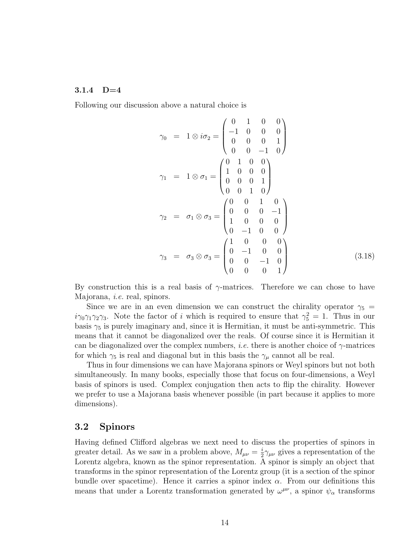#### $3.1.4$  D=4

Following our discussion above a natural choice is

$$
\gamma_0 = 1 \otimes i\sigma_2 = \begin{pmatrix} 0 & 1 & 0 & 0 \\ -1 & 0 & 0 & 0 \\ 0 & 0 & 0 & 1 \\ 0 & 0 & -1 & 0 \end{pmatrix}
$$
  
\n
$$
\gamma_1 = 1 \otimes \sigma_1 = \begin{pmatrix} 0 & 1 & 0 & 0 \\ 1 & 0 & 0 & 0 \\ 0 & 0 & 0 & 1 \\ 0 & 0 & 1 & 0 \end{pmatrix}
$$
  
\n
$$
\gamma_2 = \sigma_1 \otimes \sigma_3 = \begin{pmatrix} 0 & 0 & 1 & 0 \\ 0 & 0 & 0 & -1 \\ 1 & 0 & 0 & 0 \\ 0 & -1 & 0 & 0 \end{pmatrix}
$$
  
\n
$$
\gamma_3 = \sigma_3 \otimes \sigma_3 = \begin{pmatrix} 1 & 0 & 0 & 0 \\ 0 & -1 & 0 & 0 \\ 0 & 0 & -1 & 0 \\ 0 & 0 & 0 & 1 \end{pmatrix}
$$
(3.18)

By construction this is a real basis of  $\gamma$ -matrices. Therefore we can chose to have Majorana, i.e. real, spinors.

Since we are in an even dimension we can construct the chirality operator  $\gamma_5$  =  $i\gamma_0\gamma_1\gamma_2\gamma_3$ . Note the factor of i which is required to ensure that  $\gamma_5^2 = 1$ . Thus in our basis  $\gamma_5$  is purely imaginary and, since it is Hermitian, it must be anti-symmetric. This means that it cannot be diagonalized over the reals. Of course since it is Hermitian it can be diagonalized over the complex numbers, *i.e.* there is another choice of  $\gamma$ -matrices for which  $\gamma_5$  is real and diagonal but in this basis the  $\gamma_\mu$  cannot all be real.

Thus in four dimensions we can have Majorana spinors or Weyl spinors but not both simultaneously. In many books, especially those that focus on four-dimensions, a Weyl basis of spinors is used. Complex conjugation then acts to flip the chirality. However we prefer to use a Majorana basis whenever possible (in part because it applies to more dimensions).

### 3.2 Spinors

Having defined Clifford algebras we next need to discuss the properties of spinors in greater detail. As we saw in a problem above,  $M_{\mu\nu} = \frac{i}{2}$  $\frac{i}{2}\gamma_{\mu\nu}$  gives a representation of the Lorentz algebra, known as the spinor representation. A spinor is simply an object that transforms in the spinor representation of the Lorentz group (it is a section of the spinor bundle over spacetime). Hence it carries a spinor index  $\alpha$ . From our definitions this means that under a Lorentz transformation generated by  $\omega^{\mu\nu}$ , a spinor  $\psi_{\alpha}$  transforms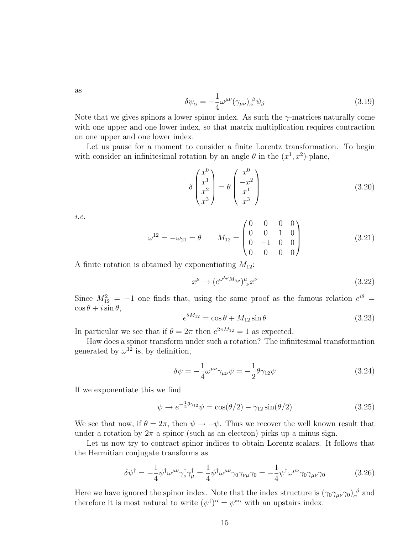as

$$
\delta\psi_{\alpha} = -\frac{1}{4}\omega^{\mu\nu}(\gamma_{\mu\nu})_{\alpha}^{\ \beta}\psi_{\beta}
$$
\n(3.19)

Note that we gives spinors a lower spinor index. As such the  $\gamma$ -matrices naturally come with one upper and one lower index, so that matrix multiplication requires contraction on one upper and one lower index.

Let us pause for a moment to consider a finite Lorentz transformation. To begin with consider an infinitesimal rotation by an angle  $\theta$  in the  $(x^1, x^2)$ -plane,

$$
\delta \begin{pmatrix} x^0 \\ x^1 \\ x^2 \\ x^3 \end{pmatrix} = \theta \begin{pmatrix} x^0 \\ -x^2 \\ x^1 \\ x^3 \end{pmatrix}
$$
 (3.20)

i.e.

$$
\omega^{12} = -\omega_{21} = \theta \qquad M_{12} = \begin{pmatrix} 0 & 0 & 0 & 0 \\ 0 & 0 & 1 & 0 \\ 0 & -1 & 0 & 0 \\ 0 & 0 & 0 & 0 \end{pmatrix}
$$
(3.21)

A finite rotation is obtained by exponentiating  $M_{12}$ :

$$
x^{\mu} \to (e^{\omega^{\lambda \rho} M_{\lambda \rho}})^{\mu}_{\nu} x^{\nu}
$$
\n(3.22)

Since  $M_{12}^2 = -1$  one finds that, using the same proof as the famous relation  $e^{i\theta}$  =  $\cos \theta + i \sin \theta$ ,

$$
e^{\theta M_{12}} = \cos \theta + M_{12} \sin \theta \tag{3.23}
$$

In particular we see that if  $\theta = 2\pi$  then  $e^{2\pi M_{12}} = 1$  as expected.

How does a spinor transform under such a rotation? The infinitesimal transformation generated by  $\omega^{12}$  is, by definition,

$$
\delta\psi = -\frac{1}{4}\omega^{\mu\nu}\gamma_{\mu\nu}\psi = -\frac{1}{2}\theta\gamma_{12}\psi\tag{3.24}
$$

If we exponentiate this we find

$$
\psi \to e^{-\frac{1}{2}\theta \gamma_{12}} \psi = \cos(\theta/2) - \gamma_{12} \sin(\theta/2) \tag{3.25}
$$

We see that now, if  $\theta = 2\pi$ , then  $\psi \to -\psi$ . Thus we recover the well known result that under a rotation by  $2\pi$  a spinor (such as an electron) picks up a minus sign.

Let us now try to contract spinor indices to obtain Lorentz scalars. It follows that the Hermitian conjugate transforms as

$$
\delta\psi^{\dagger} = -\frac{1}{4}\psi^{\dagger}\omega^{\mu\nu}\gamma_{\nu}^{\dagger}\gamma_{\mu}^{\dagger} = \frac{1}{4}\psi^{\dagger}\omega^{\mu\nu}\gamma_{0}\gamma_{\nu\mu}\gamma_{0} = -\frac{1}{4}\psi^{\dagger}\omega^{\mu\nu}\gamma_{0}\gamma_{\mu\nu}\gamma_{0}
$$
(3.26)

Here we have ignored the spinor index. Note that the index structure is  $(\gamma_0 \gamma_{\mu\nu} \gamma_0)_{\alpha}^{\beta}$  and therefore it is most natural to write  $(\psi^{\dagger})^{\alpha} = \psi^{*\alpha}$  with an upstairs index.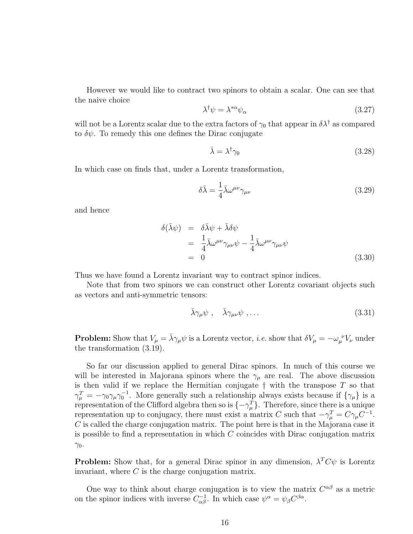However we would like to contract two spinors to obtain a scalar. One can see that the naive choice

$$
\lambda^{\dagger} \psi = \lambda^{*\alpha} \psi_{\alpha} \tag{3.27}
$$

will not be a Lorentz scalar due to the extra factors of  $\gamma_0$  that appear in  $\delta \lambda^{\dagger}$  as compared to  $\delta\psi$ . To remedy this one defines the Dirac conjugate

$$
\bar{\lambda} = \lambda^{\dagger} \gamma_0 \tag{3.28}
$$

In which case on finds that, under a Lorentz transformation,

$$
\delta\bar{\lambda} = \frac{1}{4}\bar{\lambda}\omega^{\mu\nu}\gamma_{\mu\nu} \tag{3.29}
$$

and hence

$$
\delta(\bar{\lambda}\psi) = \delta\bar{\lambda}\psi + \bar{\lambda}\delta\psi
$$
  
=  $\frac{1}{4}\bar{\lambda}\omega^{\mu\nu}\gamma_{\mu\nu}\psi - \frac{1}{4}\bar{\lambda}\omega^{\mu\nu}\gamma_{\mu\nu}\psi$   
= 0 (3.30)

Thus we have found a Lorentz invariant way to contract spinor indices.

Note that from two spinors we can construct other Lorentz covariant objects such as vectors and anti-symmetric tensors:

$$
\bar{\lambda}\gamma_{\mu}\psi \ , \quad \bar{\lambda}\gamma_{\mu\nu}\psi \ , \dots \tag{3.31}
$$

**Problem:** Show that  $V_\mu = \bar{\lambda}\gamma_\mu\psi$  is a Lorentz vector, *i.e.* show that  $\delta V_\mu = -\omega_\mu^{\ \nu}V_\nu$  under the transformation (3.19).

So far our discussion applied to general Dirac spinors. In much of this course we will be interested in Majorana spinors where the  $\gamma_\mu$  are real. The above discussion is then valid if we replace the Hermitian conjugate  $\dagger$  with the transpose  $T$  so that  $\gamma_{\mu}^{T} = -\gamma_0 \gamma_{\mu} \gamma_0^{-1}$ . More generally such a relationship always exists because if  $\{\gamma_{\mu}\}\$ is a representation of the Clifford algebra then so is  $\{-\gamma_{\mu}^{T}\}\$ . Therefore, since there is a unique representation up to conjugacy, there must exist a matrix C such that  $-\gamma_{\mu}^{T} = C\gamma_{\mu}C^{-1}$ .  $C$  is called the charge conjugation matrix. The point here is that in the Majorana case it is possible to find a representation in which  $C$  coincides with Dirac conjugation matrix  $\gamma_0$ .

**Problem:** Show that, for a general Dirac spinor in any dimension,  $\lambda^T C \psi$  is Lorentz invariant, where  $C$  is the charge conjugation matrix.

One way to think about charge conjugation is to view the matrix  $C^{\alpha\beta}$  as a metric on the spinor indices with inverse  $C_{\alpha\beta}^{-1}$ . In which case  $\psi^{\alpha} = \psi_{\beta} C^{\beta\alpha}$ .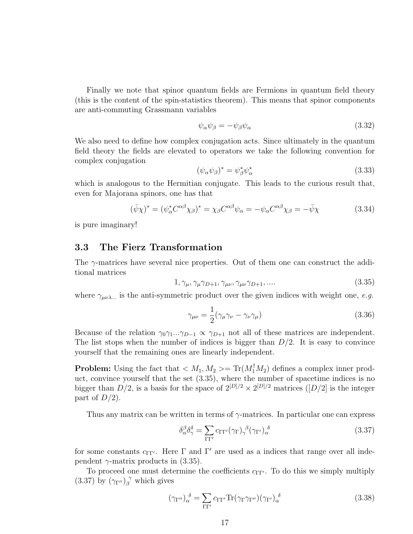Finally we note that spinor quantum fields are Fermions in quantum field theory (this is the content of the spin-statistics theorem). This means that spinor components are anti-commuting Grassmann variables

$$
\psi_{\alpha}\psi_{\beta} = -\psi_{\beta}\psi_{\alpha} \tag{3.32}
$$

We also need to define how complex conjugation acts. Since ultimately in the quantum field theory the fields are elevated to operators we take the following convention for complex conjugation

$$
(\psi_{\alpha}\psi_{\beta})^* = \psi_{\beta}^*\psi_{\alpha}^* \tag{3.33}
$$

which is analogous to the Hermitian conjugate. This leads to the curious result that, even for Majorana spinors, one has that

$$
(\bar{\psi}\chi)^* = (\psi_\alpha^* C^{\alpha\beta}\chi_\beta)^* = \chi_\beta C^{\alpha\beta}\psi_\alpha = -\psi_\alpha C^{\alpha\beta}\chi_\beta = -\bar{\psi}\chi \tag{3.34}
$$

is pure imaginary!

#### 3.3 The Fierz Transformation

The  $\gamma$ -matrices have several nice properties. Out of them one can construct the additional matrices

$$
1, \gamma_{\mu}, \gamma_{\mu}\gamma_{D+1}, \gamma_{\mu\nu}, \gamma_{\mu\nu}\gamma_{D+1}, \dots \tag{3.35}
$$

where  $\gamma_{\mu\nu\lambda}$  is the anti-symmetric product over the given indices with weight one, e.g.

$$
\gamma_{\mu\nu} = \frac{1}{2} (\gamma_{\mu}\gamma_{\nu} - \gamma_{\nu}\gamma_{\mu})
$$
\n(3.36)

Because of the relation  $\gamma_0\gamma_1...\gamma_{D-1}\propto \gamma_{D+1}$  not all of these matrices are independent. The list stops when the number of indices is bigger than  $D/2$ . It is easy to convince yourself that the remaining ones are linearly independent.

**Problem:** Using the fact that  $\langle M_1, M_2 \rangle = \text{Tr}(M_1^{\dagger} M_2)$  defines a complex inner product, convince yourself that the set (3.35), where the number of spacetime indices is no bigger than  $D/2$ , is a basis for the space of  $2^{[D]/2} \times 2^{[D]/2}$  matrices  $([D]/2]$  is the integer part of  $D/2$ ).

Thus any matrix can be written in terms of  $\gamma$ -matrices. In particular one can express

$$
\delta^{\beta}_{\alpha} \delta^{\delta}_{\gamma} = \sum_{\Gamma \Gamma'} c_{\Gamma \Gamma'} (\gamma_{\Gamma})^{\ \beta}_{\gamma} (\gamma_{\Gamma'})^{\ \delta}_{\alpha} \tag{3.37}
$$

for some constants  $c_{\Gamma\Gamma'}$ . Here  $\Gamma$  and  $\Gamma'$  are used as a indices that range over all independent  $\gamma$ -matrix products in (3.35).

To proceed one must determine the coefficients  $c_{\Gamma\Gamma'}$ . To do this we simply multiply (3.37) by  $(\gamma_{\Gamma''})_{\beta}^{\gamma}$  which gives

$$
(\gamma_{\Gamma''})_{\alpha}^{\delta} = \sum_{\Gamma\Gamma'} c_{\Gamma\Gamma'} \text{Tr}(\gamma_{\Gamma}\gamma_{\Gamma''})(\gamma_{\Gamma'})_{\alpha}^{\delta} \tag{3.38}
$$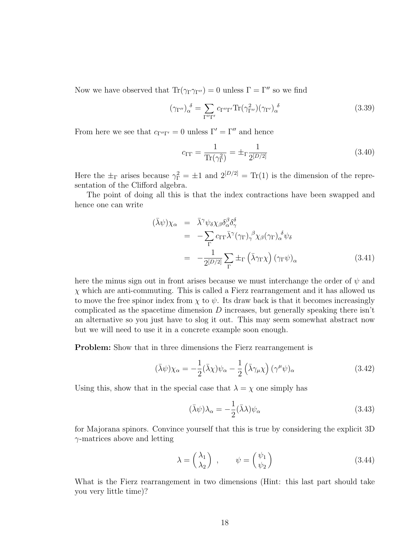Now we have observed that  $\text{Tr}(\gamma_{\Gamma}\gamma_{\Gamma''})=0$  unless  $\Gamma=\Gamma''$  so we find

$$
(\gamma_{\Gamma''})_{\alpha}^{\delta} = \sum_{\Gamma''\Gamma'} c_{\Gamma''\Gamma'} \text{Tr}(\gamma_{\Gamma''}^2)(\gamma_{\Gamma'})_{\alpha}^{\delta} \tag{3.39}
$$

From here we see that  $c_{\Gamma''\Gamma'} = 0$  unless  $\Gamma' = \Gamma''$  and hence

$$
c_{\Gamma\Gamma} = \frac{1}{\text{Tr}(\gamma_{\Gamma}^2)} = \pm_{\Gamma} \frac{1}{2^{[D/2]}} \tag{3.40}
$$

Here the  $\pm_{\Gamma}$  arises because  $\gamma_{\Gamma}^2 = \pm 1$  and  $2^{[D/2]} = \text{Tr}(1)$  is the dimension of the representation of the Clifford algebra.

The point of doing all this is that the index contractions have been swapped and hence one can write

$$
(\bar{\lambda}\psi)\chi_{\alpha} = \bar{\lambda}^{\gamma}\psi_{\delta}\chi_{\beta}\delta_{\alpha}^{\beta}\delta_{\gamma}^{\delta}
$$
  
\n
$$
= -\sum_{\Gamma} c_{\Gamma\Gamma}\bar{\lambda}^{\gamma}(\gamma_{\Gamma})_{\gamma}^{\beta}\chi_{\beta}(\gamma_{\Gamma})_{\alpha}^{\delta}\psi_{\delta}
$$
  
\n
$$
= -\frac{1}{2^{[D/2]}}\sum_{\Gamma} \pm_{\Gamma} (\bar{\lambda}\gamma_{\Gamma}\chi) (\gamma_{\Gamma}\psi)_{\alpha}
$$
(3.41)

here the minus sign out in front arises because we must interchange the order of  $\psi$  and  $\chi$  which are anti-commuting. This is called a Fierz rearrangement and it has allowed us to move the free spinor index from  $\chi$  to  $\psi$ . Its draw back is that it becomes increasingly complicated as the spacetime dimension  $D$  increases, but generally speaking there isn't an alternative so you just have to slog it out. This may seem somewhat abstract now but we will need to use it in a concrete example soon enough.

Problem: Show that in three dimensions the Fierz rearrangement is

$$
(\bar{\lambda}\psi)\chi_{\alpha} = -\frac{1}{2}(\bar{\lambda}\chi)\psi_{\alpha} - \frac{1}{2}(\bar{\lambda}\gamma_{\mu}\chi)(\gamma^{\mu}\psi)_{\alpha}
$$
(3.42)

Using this, show that in the special case that  $\lambda = \chi$  one simply has

$$
(\bar{\lambda}\psi)\lambda_{\alpha} = -\frac{1}{2}(\bar{\lambda}\lambda)\psi_{\alpha}
$$
\n(3.43)

for Majorana spinors. Convince yourself that this is true by considering the explicit 3D  $\gamma$ -matrices above and letting

$$
\lambda = \begin{pmatrix} \lambda_1 \\ \lambda_2 \end{pmatrix} , \qquad \psi = \begin{pmatrix} \psi_1 \\ \psi_2 \end{pmatrix}
$$
 (3.44)

What is the Fierz rearrangement in two dimensions (Hint: this last part should take you very little time)?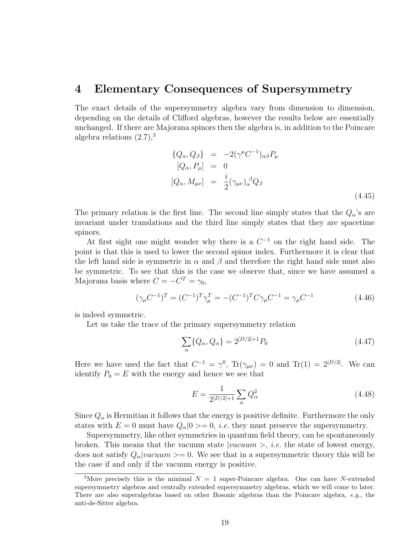### 4 Elementary Consequences of Supersymmetry

The exact details of the supersymmetry algebra vary from dimension to dimension, depending on the details of Clifford algebras, however the results below are essentially unchanged. If there are Majorana spinors then the algebra is, in addition to the Poincare algebra relations  $(2.7)$ ,<sup>3</sup>

$$
\{Q_{\alpha}, Q_{\beta}\} = -2(\gamma^{\mu}C^{-1})_{\alpha\beta}P_{\mu}
$$
  
\n
$$
[Q_{\alpha}, P_{\mu}] = 0
$$
  
\n
$$
[Q_{\alpha}, M_{\mu\nu}] = \frac{i}{2}(\gamma_{\mu\nu})_{\alpha}{}^{\beta}Q_{\beta}
$$
\n(4.45)

The primary relation is the first line. The second line simply states that the  $Q_{\alpha}$ 's are invariant under translations and the third line simply states that they are spacetime spinors.

At first sight one might wonder why there is a  $C^{-1}$  on the right hand side. The point is that this is used to lower the second spinor index. Furthermore it is clear that the left hand side is symmetric in  $\alpha$  and  $\beta$  and therefore the right hand side must also be symmetric. To see that this is the case we observe that, since we have assumed a Majorana basis where  $C = -C^T = \gamma_0$ ,

$$
(\gamma_{\mu}C^{-1})^{T} = (C^{-1})^{T}\gamma_{\mu}^{T} = -(C^{-1})^{T}C\gamma_{\mu}C^{-1} = \gamma_{\mu}C^{-1}
$$
\n(4.46)

is indeed symmetric.

Let us take the trace of the primary supersymmetry relation

$$
\sum_{\alpha} \{ Q_{\alpha}, Q_{\alpha} \} = 2^{[D/2]+1} P_0 \tag{4.47}
$$

Here we have used the fact that  $C^{-1} = \gamma^0$ ,  $Tr(\gamma_{\mu\nu}) = 0$  and  $Tr(1) = 2^{[D/2]}$ . We can identify  $P_0 = E$  with the energy and hence we see that

$$
E = \frac{1}{2^{[D/2]+1}} \sum_{\alpha} Q_{\alpha}^2
$$
 (4.48)

Since  $Q_{\alpha}$  is Hermitian it follows that the energy is positive definite. Furthermore the only states with  $E = 0$  must have  $Q_{\alpha} | 0 \rangle = 0$ , *i.e.* they must preserve the supersymmetry.

Supersymmetry, like other symmetries in quantum field theory, can be spontaneously broken. This means that the vacuum state  $|vacuum\rangle$ , *i.e.* the state of lowest energy, does not satisfy  $Q_{\alpha}|vacuum\rangle = 0$ . We see that in a supersymmetric theory this will be the case if and only if the vacuum energy is positive.

<sup>&</sup>lt;sup>3</sup>More precisely this is the minimal  $N = 1$  super-Poincare algebra. One can have N-extended supersymmetry algebras and centrally extended supersymmetry algebras, which we will come to later. There are also superalgebras based on other Bosonic algebras than the Poincare algebra, e.g., the anti-de-Sitter algebra.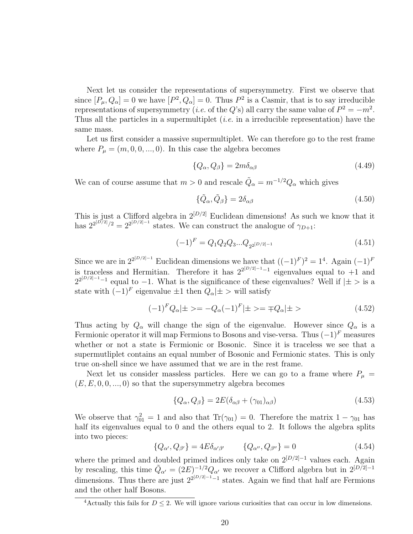Next let us consider the representations of supersymmetry. First we observe that since  $[P_\mu, Q_\alpha] = 0$  we have  $[P^2, Q_\alpha] = 0$ . Thus  $P^2$  is a Casmir, that is to say irreducible representations of supersymmetry (*i.e.* of the Q's) all carry the same value of  $P^2 = -m^2$ . Thus all the particles in a supermultiplet *(i.e.* in a irreducible representation) have the same mass.

Let us first consider a massive supermultiplet. We can therefore go to the rest frame where  $P_{\mu} = (m, 0, 0, ..., 0)$ . In this case the algebra becomes

$$
\{Q_{\alpha}, Q_{\beta}\} = 2m\delta_{\alpha\beta} \tag{4.49}
$$

We can of course assume that  $m > 0$  and rescale  $\tilde{Q}_{\alpha} = m^{-1/2} Q_{\alpha}$  which gives

$$
\{\tilde{Q}_{\alpha}, \tilde{Q}_{\beta}\} = 2\delta_{\alpha\beta} \tag{4.50}
$$

This is just a Clifford algebra in  $2^{[D/2]}$  Euclidean dimensions! As such we know that it has  $2^{2^{[D/2]}/2} = 2^{2^{[D/2]-1}}$  states. We can construct the analogue of  $\gamma_{D+1}$ :

$$
(-1)^{F} = Q_1 Q_2 Q_3 ... Q_{2^{2[D/2]-1}}
$$
\n(4.51)

Since we are in  $2^{2^{[D/2]-1}}$  Euclidean dimensions we have that  $((-1)^F)^2 = 1^4$ . Again  $(-1)^F$ is traceless and Hermitian. Therefore it has  $2^{2^{[D/2]-1}-1}$  eigenvalues equal to +1 and  $2^{2^{[D/2]-1}-1}$  equal to -1. What is the significance of these eigenvalues? Well if  $|\pm>$  is a state with  $(-1)^F$  eigenvalue  $\pm 1$  then  $Q_{\alpha}|\pm\$  will satisfy

$$
(-1)^{F} Q_{\alpha} | \pm \rangle = -Q_{\alpha} (-1)^{F} | \pm \rangle = \mp Q_{\alpha} | \pm \rangle \tag{4.52}
$$

Thus acting by  $Q_{\alpha}$  will change the sign of the eigenvalue. However since  $Q_{\alpha}$  is a Fermionic operator it will map Fermions to Bosons and vise-versa. Thus  $(-1)^F$  measures whether or not a state is Fermionic or Bosonic. Since it is traceless we see that a supermutliplet contains an equal number of Bosonic and Fermionic states. This is only true on-shell since we have assumed that we are in the rest frame.

Next let us consider massless particles. Here we can go to a frame where  $P_{\mu}$  =  $(E, E, 0, 0, \ldots, 0)$  so that the supersymmetry algebra becomes

$$
\{Q_{\alpha}, Q_{\beta}\} = 2E(\delta_{\alpha\beta} + (\gamma_{01})_{\alpha\beta})\tag{4.53}
$$

We observe that  $\gamma_{01}^2 = 1$  and also that  $\text{Tr}(\gamma_{01}) = 0$ . Therefore the matrix  $1 - \gamma_{01}$  has half its eigenvalues equal to 0 and the others equal to 2. It follows the algebra splits into two pieces:

$$
\{Q_{\alpha'}, Q_{\beta'}\} = 4E\delta_{\alpha'\beta'} \qquad \{Q_{\alpha''}, Q_{\beta''}\} = 0 \qquad (4.54)
$$

where the primed and doubled primed indices only take on  $2^{[D/2]-1}$  values each. Again by rescaling, this time  $\tilde{Q}_{\alpha'} = (2E)^{-1/2} Q_{\alpha'}$  we recover a Clifford algebra but in  $2^{[D/2]-1}$ dimensions. Thus there are just  $2^{2[D/2]-1}-1$  states. Again we find that half are Fermions and the other half Bosons.

<sup>&</sup>lt;sup>4</sup>Actually this fails for  $D \leq 2$ . We will ignore various curiosities that can occur in low dimensions.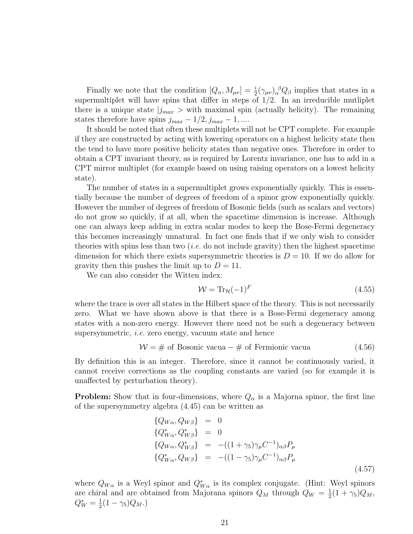Finally we note that the condition  $[Q_{\alpha}, M_{\mu\nu}] = \frac{i}{2} (\gamma_{\mu\nu})_{\alpha}^{\beta} Q_{\beta}$  implies that states in a supermultiplet will have spins that differ in steps of  $1/2$ . In an irreducible mutliplet there is a unique state  $j_{max} >$  with maximal spin (actually helicity). The remaining states therefore have spins  $j_{max} - 1/2$ ,  $j_{max} - 1$ , ....

It should be noted that often these multiplets will not be CPT complete. For example if they are constructed by acting with lowering operators on a highest helicity state then the tend to have more positive helicity states than negative ones. Therefore in order to obtain a CPT invariant theory, as is required by Lorentz invariance, one has to add in a CPT mirror multiplet (for example based on using raising operators on a lowest helicity state).

The number of states in a supermultiplet grows exponentially quickly. This is essentially because the number of degrees of freedom of a spinor grow exponentially quickly. However the number of degrees of freedom of Bosonic fields (such as scalars and vectors) do not grow so quickly, if at all, when the spacetime dimension is increase. Although one can always keep adding in extra scalar modes to keep the Bose-Fermi degeneracy this becomes increasingly unnatural. In fact one finds that if we only wish to consider theories with spins less than two  $(i.e.$  do not include gravity) then the highest spacetime dimension for which there exists supersymmetric theories is  $D = 10$ . If we do allow for gravity then this pushes the limit up to  $D = 11$ .

We can also consider the Witten index:

$$
\mathcal{W} = \text{Tr}_{\mathcal{H}}(-1)^{F} \tag{4.55}
$$

where the trace is over all states in the Hilbert space of the theory. This is not necessarily zero. What we have shown above is that there is a Bose-Fermi degeneracy among states with a non-zero energy. However there need not be such a degeneracy between supersymmetric, i.e. zero energy, vacuum state and hence

$$
W = # of Bosonic vacua - # of Fermionic vacua
$$
 (4.56)

By definition this is an integer. Therefore, since it cannot be continuously varied, it cannot receive corrections as the coupling constants are varied (so for example it is unaffected by perturbation theory).

**Problem:** Show that in four-dimensions, where  $Q_{\alpha}$  is a Majorna spinor, the first line of the supersymmetry algebra (4.45) can be written as

$$
\begin{aligned}\n\{Q_{W\alpha}, Q_{W\beta}\} &= 0\\ \{Q_{W\alpha}^*, Q_{W\beta}^*\} &= 0\\ \{Q_{W\alpha}, Q_{W\beta}^*\} &= -( (1 + \gamma_5) \gamma_\mu C^{-1})_{\alpha\beta} P_\mu\\ \{Q_{W\alpha}^*, Q_{W\beta}\} &= -( (1 - \gamma_5) \gamma_\mu C^{-1})_{\alpha\beta} P_\mu\n\end{aligned}
$$
\n(4.57)

where  $Q_{W\alpha}$  is a Weyl spinor and  $Q^*_{W\alpha}$  is its complex conjugate. (Hint: Weyl spinors are chiral and are obtained from Majorana spinors  $Q_M$  through  $Q_W = \frac{1}{2}$  $\frac{1}{2}(1+\gamma_5)Q_M,$  $Q_W^* = \frac{1}{2}$  $\frac{1}{2}(1-\gamma_5)Q_M.$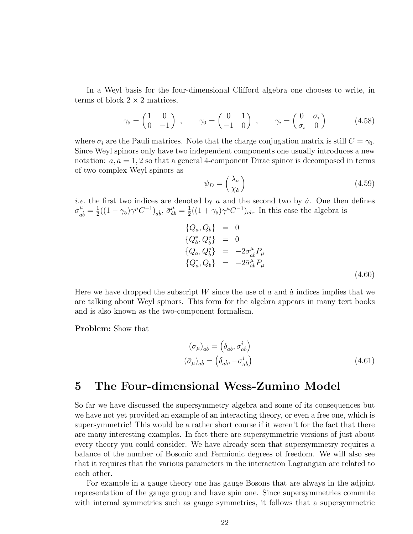In a Weyl basis for the four-dimensional Clifford algebra one chooses to write, in terms of block  $2 \times 2$  matrices,

$$
\gamma_5 = \begin{pmatrix} 1 & 0 \\ 0 & -1 \end{pmatrix} , \qquad \gamma_0 = \begin{pmatrix} 0 & 1 \\ -1 & 0 \end{pmatrix} , \qquad \gamma_i = \begin{pmatrix} 0 & \sigma_i \\ \sigma_i & 0 \end{pmatrix} \tag{4.58}
$$

where  $\sigma_i$  are the Pauli matrices. Note that the charge conjugation matrix is still  $C = \gamma_0$ . Since Weyl spinors only have two independent components one usually introduces a new notation:  $a, \dot{a} = 1, 2$  so that a general 4-component Dirac spinor is decomposed in terms of two complex Weyl spinors as

$$
\psi_D = \begin{pmatrix} \lambda_a \\ \chi_a \end{pmatrix} \tag{4.59}
$$

*i.e.* the first two indices are denoted by a and the second two by  $\dot{a}$ . One then defines  $\sigma^{\mu}_{\alpha}$  $\frac{\mu}{ab} = \frac{1}{2}$  $\frac{1}{2}((1-\gamma_5)\gamma^{\mu}C^{-1})_{ab}, \bar{\sigma}_{ab}^{\mu} = \frac{1}{2}$  $\frac{1}{2}((1+\gamma_5)\gamma^{\mu}C^{-1})_{ab}$ . In this case the algebra is

$$
\begin{array}{rcl}\n\{Q_a, Q_b\} & = & 0 \\
\{Q_a^*, Q_b^*\} & = & 0 \\
\{Q_a, Q_b^*\} & = & -2\sigma_{ab}^\mu P_\mu \\
\{Q_a^*, Q_b\} & = & -2\bar{\sigma}_{ab}^\mu P_\mu\n\end{array} \tag{4.60}
$$

Here we have dropped the subscript W since the use of a and  $\dot{a}$  indices implies that we are talking about Weyl spinors. This form for the algebra appears in many text books and is also known as the two-component formalism.

Problem: Show that

$$
(\sigma_{\mu})_{ab} = (\delta_{ab}, \sigma_{ab}^{i})
$$
  
\n
$$
(\bar{\sigma}_{\mu})_{ab} = (\delta_{ab}, -\sigma_{ab}^{i})
$$
\n(4.61)

### 5 The Four-dimensional Wess-Zumino Model

So far we have discussed the supersymmetry algebra and some of its consequences but we have not yet provided an example of an interacting theory, or even a free one, which is supersymmetric! This would be a rather short course if it weren't for the fact that there are many interesting examples. In fact there are supersymmetric versions of just about every theory you could consider. We have already seen that supersymmetry requires a balance of the number of Bosonic and Fermionic degrees of freedom. We will also see that it requires that the various parameters in the interaction Lagrangian are related to each other.

For example in a gauge theory one has gauge Bosons that are always in the adjoint representation of the gauge group and have spin one. Since supersymmetries commute with internal symmetries such as gauge symmetries, it follows that a supersymmetric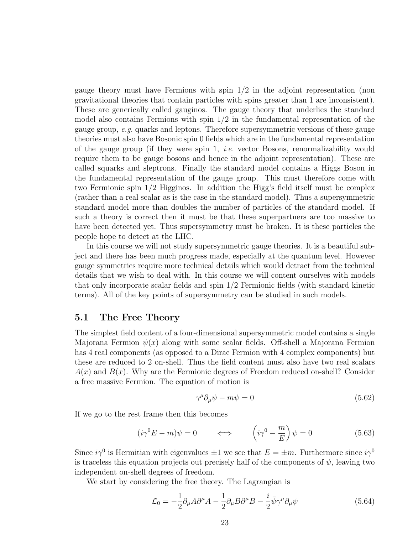gauge theory must have Fermions with spin 1/2 in the adjoint representation (non gravitational theories that contain particles with spins greater than 1 are inconsistent). These are generically called gauginos. The gauge theory that underlies the standard model also contains Fermions with spin  $1/2$  in the fundamental representation of the gauge group, e.g. quarks and leptons. Therefore supersymmetric versions of these gauge theories must also have Bosonic spin 0 fields which are in the fundamental representation of the gauge group (if they were spin 1, *i.e.* vector Bosons, renormalizability would require them to be gauge bosons and hence in the adjoint representation). These are called squarks and sleptrons. Finally the standard model contains a Higgs Boson in the fundamental representation of the gauge group. This must therefore come with two Fermionic spin 1/2 Higginos. In addition the Higg's field itself must be complex (rather than a real scalar as is the case in the standard model). Thus a supersymmetric standard model more than doubles the number of particles of the standard model. If such a theory is correct then it must be that these superpartners are too massive to have been detected yet. Thus supersymmetry must be broken. It is these particles the people hope to detect at the LHC.

In this course we will not study supersymmetric gauge theories. It is a beautiful subject and there has been much progress made, especially at the quantum level. However gauge symmetries require more technical details which would detract from the technical details that we wish to deal with. In this course we will content ourselves with models that only incorporate scalar fields and spin 1/2 Fermionic fields (with standard kinetic terms). All of the key points of supersymmetry can be studied in such models.

#### 5.1 The Free Theory

The simplest field content of a four-dimensional supersymmetric model contains a single Majorana Fermion  $\psi(x)$  along with some scalar fields. Off-shell a Majorana Fermion has 4 real components (as opposed to a Dirac Fermion with 4 complex components) but these are reduced to 2 on-shell. Thus the field content must also have two real scalars  $A(x)$  and  $B(x)$ . Why are the Fermionic degrees of Freedom reduced on-shell? Consider a free massive Fermion. The equation of motion is

$$
\gamma^{\mu}\partial_{\mu}\psi - m\psi = 0 \tag{5.62}
$$

If we go to the rest frame then this becomes

$$
(i\gamma^{0}E - m)\psi = 0 \qquad \Longleftrightarrow \qquad \left(i\gamma^{0} - \frac{m}{E}\right)\psi = 0 \tag{5.63}
$$

Since  $i\gamma^0$  is Hermitian with eigenvalues  $\pm 1$  we see that  $E = \pm m$ . Furthermore since  $i\gamma^0$ is traceless this equation projects out precisely half of the components of  $\psi$ , leaving two independent on-shell degrees of freedom.

We start by considering the free theory. The Lagrangian is

$$
\mathcal{L}_0 = -\frac{1}{2}\partial_\mu A \partial^\mu A - \frac{1}{2}\partial_\mu B \partial^\mu B - \frac{i}{2}\bar{\psi}\gamma^\mu \partial_\mu \psi \tag{5.64}
$$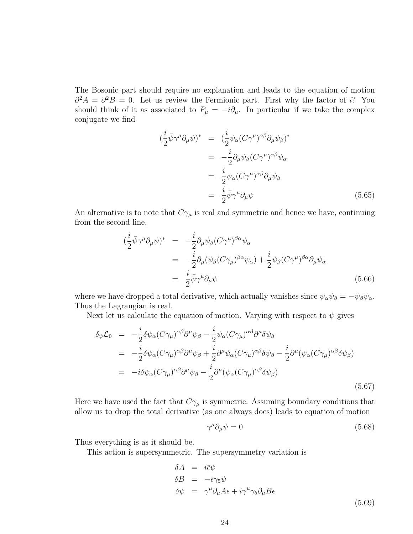The Bosonic part should require no explanation and leads to the equation of motion  $\partial^2 A = \partial^2 B = 0$ . Let us review the Fermionic part. First why the factor of i? You should think of it as associated to  $P_{\mu} = -i\partial_{\mu}$ . In particular if we take the complex conjugate we find

$$
\begin{split}\n(\frac{i}{2}\bar{\psi}\gamma^{\mu}\partial_{\mu}\psi)^{*} &= (\frac{i}{2}\psi_{\alpha}(C\gamma^{\mu})^{\alpha\beta}\partial_{\mu}\psi_{\beta})^{*} \\
&= -\frac{i}{2}\partial_{\mu}\psi_{\beta}(C\gamma^{\mu})^{\alpha\beta}\psi_{\alpha} \\
&= \frac{i}{2}\psi_{\alpha}(C\gamma^{\mu})^{\alpha\beta}\partial_{\mu}\psi_{\beta} \\
&= \frac{i}{2}\bar{\psi}\gamma^{\mu}\partial_{\mu}\psi\n\end{split} \tag{5.65}
$$

An alternative is to note that  $C\gamma_\mu$  is real and symmetric and hence we have, continuing from the second line,

$$
\begin{split}\n(\frac{i}{2}\bar{\psi}\gamma^{\mu}\partial_{\mu}\psi)^{*} &= -\frac{i}{2}\partial_{\mu}\psi_{\beta}(C\gamma^{\mu})^{\beta\alpha}\psi_{\alpha} \\
&= -\frac{i}{2}\partial_{\mu}(\psi_{\beta}(C\gamma_{\mu})^{\beta\alpha}\psi_{\alpha}) + \frac{i}{2}\psi_{\beta}(C\gamma^{\mu})^{\beta\alpha}\partial_{\mu}\psi_{\alpha} \\
&= \frac{i}{2}\bar{\psi}\gamma^{\mu}\partial_{\mu}\psi\n\end{split} \tag{5.66}
$$

where we have dropped a total derivative, which actually vanishes since  $\psi_{\alpha}\psi_{\beta} = -\psi_{\beta}\psi_{\alpha}$ . Thus the Lagrangian is real.

Next let us calculate the equation of motion. Varying with respect to  $\psi$  gives

$$
\delta_{\psi}\mathcal{L}_{0} = -\frac{i}{2}\delta\psi_{\alpha}(C\gamma_{\mu})^{\alpha\beta}\partial^{\mu}\psi_{\beta} - \frac{i}{2}\psi_{\alpha}(C\gamma_{\mu})^{\alpha\beta}\partial^{\mu}\delta\psi_{\beta}
$$
\n
$$
= -\frac{i}{2}\delta\psi_{\alpha}(C\gamma_{\mu})^{\alpha\beta}\partial^{\mu}\psi_{\beta} + \frac{i}{2}\partial^{\mu}\psi_{\alpha}(C\gamma_{\mu})^{\alpha\beta}\delta\psi_{\beta} - \frac{i}{2}\partial^{\mu}(\psi_{\alpha}(C\gamma_{\mu})^{\alpha\beta}\delta\psi_{\beta})
$$
\n
$$
= -i\delta\psi_{\alpha}(C\gamma_{\mu})^{\alpha\beta}\partial^{\mu}\psi_{\beta} - \frac{i}{2}\partial^{\mu}(\psi_{\alpha}(C\gamma_{\mu})^{\alpha\beta}\delta\psi_{\beta})
$$
\n(5.67)

Here we have used the fact that  $C\gamma_\mu$  is symmetric. Assuming boundary conditions that allow us to drop the total derivative (as one always does) leads to equation of motion

$$
\gamma^{\mu}\partial_{\mu}\psi = 0 \tag{5.68}
$$

Thus everything is as it should be.

This action is supersymmetric. The supersymmetry variation is

$$
\delta A = i\bar{\epsilon}\psi
$$
  
\n
$$
\delta B = -\bar{\epsilon}\gamma_5\psi
$$
  
\n
$$
\delta\psi = \gamma^{\mu}\partial_{\mu}A\epsilon + i\gamma^{\mu}\gamma_5\partial_{\mu}B\epsilon
$$
\n(5.69)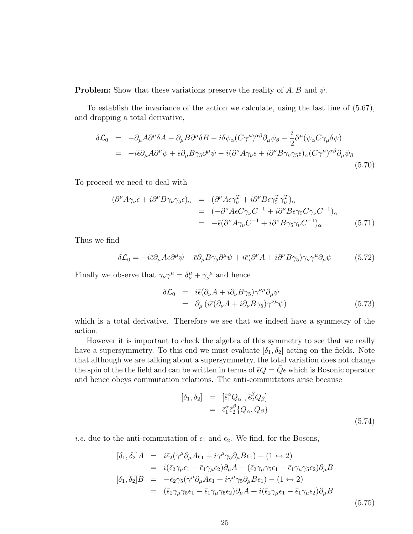**Problem:** Show that these variations preserve the reality of  $A, B$  and  $\psi$ .

To establish the invariance of the action we calculate, using the last line of (5.67), and dropping a total derivative,

$$
\delta \mathcal{L}_0 = -\partial_\mu A \partial^\mu \delta A - \partial_\mu B \partial^\mu \delta B - i \delta \psi_\alpha (C \gamma^\mu)^{\alpha \beta} \partial_\mu \psi_\beta - \frac{i}{2} \partial^\mu (\psi_\alpha C \gamma_\mu \delta \psi)
$$
  
= 
$$
-i \bar{\epsilon} \partial_\mu A \partial^\mu \psi + \bar{\epsilon} \partial_\mu B \gamma_5 \partial^\mu \psi - i (\partial^\nu A \gamma_\nu \epsilon + i \partial^\nu B \gamma_\nu \gamma_5 \epsilon)_\alpha (C \gamma^\mu)^{\alpha \beta} \partial_\mu \psi_\beta
$$
(5.70)

To proceed we need to deal with

$$
\begin{array}{rcl}\n(\partial^{\nu}A\gamma_{\nu}\epsilon + i\partial^{\nu}B\gamma_{\nu}\gamma_{5}\epsilon)_{\alpha} & = & (\partial^{\nu}A\epsilon\gamma_{\nu}^{T} + i\partial^{\nu}B\epsilon\gamma_{5}^{T}\gamma_{\nu}^{T})_{\alpha} \\
& = & (-\partial^{\nu}A\epsilon C\gamma_{\nu}C^{-1} + i\partial^{\nu}B\epsilon\gamma_{5}C\gamma_{\nu}C^{-1})_{\alpha} \\
& = & -\bar{\epsilon}(\partial^{\nu}A\gamma_{\nu}C^{-1} + i\partial^{\nu}B\gamma_{5}\gamma_{\nu}C^{-1})_{\alpha}\n\end{array} \tag{5.71}
$$

Thus we find

$$
\delta \mathcal{L}_0 = -i \bar{\epsilon} \partial_\mu A \epsilon \partial^\mu \psi + \bar{\epsilon} \partial_\mu B \gamma_5 \partial^\mu \psi + i \bar{\epsilon} (\partial^\nu A + i \partial^\nu B \gamma_5) \gamma_\nu \gamma^\mu \partial_\mu \psi \tag{5.72}
$$

Finally we observe that  $\gamma_{\nu}\gamma^{\mu} = \delta^{\mu}_{\nu} + \gamma_{\nu}{}^{\mu}$  and hence

$$
\delta \mathcal{L}_0 = i \bar{\epsilon} (\partial_\nu A + i \partial_\nu B \gamma_5) \gamma^{\nu \mu} \partial_\mu \psi \n= \partial_\mu (i \bar{\epsilon} (\partial_\nu A + i \partial_\nu B \gamma_5) \gamma^{\nu \mu} \psi)
$$
\n(5.73)

which is a total derivative. Therefore we see that we indeed have a symmetry of the action.

However it is important to check the algebra of this symmetry to see that we really have a supersymmetry. To this end we must evaluate  $[\delta_1, \delta_2]$  acting on the fields. Note that although we are talking about a supersymmetry, the total variation does not change the spin of the the field and can be written in terms of  $\bar{\epsilon}Q = Q\epsilon$  which is Bosonic operator and hence obeys commutation relations. The anti-commutators arise because

$$
\begin{array}{rcl}\n[\delta_1, \delta_2] & = & [\bar{\epsilon}_1^{\alpha} Q_{\alpha} \ , \bar{\epsilon}_2^{\beta} Q_{\beta}] \\
& = & \bar{\epsilon}_1^{\alpha} \bar{\epsilon}_2^{\beta} \{ Q_{\alpha}, Q_{\beta} \}\n\end{array} \tag{5.74}
$$

*i.e.* due to the anti-commutation of  $\epsilon_1$  and  $\epsilon_2$ . We find, for the Bosons,

$$
[\delta_1, \delta_2]A = i\bar{\epsilon}_2(\gamma^{\mu}\partial_{\mu}A\epsilon_1 + i\gamma^{\mu}\gamma_5\partial_{\mu}B\epsilon_1) - (1 \leftrightarrow 2)
$$
  
\n
$$
= i(\bar{\epsilon}_2\gamma_{\mu}\epsilon_1 - \bar{\epsilon}_1\gamma_{\mu}\epsilon_2)\partial_{\mu}A - (\bar{\epsilon}_2\gamma_{\mu}\gamma_5\epsilon_1 - \bar{\epsilon}_1\gamma_{\mu}\gamma_5\epsilon_2)\partial_{\mu}B
$$
  
\n
$$
[\delta_1, \delta_2]B = -\bar{\epsilon}_2\gamma_5(\gamma^{\mu}\partial_{\mu}A\epsilon_1 + i\gamma^{\mu}\gamma_5\partial_{\mu}B\epsilon_1) - (1 \leftrightarrow 2)
$$
  
\n
$$
= (\bar{\epsilon}_2\gamma_{\mu}\gamma_5\epsilon_1 - \bar{\epsilon}_1\gamma_{\mu}\gamma_5\epsilon_2)\partial_{\mu}A + i(\bar{\epsilon}_2\gamma_{\mu}\epsilon_1 - \bar{\epsilon}_1\gamma_{\mu}\epsilon_2)\partial_{\mu}B
$$
\n(5.75)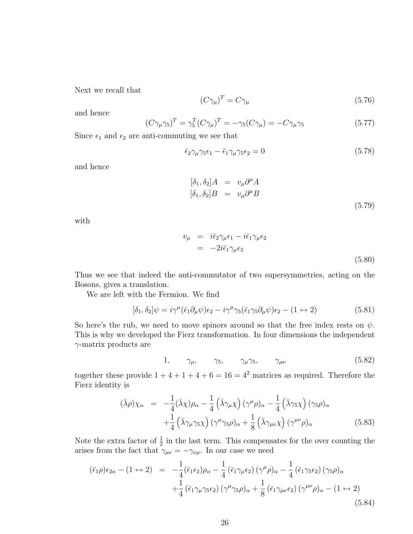Next we recall that

$$
(C\gamma_{\mu})^T = C\gamma_{\mu} \tag{5.76}
$$

and hence

$$
(C\gamma_{\mu}\gamma_5)^T = \gamma_5^T (C\gamma_{\mu})^T = -\gamma_5 (C\gamma_{\mu}) = -C\gamma_{\mu}\gamma_5
$$
\n(5.77)

Since  $\epsilon_1$  and  $\epsilon_2$  are anti-commuting we see that

$$
\bar{\epsilon}_2 \gamma_\mu \gamma_5 \epsilon_1 - \bar{\epsilon}_1 \gamma_\mu \gamma_5 \epsilon_2 = 0 \tag{5.78}
$$

and hence

$$
[\delta_1, \delta_2]A = v_\mu \partial^\mu A
$$
  
\n
$$
[\delta_1, \delta_2]B = v_\mu \partial^\mu B
$$
\n(5.79)

with

$$
v_{\mu} = i\bar{\epsilon}_{2}\gamma_{\mu}\epsilon_{1} - i\bar{\epsilon}_{1}\gamma_{\mu}\epsilon_{2}
$$
  
= 
$$
-2i\bar{\epsilon}_{1}\gamma_{\mu}\epsilon_{2}
$$
 (5.80)

Thus we see that indeed the anti-commutator of two supersymmetries, acting on the Bosons, gives a translation.

We are left with the Fermion. We find

$$
[\delta_1, \delta_2] \psi = i\gamma^{\mu} (\bar{\epsilon}_1 \partial_{\mu} \psi) \epsilon_2 - i\gamma^{\mu} \gamma_5 (\bar{\epsilon}_1 \gamma_5 \partial_{\mu} \psi) \epsilon_2 - (1 \leftrightarrow 2)
$$
(5.81)

So here's the rub, we need to move spinors around so that the free index rests on  $\psi$ . This is why we developed the Fierz transformation. In four dimensions the independent  $\gamma$ -matrix products are

$$
1, \qquad \gamma_{\mu}, \qquad \gamma_5, \qquad \gamma_{\mu} \gamma_5, \qquad \gamma_{\mu\nu} \tag{5.82}
$$

together these provide  $1 + 4 + 1 + 4 + 6 = 16 = 4^2$  matrices as required. Therefore the Fierz identity is

$$
(\bar{\lambda}\rho)\chi_{\alpha} = -\frac{1}{4}(\bar{\lambda}\chi)\rho_{\alpha} - \frac{1}{4}(\bar{\lambda}\gamma_{\mu}\chi)(\gamma^{\mu}\rho)_{\alpha} - \frac{1}{4}(\bar{\lambda}\gamma_{5}\chi)(\gamma_{5}\rho)_{\alpha} +\frac{1}{4}(\bar{\lambda}\gamma_{\mu}\gamma_{5}\chi)(\gamma^{\mu}\gamma_{5}\rho)_{\alpha} + \frac{1}{8}(\bar{\lambda}\gamma_{\mu\nu}\chi)(\gamma^{\mu\nu}\rho)_{\alpha}
$$
(5.83)

Note the extra factor of  $\frac{1}{2}$  in the last term. This compensates for the over counting the arises from the fact that  $\gamma_{\mu\nu} = -\gamma_{\nu\mu}$ . In our case we need

$$
(\bar{\epsilon}_{1}\rho)\epsilon_{2\alpha} - (1 \leftrightarrow 2) = -\frac{1}{4}(\bar{\epsilon}_{1}\epsilon_{2})\rho_{\alpha} - \frac{1}{4}(\bar{\epsilon}_{1}\gamma_{\mu}\epsilon_{2})\left(\gamma^{\mu}\rho\right)_{\alpha} - \frac{1}{4}(\bar{\epsilon}_{1}\gamma_{5}\epsilon_{2})\left(\gamma_{5}\rho\right)_{\alpha} +\frac{1}{4}(\bar{\epsilon}_{1}\gamma_{\mu}\gamma_{5}\epsilon_{2})\left(\gamma^{\mu}\gamma_{5}\rho\right)_{\alpha} + \frac{1}{8}(\bar{\epsilon}_{1}\gamma_{\mu\nu}\epsilon_{2})\left(\gamma^{\mu\nu}\rho\right)_{\alpha} - (1 \leftrightarrow 2)
$$
\n(5.84)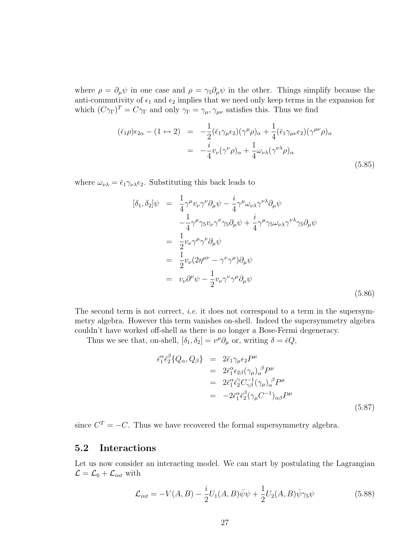where  $\rho = \partial_\mu \psi$  in one case and  $\rho = \gamma_5 \partial_\mu \psi$  in the other. Things simplify because the anti-commutivity of  $\epsilon_1$  and  $\epsilon_2$  implies that we need only keep terms in the expansion for which  $(C\gamma_{\Gamma})^T = C\gamma_{\Gamma}$  and only  $\gamma_{\Gamma} = \gamma_{\mu}, \gamma_{\mu\nu}$  satisfies this. Thus we find

$$
(\bar{\epsilon}_{1}\rho)\epsilon_{2\alpha} - (1 \leftrightarrow 2) = -\frac{1}{2}(\bar{\epsilon}_{1}\gamma_{\mu}\epsilon_{2})(\gamma^{\mu}\rho)_{\alpha} + \frac{1}{4}(\bar{\epsilon}_{1}\gamma_{\mu\nu}\epsilon_{2})(\gamma^{\mu\nu}\rho)_{\alpha}
$$
  

$$
= -\frac{i}{4}v_{\nu}(\gamma^{\nu}\rho)_{\alpha} + \frac{1}{4}\omega_{\nu\lambda}(\gamma^{\nu\lambda}\rho)_{\alpha}
$$
(5.85)

where  $\omega_{\nu\lambda} = \bar{\epsilon}_1 \gamma_{\nu\lambda} \epsilon_2$ . Substituting this back leads to

$$
[\delta_1, \delta_2] \psi = \frac{1}{4} \gamma^{\mu} v_{\nu} \gamma^{\nu} \partial_{\mu} \psi - \frac{i}{4} \gamma^{\mu} \omega_{\nu \lambda} \gamma^{\nu \lambda} \partial_{\mu} \psi - \frac{1}{4} \gamma^{\mu} \gamma_5 v_{\nu} \gamma^{\nu} \gamma_5 \partial_{\mu} \psi + \frac{i}{4} \gamma^{\mu} \gamma_5 \omega_{\nu \lambda} \gamma^{\nu \lambda} \gamma_5 \partial_{\mu} \psi = \frac{1}{2} v_{\nu} \gamma^{\mu} \gamma^{\nu} \partial_{\mu} \psi = \frac{1}{2} v_{\nu} (2 \eta^{\mu \nu} - \gamma^{\nu} \gamma^{\mu}) \partial_{\mu} \psi = v_{\nu} \partial^{\nu} \psi - \frac{1}{2} v_{\nu} \gamma^{\nu} \gamma^{\mu} \partial_{\mu} \psi
$$
 (5.86)

The second term is not correct, *i.e.* it does not correspond to a term in the supersymmetry algebra. However this term vanishes on-shell. Indeed the supersymmetry algebra couldn't have worked off-shell as there is no longer a Bose-Fermi degeneracy.

Thus we see that, on-shell,  $[\delta_1, \delta_2] = v^{\mu} \partial_{\mu}$  or, writing  $\delta = \bar{\epsilon} Q$ ,

$$
\begin{split}\n\bar{\epsilon}_{1}^{\alpha}\bar{\epsilon}_{2}^{\beta}\{Q_{\alpha},Q_{\beta}\} &= 2\bar{\epsilon}_{1}\gamma_{\mu}\epsilon_{2}P^{\mu} \\
&= 2\bar{\epsilon}_{1}^{\alpha}\epsilon_{2\beta}(\gamma_{\mu})_{\alpha}^{\beta}P^{\mu} \\
&= 2\bar{\epsilon}_{1}^{\alpha}\bar{\epsilon}_{2}^{\gamma}C_{\gamma\beta}^{-1}(\gamma_{\mu})_{\alpha}^{\beta}P^{\mu} \\
&= -2\bar{\epsilon}_{1}^{\alpha}\bar{\epsilon}_{2}^{\beta}(\gamma_{\mu}C^{-1})_{\alpha\beta}P^{\mu}\n\end{split} \tag{5.87}
$$

since  $C^{T} = -C$ . Thus we have recovered the formal supersymmetry algebra.

### 5.2 Interactions

Let us now consider an interacting model. We can start by postulating the Lagrangian  $\mathcal{L} = \mathcal{L}_0 + \mathcal{L}_{int}$  with

$$
\mathcal{L}_{int} = -V(A, B) - \frac{i}{2}U_1(A, B)\bar{\psi}\psi + \frac{1}{2}U_2(A, B)\bar{\psi}\gamma_5\psi
$$
 (5.88)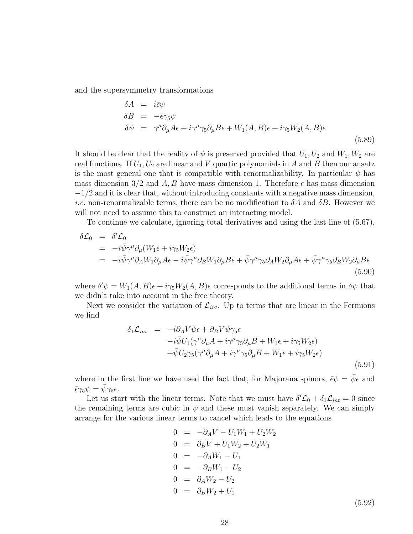and the supersymmetry transformations

$$
\delta A = i\bar{\epsilon}\psi
$$
  
\n
$$
\delta B = -\bar{\epsilon}\gamma_5\psi
$$
  
\n
$$
\delta\psi = \gamma^{\mu}\partial_{\mu}A\epsilon + i\gamma^{\mu}\gamma_5\partial_{\mu}B\epsilon + W_1(A,B)\epsilon + i\gamma_5W_2(A,B)\epsilon
$$
\n(5.89)

It should be clear that the reality of  $\psi$  is preserved provided that  $U_1, U_2$  and  $W_1, W_2$  are real functions. If  $U_1, U_2$  are linear and V quartic polynomials in A and B then our ansatz is the most general one that is compatible with renormalizability. In particular  $\psi$  has mass dimension 3/2 and A, B have mass dimension 1. Therefore  $\epsilon$  has mass dimension  $-1/2$  and it is clear that, without introducing constants with a negative mass dimension, *i.e.* non-renormalizable terms, there can be no modification to  $\delta A$  and  $\delta B$ . However we will not need to assume this to construct an interacting model.

To continue we calculate, ignoring total derivatives and using the last line of (5.67),

$$
\delta \mathcal{L}_0 = \delta' \mathcal{L}_0 \n= -i \bar{\psi} \gamma^{\mu} \partial_{\mu} (W_1 \epsilon + i \gamma_5 W_2 \epsilon) \n= -i \bar{\psi} \gamma^{\mu} \partial_A W_1 \partial_{\mu} A \epsilon - i \bar{\psi} \gamma^{\mu} \partial_B W_1 \partial_{\mu} B \epsilon + \bar{\psi} \gamma^{\mu} \gamma_5 \partial_A W_2 \partial_{\mu} A \epsilon + \bar{\psi} \gamma^{\mu} \gamma_5 \partial_B W_2 \partial_{\mu} B \epsilon
$$
\n(5.90)

where  $\delta' \psi = W_1(A, B) \epsilon + i \gamma_5 W_2(A, B) \epsilon$  corresponds to the additional terms in  $\delta \psi$  that we didn't take into account in the free theory.

Next we consider the variation of  $\mathcal{L}_{int}$ . Up to terms that are linear in the Fermions we find

$$
\delta_1 \mathcal{L}_{int} = -i \partial_A V \bar{\psi} \epsilon + \partial_B V \bar{\psi} \gamma_5 \epsilon \n- i \bar{\psi} U_1 (\gamma^{\mu} \partial_{\mu} A + i \gamma^{\mu} \gamma_5 \partial_{\mu} B + W_1 \epsilon + i \gamma_5 W_2 \epsilon) \n+ \bar{\psi} U_2 \gamma_5 (\gamma^{\mu} \partial_{\mu} A + i \gamma^{\mu} \gamma_5 \partial_{\mu} B + W_1 \epsilon + i \gamma_5 W_2 \epsilon)
$$
\n(5.91)

where in the first line we have used the fact that, for Majorana spinors,  $\bar{\epsilon}\psi = \bar{\psi}\epsilon$  and  $\bar{\epsilon}\gamma_5 \psi = \bar{\psi}\gamma_5 \epsilon.$ 

Let us start with the linear terms. Note that we must have  $\delta' \mathcal{L}_0 + \delta_1 \mathcal{L}_{int} = 0$  since the remaining terms are cubic in  $\psi$  and these must vanish separately. We can simply arrange for the various linear terms to cancel which leads to the equations

$$
0 = -\partial_A V - U_1 W_1 + U_2 W_2
$$
  
\n
$$
0 = \partial_B V + U_1 W_2 + U_2 W_1
$$
  
\n
$$
0 = -\partial_A W_1 - U_1
$$
  
\n
$$
0 = -\partial_B W_1 - U_2
$$
  
\n
$$
0 = \partial_A W_2 - U_2
$$
  
\n
$$
0 = \partial_B W_2 + U_1
$$
  
\n(5.92)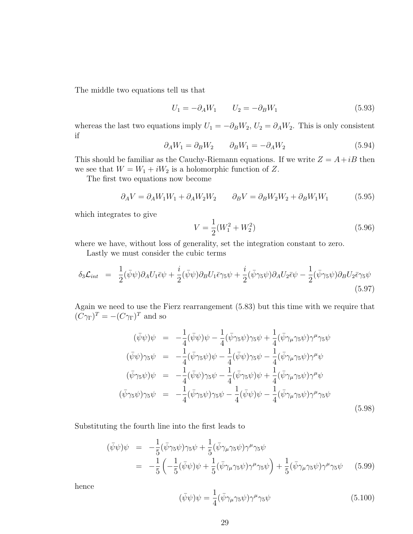The middle two equations tell us that

$$
U_1 = -\partial_A W_1 \qquad U_2 = -\partial_B W_1 \tag{5.93}
$$

whereas the last two equations imply  $U_1 = -\partial_B W_2$ ,  $U_2 = \partial_A W_2$ . This is only consistent if

$$
\partial_A W_1 = \partial_B W_2 \qquad \partial_B W_1 = -\partial_A W_2 \tag{5.94}
$$

This should be familiar as the Cauchy-Riemann equations. If we write  $Z = A + iB$  then we see that  $W = W_1 + iW_2$  is a holomorphic function of Z.

The first two equations now become

$$
\partial_A V = \partial_A W_1 W_1 + \partial_A W_2 W_2 \qquad \partial_B V = \partial_B W_2 W_2 + \partial_B W_1 W_1 \tag{5.95}
$$

which integrates to give

$$
V = \frac{1}{2}(W_1^2 + W_2^2)
$$
\n(5.96)

where we have, without loss of generality, set the integration constant to zero.

Lastly we must consider the cubic terms

$$
\delta_3 \mathcal{L}_{int} = \frac{1}{2} (\bar{\psi}\psi) \partial_A U_1 \bar{\epsilon}\psi + \frac{i}{2} (\bar{\psi}\psi) \partial_B U_1 \bar{\epsilon}\gamma_5\psi + \frac{i}{2} (\bar{\psi}\gamma_5\psi) \partial_A U_2 \bar{\epsilon}\psi - \frac{1}{2} (\bar{\psi}\gamma_5\psi) \partial_B U_2 \bar{\epsilon}\gamma_5\psi
$$
\n(5.97)

Again we need to use the Fierz rearrangement (5.83) but this time with we require that  $(C\gamma_{\Gamma})^T = -(C\gamma_{\Gamma})^T$  and so

$$
(\bar{\psi}\psi)\psi = -\frac{1}{4}(\bar{\psi}\psi)\psi - \frac{1}{4}(\bar{\psi}\gamma_5\psi)\gamma_5\psi + \frac{1}{4}(\bar{\psi}\gamma_\mu\gamma_5\psi)\gamma^\mu\gamma_5\psi
$$
  
\n
$$
(\bar{\psi}\psi)\gamma_5\psi = -\frac{1}{4}(\bar{\psi}\gamma_5\psi)\psi - \frac{1}{4}(\bar{\psi}\psi)\gamma_5\psi - \frac{1}{4}(\bar{\psi}\gamma_\mu\gamma_5\psi)\gamma^\mu\psi
$$
  
\n
$$
(\bar{\psi}\gamma_5\psi)\psi = -\frac{1}{4}(\bar{\psi}\psi)\gamma_5\psi - \frac{1}{4}(\bar{\psi}\gamma_5\psi)\psi + \frac{1}{4}(\bar{\psi}\gamma_\mu\gamma_5\psi)\gamma^\mu\psi
$$
  
\n
$$
(\bar{\psi}\gamma_5\psi)\gamma_5\psi = -\frac{1}{4}(\bar{\psi}\gamma_5\psi)\gamma_5\psi - \frac{1}{4}(\bar{\psi}\psi)\psi - \frac{1}{4}(\bar{\psi}\gamma_\mu\gamma_5\psi)\gamma^\mu\gamma_5\psi
$$
\n(5.98)

Substituting the fourth line into the first leads to

$$
(\bar{\psi}\psi)\psi = -\frac{1}{5}(\bar{\psi}\gamma_5\psi)\gamma_5\psi + \frac{1}{5}(\bar{\psi}\gamma_\mu\gamma_5\psi)\gamma^\mu\gamma_5\psi
$$
  
= 
$$
-\frac{1}{5}\left(-\frac{1}{5}(\bar{\psi}\psi)\psi + \frac{1}{5}(\bar{\psi}\gamma_\mu\gamma_5\psi)\gamma^\mu\gamma_5\psi\right) + \frac{1}{5}(\bar{\psi}\gamma_\mu\gamma_5\psi)\gamma^\mu\gamma_5\psi
$$
(5.99)

hence

$$
(\bar{\psi}\psi)\psi = \frac{1}{4}(\bar{\psi}\gamma_{\mu}\gamma_{5}\psi)\gamma^{\mu}\gamma_{5}\psi
$$
\n(5.100)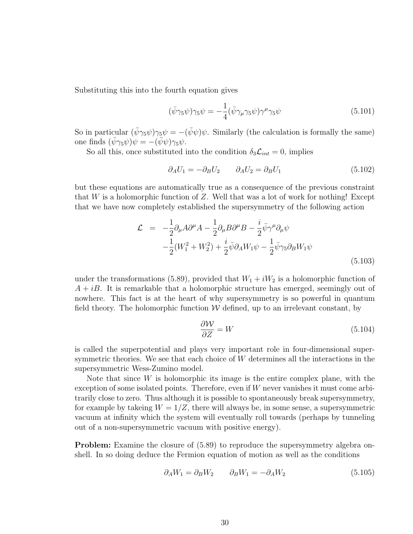Substituting this into the fourth equation gives

$$
(\bar{\psi}\gamma_5\psi)\gamma_5\psi = -\frac{1}{4}(\bar{\psi}\gamma_\mu\gamma_5\psi)\gamma^\mu\gamma_5\psi\tag{5.101}
$$

So in particular  $(\bar{\psi}\gamma_5\psi)\gamma_5\psi = -(\bar{\psi}\psi)\psi$ . Similarly (the calculation is formally the same) one finds  $(\bar{\psi}\gamma_5\psi)\psi = -(\bar{\psi}\psi)\gamma_5\psi.$ 

So all this, once substituted into the condition  $\delta_3\mathcal{L}_{int}=0$ , implies

$$
\partial_A U_1 = -\partial_B U_2 \qquad \partial_A U_2 = \partial_B U_1 \tag{5.102}
$$

but these equations are automatically true as a consequence of the previous constraint that W is a holomorphic function of Z. Well that was a lot of work for nothing! Except that we have now completely established the supersymmetry of the following action

$$
\mathcal{L} = -\frac{1}{2}\partial_{\mu}A\partial^{\mu}A - \frac{1}{2}\partial_{\mu}B\partial^{\mu}B - \frac{i}{2}\bar{\psi}\gamma^{\mu}\partial_{\mu}\psi
$$
  

$$
-\frac{1}{2}(W_1^2 + W_2^2) + \frac{i}{2}\bar{\psi}\partial_A W_1\psi - \frac{1}{2}\bar{\psi}\gamma_5\partial_B W_1\psi
$$
(5.103)

under the transformations (5.89), provided that  $W_1 + iW_2$  is a holomorphic function of  $A + iB$ . It is remarkable that a holomorphic structure has emerged, seemingly out of nowhere. This fact is at the heart of why supersymmetry is so powerful in quantum field theory. The holomorphic function  $W$  defined, up to an irrelevant constant, by

$$
\frac{\partial \mathcal{W}}{\partial Z} = W \tag{5.104}
$$

is called the superpotential and plays very important role in four-dimensional supersymmetric theories. We see that each choice of W determines all the interactions in the supersymmetric Wess-Zumino model.

Note that since  $W$  is holomorphic its image is the entire complex plane, with the exception of some isolated points. Therefore, even if W never vanishes it must come arbitrarily close to zero. Thus although it is possible to spontaneously break supersymmetry, for example by takeing  $W = 1/Z$ , there will always be, in some sense, a supersymmetric vacuum at infinity which the system will eventually roll towards (perhaps by tunneling out of a non-supersymmetric vacuum with positive energy).

**Problem:** Examine the closure of  $(5.89)$  to reproduce the supersymmetry algebra onshell. In so doing deduce the Fermion equation of motion as well as the conditions

$$
\partial_A W_1 = \partial_B W_2 \qquad \partial_B W_1 = -\partial_A W_2 \tag{5.105}
$$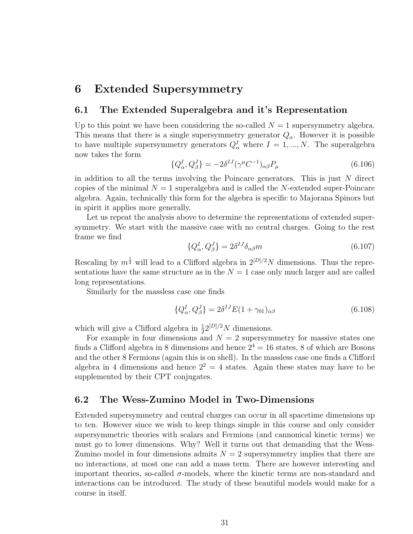### 6 Extended Supersymmetry

### 6.1 The Extended Superalgebra and it's Representation

Up to this point we have been considering the so-called  $N = 1$  supersymmetry algebra. This means that there is a single supersymmetry generator  $Q_{\alpha}$ . However it is possible to have multiple supersymmetry generators  $Q^I_\alpha$  where  $I = 1, ..., N$ . The superalgebra now takes the form

$$
\{Q_{\alpha}^{I}, Q_{\beta}^{J}\} = -2\delta^{IJ} (\gamma^{\mu} C^{-1})_{\alpha\beta} P_{\mu}
$$
\n(6.106)

in addition to all the terms involving the Poincare generators. This is just  $N$  direct copies of the minimal  $N = 1$  superalgebra and is called the N-extended super-Poincare algebra. Again, technically this form for the algebra is specific to Majorana Spinors but in spirit it applies more generally.

Let us repeat the analysis above to determine the representations of extended supersymmetry. We start with the massive case with no central charges. Going to the rest frame we find

$$
\{Q^I_{\alpha}, Q^J_{\beta}\} = 2\delta^{IJ}\delta_{\alpha\beta}m\tag{6.107}
$$

Rescaling by  $m^{\frac{1}{2}}$  will lead to a Clifford algebra in  $2^{[D]/2}N$  dimensions. Thus the representations have the same structure as in the  $N = 1$  case only much larger and are called long representations.

Similarly for the massless case one finds

$$
\{Q_{\alpha}^{I}, Q_{\beta}^{J}\} = 2\delta^{IJ} E(1 + \gamma_{01})_{\alpha\beta} \tag{6.108}
$$

which will give a Clifford algebra in  $\frac{1}{2}2^{[D]/2}N$  dimensions.

For example in four dimensions and  $N = 2$  supersymmetry for massive states one finds a Clifford algebra in 8 dimensions and hence  $2^4 = 16$  states, 8 of which are Bosons and the other 8 Fermions (again this is on shell). In the massless case one finds a Clifford algebra in 4 dimensions and hence  $2^2 = 4$  states. Again these states may have to be supplemented by their CPT conjugates.

### 6.2 The Wess-Zumino Model in Two-Dimensions

Extended supersymmetry and central charges can occur in all spacetime dimensions up to ten. However since we wish to keep things simple in this course and only consider supersymmetric theories with scalars and Fermions (and cannonical kinetic terms) we must go to lower dimensions. Why? Well it turns out that demanding that the Wess-Zumino model in four dimensions admits  $N = 2$  supersymmetry implies that there are no interactions, at most one can add a mass term. There are however interesting and important theories, so-called  $\sigma$ -models, where the kinetic terms are non-standard and interactions can be introduced. The study of these beautiful models would make for a course in itself.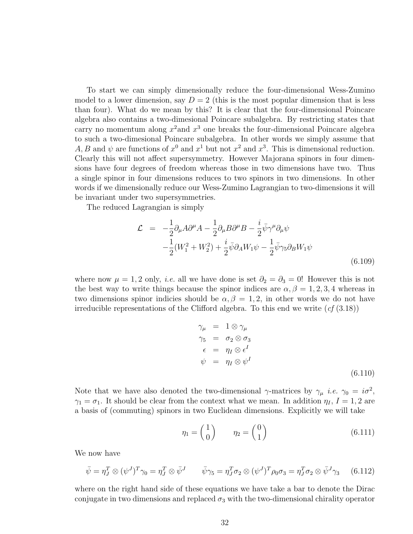To start we can simply dimensionally reduce the four-dimensional Wess-Zumino model to a lower dimension, say  $D = 2$  (this is the most popular dimension that is less than four). What do we mean by this? It is clear that the four-dimensional Poincare algebra also contains a two-dimesional Poincare subalgebra. By restricting states that carry no momentum along  $x^2$  and  $x^3$  one breaks the four-dimensional Poincare algebra to such a two-dimesional Poincare subalgebra. In other words we simply assume that A, B and  $\psi$  are functions of  $x^0$  and  $x^1$  but not  $x^2$  and  $x^3$ . This is dimensional reduction. Clearly this will not affect supersymmetry. However Majorana spinors in four dimensions have four degrees of freedom whereas those in two dimensions have two. Thus a single spinor in four dimensions reduces to two spinors in two dimensions. In other words if we dimensionally reduce our Wess-Zumino Lagrangian to two-dimensions it will be invariant under two supersymmetries.

The reduced Lagrangian is simply

$$
\mathcal{L} = -\frac{1}{2}\partial_{\mu}A\partial^{\mu}A - \frac{1}{2}\partial_{\mu}B\partial^{\mu}B - \frac{i}{2}\bar{\psi}\gamma^{\mu}\partial_{\mu}\psi
$$
  

$$
-\frac{1}{2}(W_1^2 + W_2^2) + \frac{i}{2}\bar{\psi}\partial_A W_1\psi - \frac{1}{2}\bar{\psi}\gamma_5\partial_B W_1\psi
$$
(6.109)

where now  $\mu = 1, 2$  only, *i.e.* all we have done is set  $\partial_2 = \partial_3 = 0$ ! However this is not the best way to write things because the spinor indices are  $\alpha, \beta = 1, 2, 3, 4$  whereas in two dimensions spinor indicies should be  $\alpha, \beta = 1, 2$ , in other words we do not have irreducible representations of the Clifford algebra. To this end we write  $(cf(3.18))$ 

$$
\gamma_{\mu} = 1 \otimes \gamma_{\mu} \n\gamma_{5} = \sigma_{2} \otimes \sigma_{3} \n\epsilon = \eta_{I} \otimes \epsilon^{I} \n\psi = \eta_{I} \otimes \psi^{I}
$$
\n(6.110)

Note that we have also denoted the two-dimensional  $\gamma$ -matrices by  $\gamma_{\mu}$  *i.e.*  $\gamma_0 = i\sigma^2$ ,  $\gamma_1 = \sigma_1$ . It should be clear from the context what we mean. In addition  $\eta_I$ ,  $I = 1, 2$  are a basis of (commuting) spinors in two Euclidean dimensions. Explicitly we will take

$$
\eta_1 = \begin{pmatrix} 1 \\ 0 \end{pmatrix} \qquad \eta_2 = \begin{pmatrix} 0 \\ 1 \end{pmatrix} \tag{6.111}
$$

We now have

$$
\bar{\psi} = \eta_J^T \otimes (\psi^J)^T \gamma_0 = \eta_J^T \otimes \bar{\psi}^J \qquad \bar{\psi} \gamma_5 = \eta_J^T \sigma_2 \otimes (\psi^J)^T \rho_0 \sigma_3 = \eta_J^T \sigma_2 \otimes \bar{\psi}^J \gamma_3 \qquad (6.112)
$$

where on the right hand side of these equations we have take a bar to denote the Dirac conjugate in two dimensions and replaced  $\sigma_3$  with the two-dimensional chirality operator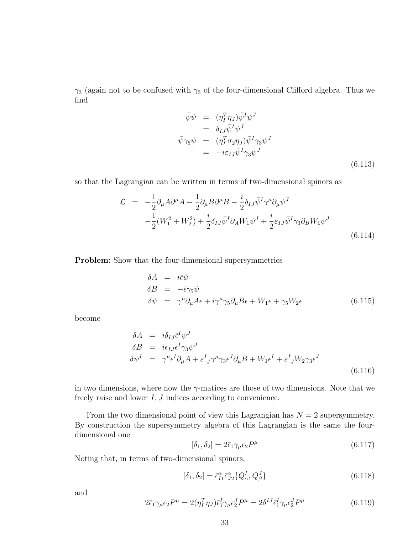$\gamma_3$  (again not to be confused with  $\gamma_3$  of the four-dimensional Clifford algebra. Thus we find

$$
\begin{aligned}\n\bar{\psi}\psi &= (\eta_I^T \eta_J) \bar{\psi}^I \psi^J \\
&= \delta_{IJ} \bar{\psi}^I \psi^J \\
\bar{\psi}\gamma_5 \psi &= (\eta_I^T \sigma_2 \eta_J) \bar{\psi}^I \gamma_3 \psi^J \\
&= -i \varepsilon_{IJ} \bar{\psi}^I \gamma_3 \psi^J\n\end{aligned} \tag{6.113}
$$

so that the Lagrangian can be written in terms of two-dimensional spinors as

$$
\mathcal{L} = -\frac{1}{2}\partial_{\mu}A\partial^{\mu}A - \frac{1}{2}\partial_{\mu}B\partial^{\mu}B - \frac{i}{2}\delta_{IJ}\bar{\psi}^{I}\gamma^{\mu}\partial_{\mu}\psi^{J}
$$
  

$$
-\frac{1}{2}(W_{1}^{2} + W_{2}^{2}) + \frac{i}{2}\delta_{IJ}\bar{\psi}^{I}\partial_{A}W_{1}\psi^{J} + \frac{i}{2}\varepsilon_{IJ}\bar{\psi}^{I}\gamma_{3}\partial_{B}W_{1}\psi^{J}
$$
(6.114)

Problem: Show that the four-dimensional supersymmetries

$$
\delta A = i\bar{\epsilon}\psi
$$
  
\n
$$
\delta B = -\bar{\epsilon}\gamma_5\psi
$$
  
\n
$$
\delta\psi = \gamma^{\mu}\partial_{\mu}A\epsilon + i\gamma^{\mu}\gamma_5\partial_{\mu}B\epsilon + W_1\epsilon + \gamma_5W_2\epsilon
$$
\n(6.115)

become

$$
\delta A = i\delta_{IJ}\bar{\epsilon}^I \psi^J
$$
  
\n
$$
\delta B = i\epsilon_{IJ}\bar{\epsilon}^I \gamma_3 \psi^J
$$
  
\n
$$
\delta \psi^I = \gamma^\mu \epsilon^I \partial_\mu A + \epsilon^I_{\ J} \gamma^\mu \gamma_3 \epsilon^J \partial_\mu B + W_1 \epsilon^I + \epsilon^I_{\ J} W_2 \gamma_3 \epsilon^J
$$
\n(6.116)

in two dimensions, where now the  $\gamma$ -matices are those of two dimensions. Note that we freely raise and lower  $I, J$  indices according to convenience.

From the two dimensional point of view this Lagrangian has  $N = 2$  supersymmetry. By construction the supersymmetry algebra of this Lagrangian is the same the fourdimensional one

$$
[\delta_1, \delta_2] = 2\bar{\epsilon}_1 \gamma_\mu \epsilon_2 P^\mu \tag{6.117}
$$

Noting that, in terms of two-dimensional spinors,

$$
[\delta_1, \delta_2] = \bar{\epsilon}_{I1}^{\alpha} \bar{\epsilon}_{I2}^{\alpha} \{ Q_{\alpha}^{I}, Q_{\beta}^{J} \}
$$
\n(6.118)

and

$$
2\bar{\epsilon}_{1}\gamma_{\mu}\epsilon_{2}P^{\mu} = 2(\eta_{I}^{T}\eta_{J})\bar{\epsilon}_{1}^{I}\gamma_{\mu}\epsilon_{2}^{J}P^{\mu} = 2\delta^{IJ}\bar{\epsilon}_{1}^{I}\gamma_{\mu}\epsilon_{2}^{J}P^{\mu}
$$
(6.119)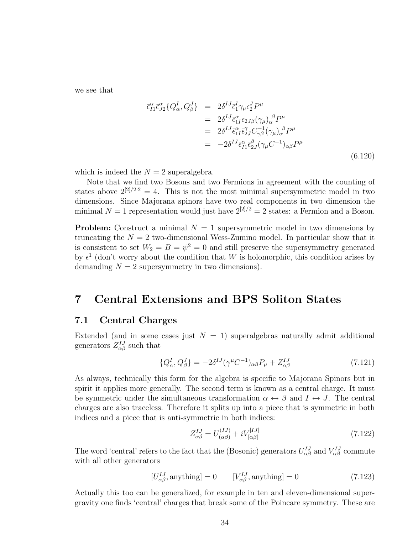we see that

$$
\begin{split}\n\bar{\epsilon}_{I1}^{\alpha}\bar{\epsilon}_{J2}^{\alpha}\{Q_{\alpha}^{I},Q_{\beta}^{J}\} &= 2\delta^{IJ}\bar{\epsilon}_{1}^{I}\gamma_{\mu}\epsilon_{2}^{J}P^{\mu} \\
&= 2\delta^{IJ}\bar{\epsilon}_{1I}^{\alpha}\epsilon_{2J\beta}(\gamma_{\mu})_{\alpha}^{\ \beta}P^{\mu} \\
&= 2\delta^{IJ}\bar{\epsilon}_{1I}^{\alpha}\bar{\epsilon}_{2J}^{\gamma}C_{\gamma\beta}^{-1}(\gamma_{\mu})_{\alpha}^{\ \beta}P^{\mu} \\
&= -2\delta^{IJ}\bar{\epsilon}_{I1}^{\alpha}\bar{\epsilon}_{2J}^{\beta}(\gamma_{\mu}C^{-1})_{\alpha\beta}P^{\mu}\n\end{split} \tag{6.120}
$$

which is indeed the  $N = 2$  superalgebra.

Note that we find two Bosons and two Fermions in agreement with the counting of states above  $2^{[2]/2 \cdot 2} = 4$ . This is not the most minimal supersymmetric model in two dimensions. Since Majorana spinors have two real components in two dimension the minimal  $N = 1$  representation would just have  $2^{[2]/2} = 2$  states: a Fermion and a Boson.

**Problem:** Construct a minimal  $N = 1$  supersymmetric model in two dimensions by truncating the  $N = 2$  two-dimensional Wess-Zumino model. In particular show that it is consistent to set  $W_2 = B = \psi^2 = 0$  and still preserve the supersymmetry generated by  $\epsilon^1$  (don't worry about the condition that W is holomorphic, this condition arises by demanding  $N = 2$  supersymmetry in two dimensions).

### 7 Central Extensions and BPS Soliton States

### 7.1 Central Charges

Extended (and in some cases just  $N = 1$ ) superalgebras naturally admit additional generators  $Z_{\alpha\beta}^{IJ}$  such that

$$
\{Q_{\alpha}^{I}, Q_{\beta}^{J}\} = -2\delta^{IJ}(\gamma^{\mu}C^{-1})_{\alpha\beta}P_{\mu} + Z_{\alpha\beta}^{IJ}
$$
\n(7.121)

As always, technically this form for the algebra is specific to Majorana Spinors but in spirit it applies more generally. The second term is known as a central charge. It must be symmetric under the simultaneous transformation  $\alpha \leftrightarrow \beta$  and  $I \leftrightarrow J$ . The central charges are also traceless. Therefore it splits up into a piece that is symmetric in both indices and a piece that is anti-symmetric in both indices:

$$
Z_{\alpha\beta}^{IJ} = U_{(\alpha\beta)}^{(IJ)} + iV_{[\alpha\beta]}^{[IJ]}
$$
\n(7.122)

The word 'central' refers to the fact that the (Bosonic) generators  $U_{\alpha\beta}^{IJ}$  and  $V_{\alpha\beta}^{IJ}$  commute with all other generators

$$
[U_{\alpha\beta}^{IJ}, \text{anything}] = 0 \qquad [V_{\alpha\beta}^{IJ}, \text{anything}] = 0 \tag{7.123}
$$

Actually this too can be generalized, for example in ten and eleven-dimensional supergravity one finds 'central' charges that break some of the Poincare symmetry. These are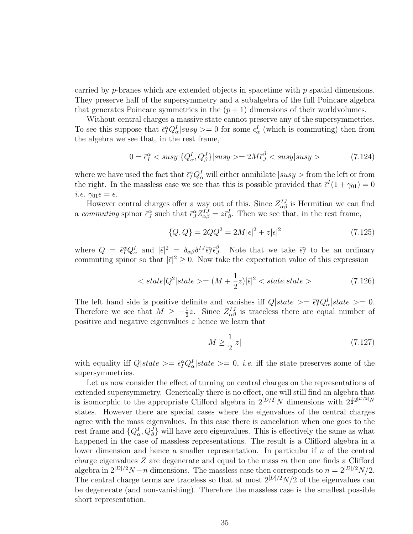carried by *p*-branes which are extended objects in spacetime with  $p$  spatial dimensions. They preserve half of the supersymmetry and a subalgebra of the full Poincare algebra that generates Poincare symmetries in the  $(p+1)$  dimensions of their worldvolumes.

Without central charges a massive state cannot preserve any of the supersymmetries. To see this suppose that  $\bar{\epsilon}_I^{\alpha} Q_{\alpha}^I | susy \rangle = 0$  for some  $\epsilon_{\alpha}^I$  (which is commuting) then from the algebra we see that, in the rest frame,

$$
0 = \bar{\epsilon}_I^{\alpha} < susy \left| \{ Q_\alpha^I, Q_\beta^J \} \right| susy \rangle = 2M \bar{\epsilon}_J^{\beta} < susy|susy \rangle \tag{7.124}
$$

where we have used the fact that  $\bar{\epsilon}_I^{\alpha} Q_{\alpha}^I$  will either annihilate  $|susy>$  from the left or from the right. In the massless case we see that this is possible provided that  $\bar{\epsilon}^I(1+\gamma_{01})=0$ *i.e.*  $\gamma_{01} \epsilon = \epsilon$ .

However central charges offer a way out of this. Since  $Z_{\alpha\beta}^{IJ}$  is Hermitian we can find a commuting spinor  $\bar{\epsilon}_J^{\alpha}$  such that  $\bar{\epsilon}_J^{\alpha} Z_{\alpha\beta}^{IJ} = z \bar{\epsilon}_{\beta}^I$ . Then we see that, in the rest frame,

$$
\{Q, Q\} = 2QQ^2 = 2M|\epsilon|^2 + z|\epsilon|^2 \tag{7.125}
$$

where  $Q = \bar{\epsilon}_I^{\alpha} Q_{\alpha}^I$  and  $|\bar{\epsilon}|^2 = \delta_{\alpha\beta} \delta^{IJ} \bar{\epsilon}_I^{\alpha} \bar{\epsilon}_J^{\beta}$  $\beta$ . Note that we take  $\bar{\epsilon}_I^{\alpha}$  to be an ordinary commuting spinor so that  $|\bar{\epsilon}|^2 \geq 0$ . Now take the expectation value of this expression

$$
\langle state|Q^2|state\rangle = (M + \frac{1}{2}z)|\bar{\epsilon}|^2 \langle state|state\rangle \tag{7.126}
$$

The left hand side is positive definite and vanishes iff  $Q|state\rangle = \bar{\epsilon}_I^{\alpha} Q_{\alpha}^I|state\rangle = 0.$ Therefore we see that  $M \geq -\frac{1}{2}z$ . Since  $Z_{\alpha\beta}^{IJ}$  is traceless there are equal number of positive and negative eigenvalues z hence we learn that

$$
M \ge \frac{1}{2}|z|\tag{7.127}
$$

with equality iff  $Q|state\rangle = \bar{\epsilon}_I^{\alpha} Q_{\alpha}^I |state\rangle = 0$ , *i.e.* iff the state preserves some of the supersymmetries.

Let us now consider the effect of turning on central charges on the representations of extended supersymmetry. Generically there is no effect, one will still find an algebra that is isomorphic to the appropriate Clifford algebra in  $2^{[D/2]}N$  dimensions with  $2^{\frac{1}{2}2^{[D/2]}N}$ states. However there are special cases where the eigenvalues of the central charges agree with the mass eigenvalues. In this case there is cancelation when one goes to the rest frame and  $\{Q^I_{\alpha}, Q^J_{\beta}\}\$  will have zero eigenvalues. This is effectively the same as what happened in the case of massless representations. The result is a Clifford algebra in a lower dimension and hence a smaller representation. In particular if  $n$  of the central charge eigenvalues  $Z$  are degenerate and equal to the mass  $m$  then one finds a Clifford algebra in  $2^{[D]/2}N - n$  dimensions. The massless case then corresponds to  $n = 2^{[D]/2}N/2$ . The central charge terms are traceless so that at most  $2^{[D]/2}N/2$  of the eigenvalues can be degenerate (and non-vanishing). Therefore the massless case is the smallest possible short representation.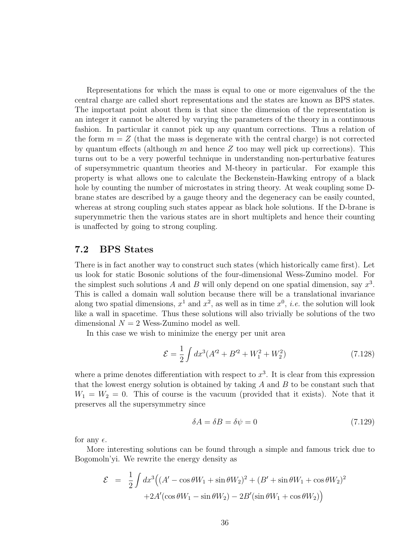Representations for which the mass is equal to one or more eigenvalues of the the central charge are called short representations and the states are known as BPS states. The important point about them is that since the dimension of the representation is an integer it cannot be altered by varying the parameters of the theory in a continuous fashion. In particular it cannot pick up any quantum corrections. Thus a relation of the form  $m = Z$  (that the mass is degenerate with the central charge) is not corrected by quantum effects (although m and hence  $Z$  too may well pick up corrections). This turns out to be a very powerful technique in understanding non-perturbative features of supersymmetric quantum theories and M-theory in particular. For example this property is what allows one to calculate the Beckenstein-Hawking entropy of a black hole by counting the number of microstates in string theory. At weak coupling some Dbrane states are described by a gauge theory and the degeneracy can be easily counted, whereas at strong coupling such states appear as black hole solutions. If the D-brane is superymmetric then the various states are in short multiplets and hence their counting is unaffected by going to strong coupling.

### 7.2 BPS States

There is in fact another way to construct such states (which historically came first). Let us look for static Bosonic solutions of the four-dimensional Wess-Zumino model. For the simplest such solutions A and B will only depend on one spatial dimension, say  $x^3$ . This is called a domain wall solution because there will be a translational invariance along two spatial dimensions,  $x^1$  and  $x^2$ , as well as in time  $x^0$ , *i.e.* the solution will look like a wall in spacetime. Thus these solutions will also trivially be solutions of the two dimensional  $N = 2$  Wess-Zumino model as well.

In this case we wish to minimize the energy per unit area

$$
\mathcal{E} = \frac{1}{2} \int dx^3 (A^{\prime 2} + B^{\prime 2} + W_1^2 + W_2^2)
$$
 (7.128)

where a prime denotes differentiation with respect to  $x^3$ . It is clear from this expression that the lowest energy solution is obtained by taking  $A$  and  $B$  to be constant such that  $W_1 = W_2 = 0$ . This of course is the vacuum (provided that it exists). Note that it preserves all the supersymmetry since

$$
\delta A = \delta B = \delta \psi = 0 \tag{7.129}
$$

for any  $\epsilon$ .

More interesting solutions can be found through a simple and famous trick due to Bogomoln'yi. We rewrite the energy density as

$$
\mathcal{E} = \frac{1}{2} \int dx^3 \Big( (A' - \cos \theta W_1 + \sin \theta W_2)^2 + (B' + \sin \theta W_1 + \cos \theta W_2)^2
$$

$$
+ 2A' (\cos \theta W_1 - \sin \theta W_2) - 2B' (\sin \theta W_1 + \cos \theta W_2) \Big)
$$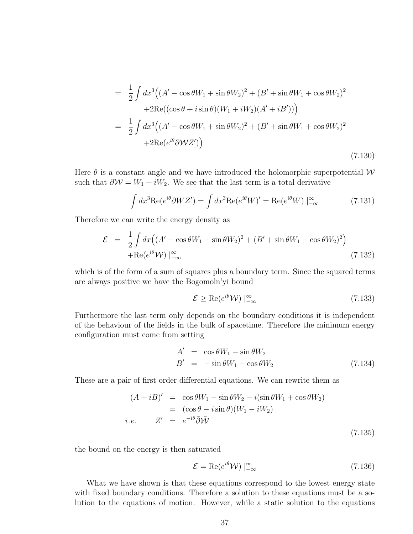$$
= \frac{1}{2} \int dx^3 ((A' - \cos \theta W_1 + \sin \theta W_2)^2 + (B' + \sin \theta W_1 + \cos \theta W_2)^2
$$
  
+2Re((cos \theta + i sin \theta)(W\_1 + iW\_2)(A' + iB'))  

$$
= \frac{1}{2} \int dx^3 ((A' - \cos \theta W_1 + \sin \theta W_2)^2 + (B' + \sin \theta W_1 + \cos \theta W_2)^2
$$
  
+2Re( $e^{i\theta}$   $\partial WZ')$ ) (7.130)

Here  $\theta$  is a constant angle and we have introduced the holomorphic superpotential W such that  $\partial W = W_1 + iW_2$ . We see that the last term is a total derivative

$$
\int dx^3 \text{Re}(e^{i\theta} \partial W Z') = \int dx^3 \text{Re}(e^{i\theta} W)' = \text{Re}(e^{i\theta} W) \Big|_{-\infty}^{\infty} \tag{7.131}
$$

Therefore we can write the energy density as

$$
\mathcal{E} = \frac{1}{2} \int dx \Big( (A' - \cos \theta W_1 + \sin \theta W_2)^2 + (B' + \sin \theta W_1 + \cos \theta W_2)^2 \Big) + \text{Re}(e^{i\theta} \mathcal{W}) \Big|_{-\infty}^{\infty}
$$
(7.132)

which is of the form of a sum of squares plus a boundary term. Since the squared terms are always positive we have the Bogomoln'yi bound

$$
\mathcal{E} \ge \text{Re}(e^{i\theta} \mathcal{W}) \mid_{-\infty}^{\infty} \tag{7.133}
$$

Furthermore the last term only depends on the boundary conditions it is independent of the behaviour of the fields in the bulk of spacetime. Therefore the minimum energy configuration must come from setting

$$
A' = \cos \theta W_1 - \sin \theta W_2
$$
  
\n
$$
B' = -\sin \theta W_1 - \cos \theta W_2
$$
\n(7.134)

These are a pair of first order differential equations. We can rewrite them as

$$
(A + iB)' = \cos \theta W_1 - \sin \theta W_2 - i(\sin \theta W_1 + \cos \theta W_2)
$$
  
=  $(\cos \theta - i \sin \theta)(W_1 - iW_2)$   
*i.e.*  $Z' = e^{-i\theta} \overline{\partial} \overline{W}$  (7.135)

the bound on the energy is then saturated

$$
\mathcal{E} = \text{Re}(e^{i\theta} \mathcal{W}) \mid_{-\infty}^{\infty} \tag{7.136}
$$

What we have shown is that these equations correspond to the lowest energy state with fixed boundary conditions. Therefore a solution to these equations must be a solution to the equations of motion. However, while a static solution to the equations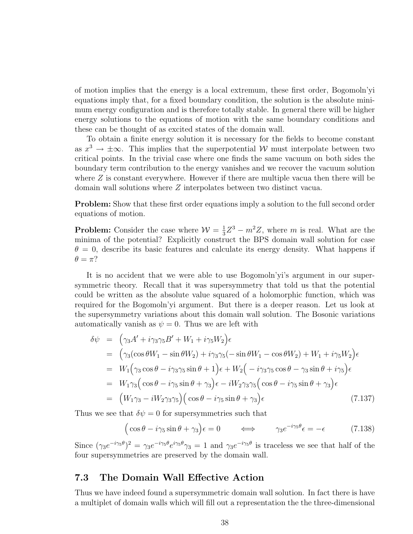of motion implies that the energy is a local extremum, these first order, Bogomoln'yi equations imply that, for a fixed boundary condition, the solution is the absolute minimum energy configuration and is therefore totally stable. In general there will be higher energy solutions to the equations of motion with the same boundary conditions and these can be thought of as excited states of the domain wall.

To obtain a finite energy solution it is necessary for the fields to become constant as  $x^3 \to \pm \infty$ . This implies that the superpotential W must interpolate between two critical points. In the trivial case where one finds the same vacuum on both sides the boundary term contribution to the energy vanishes and we recover the vacuum solution where  $Z$  is constant everywhere. However if there are multiple vacua then there will be domain wall solutions where Z interpolates between two distinct vacua.

**Problem:** Show that these first order equations imply a solution to the full second order equations of motion.

**Problem:** Consider the case where  $\mathcal{W} = \frac{1}{3}$  $\frac{1}{3}Z^3 - m^2Z$ , where m is real. What are the minima of the potential? Explicitly construct the BPS domain wall solution for case  $\theta = 0$ , describe its basic features and calculate its energy density. What happens if  $\theta = \pi$ ?

It is no accident that we were able to use Bogomoln'yi's argument in our supersymmetric theory. Recall that it was supersymmetry that told us that the potential could be written as the absolute value squared of a holomorphic function, which was required for the Bogomoln'yi argument. But there is a deeper reason. Let us look at the supersymmetry variations about this domain wall solution. The Bosonic variations automatically vanish as  $\psi = 0$ . Thus we are left with

$$
\delta\psi = \left(\gamma_3 A' + i\gamma_3 \gamma_5 B' + W_1 + i\gamma_5 W_2\right)\epsilon
$$
  
\n
$$
= \left(\gamma_3 (\cos \theta W_1 - \sin \theta W_2) + i\gamma_3 \gamma_5 (-\sin \theta W_1 - \cos \theta W_2) + W_1 + i\gamma_5 W_2\right)\epsilon
$$
  
\n
$$
= W_1 \left(\gamma_3 \cos \theta - i\gamma_3 \gamma_5 \sin \theta + 1\right)\epsilon + W_2 \left(-i\gamma_3 \gamma_5 \cos \theta - \gamma_3 \sin \theta + i\gamma_5\right)\epsilon
$$
  
\n
$$
= W_1 \gamma_3 \left(\cos \theta - i\gamma_5 \sin \theta + \gamma_3\right)\epsilon - iW_2 \gamma_3 \gamma_5 \left(\cos \theta - i\gamma_5 \sin \theta + \gamma_3\right)\epsilon
$$
  
\n
$$
= \left(W_1 \gamma_3 - iW_2 \gamma_3 \gamma_5\right) \left(\cos \theta - i\gamma_5 \sin \theta + \gamma_3\right)\epsilon
$$
  
\n(7.137)

Thus we see that  $\delta \psi = 0$  for supersymmetries such that

$$
(\cos \theta - i\gamma_5 \sin \theta + \gamma_3)\epsilon = 0 \qquad \Longleftrightarrow \qquad \gamma_3 e^{-i\gamma_5 \theta} \epsilon = -\epsilon \qquad (7.138)
$$

Since  $(\gamma_3 e^{-i\gamma_5 \theta})^2 = \gamma_3 e^{-i\gamma_5 \theta} e^{i\gamma_5 \theta} \gamma_3 = 1$  and  $\gamma_3 e^{-i\gamma_5 \theta}$  is traceless we see that half of the four supersymmetries are preserved by the domain wall.

### 7.3 The Domain Wall Effective Action

Thus we have indeed found a supersymmetric domain wall solution. In fact there is have a multiplet of domain walls which will fill out a representation the the three-dimensional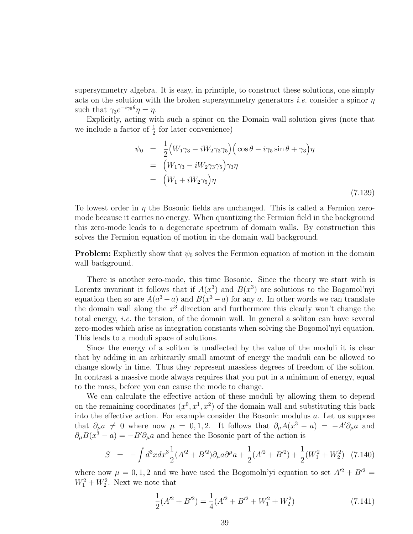supersymmetry algebra. It is easy, in principle, to construct these solutions, one simply acts on the solution with the broken supersymmetry generators *i.e.* consider a spinor  $\eta$ such that  $\gamma_3 e^{-i\gamma_5 \theta} \eta = \eta$ .

Explicitly, acting with such a spinor on the Domain wall solution gives (note that we include a factor of  $\frac{1}{2}$  for later convenience)

$$
\psi_0 = \frac{1}{2} \Big( W_1 \gamma_3 - i W_2 \gamma_3 \gamma_5 \Big) \Big( \cos \theta - i \gamma_5 \sin \theta + \gamma_3 \Big) \eta
$$
  
\n
$$
= \Big( W_1 \gamma_3 - i W_2 \gamma_3 \gamma_5 \Big) \gamma_3 \eta
$$
  
\n
$$
= \Big( W_1 + i W_2 \gamma_5 \Big) \eta
$$
  
\n(7.139)

To lowest order in  $\eta$  the Bosonic fields are unchanged. This is called a Fermion zeromode because it carries no energy. When quantizing the Fermion field in the background this zero-mode leads to a degenerate spectrum of domain walls. By construction this solves the Fermion equation of motion in the domain wall background.

**Problem:** Explicitly show that  $\psi_0$  solves the Fermion equation of motion in the domain wall background.

There is another zero-mode, this time Bosonic. Since the theory we start with is Lorentz invariant it follows that if  $A(x^3)$  and  $B(x^3)$  are solutions to the Bogomol'nyi equation then so are  $A(a^3 - a)$  and  $B(x^3 - a)$  for any a. In other words we can translate the domain wall along the  $x^3$  direction and furthermore this clearly won't change the total energy, i.e. the tension, of the domain wall. In general a soliton can have several zero-modes which arise as integration constants when solving the Bogomol'nyi equation. This leads to a moduli space of solutions.

Since the energy of a soliton is unaffected by the value of the moduli it is clear that by adding in an arbitrarily small amount of energy the moduli can be allowed to change slowly in time. Thus they represent massless degrees of freedom of the soliton. In contrast a massive mode always requires that you put in a minimum of energy, equal to the mass, before you can cause the mode to change.

We can calculate the effective action of these moduli by allowing them to depend on the remaining coordinates  $(x^0, x^1, x^2)$  of the domain wall and substituting this back into the effective action. For example consider the Bosonic modulus a. Let us suppose that  $\partial_{\mu}a \neq 0$  where now  $\mu = 0, 1, 2$ . It follows that  $\partial_{\mu}A(x^3 - a) = -A' \partial_{\mu}a$  and  $\partial_{\mu}B(x^3 - a) = -B'\partial_{\mu}a$  and hence the Bosonic part of the action is

$$
S = -\int d^3x dx^3 \frac{1}{2} (A'^2 + B'^2) \partial_\mu a \partial^\mu a + \frac{1}{2} (A'^2 + B'^2) + \frac{1}{2} (W_1^2 + W_2^2) \tag{7.140}
$$

where now  $\mu = 0, 1, 2$  and we have used the Bogomoln'yi equation to set  $A^{2} + B^{2} =$  $W_1^2 + W_2^2$ . Next we note that

$$
\frac{1}{2}(A'^2 + B'^2) = \frac{1}{4}(A'^2 + B'^2 + W_1^2 + W_2^2)
$$
\n(7.141)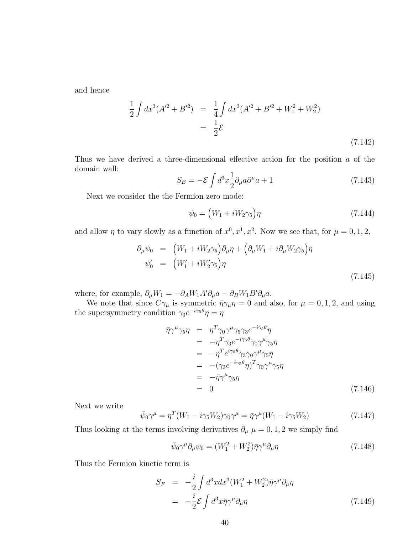and hence

$$
\frac{1}{2} \int dx^3 (A'^2 + B'^2) = \frac{1}{4} \int dx^3 (A'^2 + B'^2 + W_1^2 + W_2^2)
$$
  
= 
$$
\frac{1}{2} \mathcal{E}
$$
 (7.142)

Thus we have derived a three-dimensional effective action for the position a of the domain wall:

$$
S_B = -\mathcal{E} \int d^3x \frac{1}{2} \partial_\mu a \partial^\mu a + 1 \tag{7.143}
$$

Next we consider the the Fermion zero mode:

$$
\psi_0 = \left(W_1 + iW_2\gamma_5\right)\eta\tag{7.144}
$$

and allow  $\eta$  to vary slowly as a function of  $x^0, x^1, x^2$ . Now we see that, for  $\mu = 0, 1, 2$ ,

$$
\partial_{\mu}\psi_0 = \left(W_1 + iW_2\gamma_5\right)\partial_{\mu}\eta + \left(\partial_{\mu}W_1 + i\partial_{\mu}W_2\gamma_5\right)\eta
$$
  

$$
\psi_0' = \left(W_1' + iW_2'\gamma_5\right)\eta
$$
\n(7.145)

where, for example,  $\partial_{\mu}W_1 = -\partial_A W_1 A' \partial_{\mu} a - \partial_B W_1 B' \partial_{\mu} a$ .

We note that since  $C\gamma_\mu$  is symmetric  $\bar{\eta}\gamma_\mu\eta = 0$  and also, for  $\mu = 0, 1, 2$ , and using the supersymmetry condition  $\gamma_3 e^{-i\gamma_5 \theta} \eta = \eta$ 

$$
\begin{array}{rcl}\n\bar{\eta}\gamma^{\mu}\gamma_{5}\eta & = & \eta^{T}\gamma_{0}\gamma^{\mu}\gamma_{5}\gamma_{3}e^{-i\gamma_{5}\theta}\eta \\
& = & -\eta^{T}\gamma_{3}e^{-i\gamma_{5}\theta}\gamma_{0}\gamma^{\mu}\gamma_{5}\eta \\
& = & -\eta^{T}e^{i\gamma_{5}\theta}\gamma_{3}\gamma_{0}\gamma^{\mu}\gamma_{5}\eta \\
& = & -(\gamma_{3}e^{-i\gamma_{5}\theta}\eta)^{T}\gamma_{0}\gamma^{\mu}\gamma_{5}\eta \\
& = & -\bar{\eta}\gamma^{\mu}\gamma_{5}\eta \\
& = & 0\n\end{array} \tag{7.146}
$$

Next we write

$$
\bar{\psi}_0 \gamma^\mu = \eta^T (W_1 - i \gamma_5 W_2) \gamma_0 \gamma^\mu = \bar{\eta} \gamma^\mu (W_1 - i \gamma_5 W_2) \tag{7.147}
$$

Thus looking at the terms involving derivatives  $\partial_{\mu} \mu = 0, 1, 2$  we simply find

$$
\bar{\psi}_0 \gamma^\mu \partial_\mu \psi_0 = (W_1^2 + W_2^2) \bar{\eta} \gamma^\mu \partial_\mu \eta \tag{7.148}
$$

Thus the Fermion kinetic term is

$$
S_F = -\frac{i}{2} \int d^3x dx^3 (W_1^2 + W_2^2) \bar{\eta} \gamma^\mu \partial_\mu \eta
$$
  
= 
$$
-\frac{i}{2} \mathcal{E} \int d^3x \bar{\eta} \gamma^\mu \partial_\mu \eta
$$
(7.149)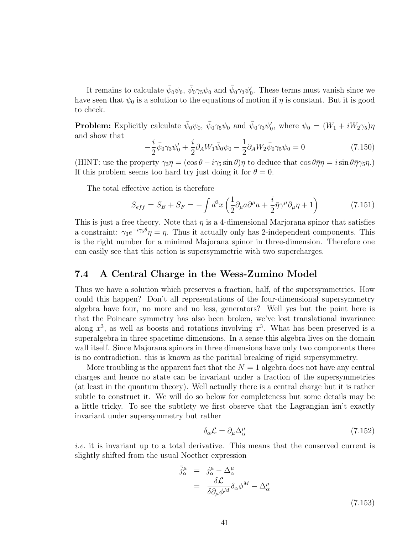It remains to calculate  $\bar{\psi}_0\psi_0$ ,  $\bar{\psi}_0\gamma_5\psi_0$  and  $\bar{\psi}_0\gamma_3\psi'_0$ . These terms must vanish since we have seen that  $\psi_0$  is a solution to the equations of motion if  $\eta$  is constant. But it is good to check.

**Problem:** Explicitly calculate  $\bar{\psi}_0 \psi_0$ ,  $\bar{\psi}_0 \gamma_5 \psi_0$  and  $\bar{\psi}_0 \gamma_3 \psi'_0$ , where  $\psi_0 = (W_1 + iW_2 \gamma_5)\eta$ and show that

$$
-\frac{i}{2}\bar{\psi}_0\gamma_3\psi'_0 + \frac{i}{2}\partial_A W_1\bar{\psi}_0\psi_0 - \frac{1}{2}\partial_A W_2\bar{\psi}_0\gamma_5\psi_0 = 0
$$
\n(7.150)

(HINT: use the property  $\gamma_3 \eta = (\cos \theta - i \gamma_5 \sin \theta) \eta$  to deduce that  $\cos \theta \bar{\eta} \eta = i \sin \theta \bar{\eta} \gamma_5 \eta$ .) If this problem seems too hard try just doing it for  $\theta = 0$ .

The total effective action is therefore

$$
S_{eff} = S_B + S_F = -\int d^3x \left(\frac{1}{2}\partial_\mu a \partial^\mu a + \frac{i}{2}\bar{\eta}\gamma^\mu \partial_\mu \eta + 1\right) \tag{7.151}
$$

This is just a free theory. Note that  $\eta$  is a 4-dimensional Marjorana spinor that satisfies a constraint:  $\gamma_3 e^{-i\gamma_5 \theta} \eta = \eta$ . Thus it actually only has 2-independent components. This is the right number for a minimal Majorana spinor in three-dimension. Therefore one can easily see that this action is supersymmetric with two supercharges.

### 7.4 A Central Charge in the Wess-Zumino Model

Thus we have a solution which preserves a fraction, half, of the supersymmetries. How could this happen? Don't all representations of the four-dimensional supersymmetry algebra have four, no more and no less, generators? Well yes but the point here is that the Poincare symmetry has also been broken, we've lost translational invariance along  $x^3$ , as well as boosts and rotations involving  $x^3$ . What has been preserved is a superalgebra in three spacetime dimensions. In a sense this algebra lives on the domain wall itself. Since Majorana spinors in three dimensions have only two components there is no contradiction. this is known as the paritial breaking of rigid supersymmetry.

More troubling is the apparent fact that the  $N = 1$  algebra does not have any central charges and hence no state can be invariant under a fraction of the supersymmetries (at least in the quantum theory). Well actually there is a central charge but it is rather subtle to construct it. We will do so below for completeness but some details may be a little tricky. To see the subtlety we first observe that the Lagrangian isn't exactly invariant under supersymmetry but rather

$$
\delta_{\alpha}\mathcal{L} = \partial_{\mu}\Delta^{\mu}_{\alpha} \tag{7.152}
$$

i.e. it is invariant up to a total derivative. This means that the conserved current is slightly shifted from the usual Noether expression

$$
\tilde{j}^{\mu}_{\alpha} = j^{\mu}_{\alpha} - \Delta^{\mu}_{\alpha} \n= \frac{\delta \mathcal{L}}{\delta \partial_{\mu} \phi^{M}} \delta_{\alpha} \phi^{M} - \Delta^{\mu}_{\alpha}
$$
\n(7.153)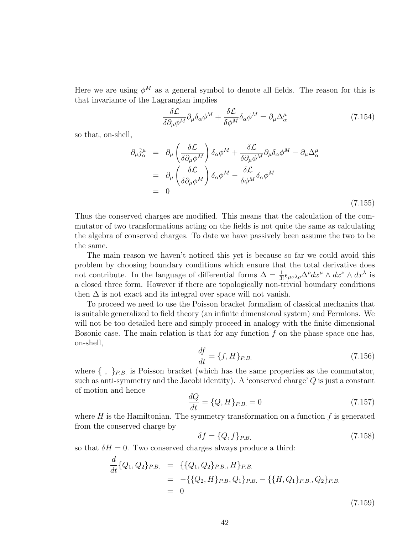Here we are using  $\phi^M$  as a general symbol to denote all fields. The reason for this is that invariance of the Lagrangian implies

$$
\frac{\delta \mathcal{L}}{\delta \partial_{\mu} \phi^{M}} \partial_{\mu} \delta_{\alpha} \phi^{M} + \frac{\delta \mathcal{L}}{\delta \phi^{M}} \delta_{\alpha} \phi^{M} = \partial_{\mu} \Delta^{\mu}_{\alpha} \tag{7.154}
$$

so that, on-shell,

$$
\partial_{\mu}\tilde{j}_{\alpha}^{\mu} = \partial_{\mu}\left(\frac{\delta \mathcal{L}}{\delta \partial_{\mu}\phi^{M}}\right)\delta_{\alpha}\phi^{M} + \frac{\delta \mathcal{L}}{\delta \partial_{\mu}\phi^{M}}\partial_{\mu}\delta_{\alpha}\phi^{M} - \partial_{\mu}\Delta_{\alpha}^{\mu}
$$
\n
$$
= \partial_{\mu}\left(\frac{\delta \mathcal{L}}{\delta \partial_{\mu}\phi^{M}}\right)\delta_{\alpha}\phi^{M} - \frac{\delta \mathcal{L}}{\delta \phi^{M}}\delta_{\alpha}\phi^{M}
$$
\n
$$
= 0
$$
\n(7.155)

Thus the conserved charges are modified. This means that the calculation of the commutator of two transformations acting on the fields is not quite the same as calculating the algebra of conserved charges. To date we have passively been assume the two to be the same.

The main reason we haven't noticed this yet is because so far we could avoid this problem by choosing boundary conditions which ensure that the total derivative does not contribute. In the language of differential forms  $\Delta = \frac{1}{3!} \epsilon_{\mu\nu\lambda\rho} \Delta^{\rho} dx^{\mu} \wedge dx^{\nu} \wedge dx^{\lambda}$  is a closed three form. However if there are topologically non-trivial boundary conditions then  $\Delta$  is not exact and its integral over space will not vanish.

To proceed we need to use the Poisson bracket formalism of classical mechanics that is suitable generalized to field theory (an infinite dimensional system) and Fermions. We will not be too detailed here and simply proceed in analogy with the finite dimensional Bosonic case. The main relation is that for any function  $f$  on the phase space one has, on-shell,

$$
\frac{df}{dt} = \{f, H\}_{P.B.} \tag{7.156}
$$

where  $\{\ ,\ \}_{P.B.}$  is Poisson bracket (which has the same properties as the commutator, such as anti-symmetry and the Jacobi identity). A 'conserved charge'  $Q$  is just a constant of motion and hence

$$
\frac{dQ}{dt} = \{Q, H\}_{P.B.} = 0\tag{7.157}
$$

where  $H$  is the Hamiltonian. The symmetry transformation on a function  $f$  is generated from the conserved charge by

$$
\delta f = \{Q, f\}_{P.B.} \tag{7.158}
$$

so that  $\delta H = 0$ . Two conserved charges always produce a third:

$$
\frac{d}{dt} \{Q_1, Q_2\}_{P.B.} = \{ \{Q_1, Q_2\}_{P.B.}, H \}_{P.B.}
$$
\n
$$
= - \{ \{Q_2, H \}_{P.B.}, Q_1 \}_{P.B.} - \{ \{H, Q_1\}_{P.B.}, Q_2 \}_{P.B.}
$$
\n
$$
= 0
$$
\n(7.159)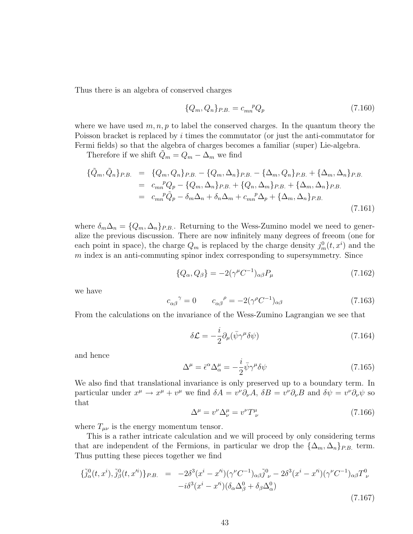Thus there is an algebra of conserved charges

$$
\{Q_m, Q_n\}_{P.B.} = c_{mn}^{\ \ p} Q_p \tag{7.160}
$$

where we have used  $m, n, p$  to label the conserved charges. In the quantum theory the Poisson bracket is replaced by i times the commutator (or just the anti-commutator for Fermi fields) so that the algebra of charges becomes a familiar (super) Lie-algebra.

Therefore if we shift  $Q_m = Q_m - \Delta_m$  we find

$$
\{\tilde{Q}_m, \tilde{Q}_n\}_{P.B.} = \{Q_m, Q_n\}_{P.B.} - \{Q_m, \Delta_n\}_{P.B.} - \{\Delta_m, Q_n\}_{P.B.} + \{\Delta_m, \Delta_n\}_{P.B.}
$$
  
\n
$$
= c_{mn}{}^p Q_p - \{Q_m, \Delta_n\}_{P.B.} + \{Q_n, \Delta_m\}_{P.B.} + \{\Delta_m, \Delta_n\}_{P.B.}
$$
  
\n
$$
= c_{mn}{}^p \tilde{Q}_p - \delta_m \Delta_n + \delta_n \Delta_m + c_{mn}{}^p \Delta_p + \{\Delta_m, \Delta_n\}_{P.B.}
$$
\n(7.161)

where  $\delta_m \Delta_n = \{Q_m, \Delta_n\}_{P.B.}$ . Returning to the Wess-Zumino model we need to generalize the previous discussion. There are now infinitely many degrees of freeom (one for each point in space), the charge  $Q_m$  is replaced by the charge density  $j_m^0(t, x^i)$  and the  $m$  index is an anti-commuting spinor index corresponding to supersymmetry. Since

$$
\{Q_{\alpha}, Q_{\beta}\} = -2(\gamma^{\mu}C^{-1})_{\alpha\beta}P_{\mu} \tag{7.162}
$$

we have

$$
c_{\alpha\beta}^{\qquad \gamma} = 0 \qquad c_{\alpha\beta}^{\qquad \rho} = -2(\gamma^{\rho}C^{-1})_{\alpha\beta} \tag{7.163}
$$

From the calculations on the invariance of the Wess-Zumino Lagrangian we see that

$$
\delta \mathcal{L} = -\frac{i}{2} \partial_{\mu} (\bar{\psi} \gamma^{\mu} \delta \psi) \tag{7.164}
$$

and hence

$$
\Delta^{\mu} = \bar{\epsilon}^{\alpha} \Delta^{\mu}_{\alpha} = -\frac{i}{2} \bar{\psi} \gamma^{\mu} \delta \psi \tag{7.165}
$$

We also find that translational invariance is only preserved up to a boundary term. In particular under  $x^{\mu} \to x^{\mu} + v^{\mu}$  we find  $\delta A = v^{\nu} \partial_{\nu} A$ ,  $\delta B = v^{\nu} \partial_{\nu} B$  and  $\delta \psi = v^{\nu} \partial_{\nu} \psi$  so that

$$
\Delta^{\mu} = v^{\nu} \Delta^{\mu}_{\nu} = v^{\nu} T^{\mu}_{\ \nu} \tag{7.166}
$$

where  $T_{\mu\nu}$  is the energy momentum tensor.

This is a rather intricate calculation and we will proceed by only considering terms that are independent of the Fermions, in particular we drop the  $\{\Delta_m, \Delta_n\}_{P.B.}$  term. Thus putting these pieces together we find

$$
\{\tilde{j}^{0}_{\alpha}(t, x^{i}), \tilde{j}^{0}_{\beta}(t, x'^{i})\}_{P.B.} = -2\delta^{3}(x^{i} - x'^{i})(\gamma^{\nu}C^{-1})_{\alpha\beta}\tilde{j}^{0}_{\ \nu} - 2\delta^{3}(x^{i} - x'^{i})(\gamma^{\nu}C^{-1})_{\alpha\beta}T^{0}_{\ \nu} \n- i\delta^{3}(x^{i} - x'^{i})(\delta_{\alpha}\Delta_{\beta}^{0} + \delta_{\beta}\Delta_{\alpha}^{0})
$$
\n(7.167)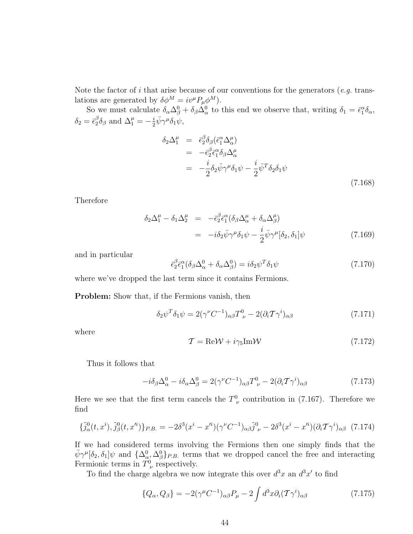Note the factor of i that arise because of our conventions for the generators  $(e.g.$  translations are generated by  $\delta \phi^M = i v^\mu P_\mu \phi^M$ .

So we must calculate  $\delta_{\alpha}\Delta_{\beta}^{0} + \delta_{\beta}\Delta_{\alpha}^{0}$  to this end we observe that, writing  $\delta_{1} = \bar{\epsilon}_{1}^{\alpha}\delta_{\alpha}$ ,  $\delta_2=\bar{\epsilon}_2^\beta$  ${}^{\beta}_{2}\delta_{\beta}$  and  $\Delta^{\mu}_{1}=-\frac{i}{2}$  $\frac{i}{2}\bar{\psi}\gamma^{\mu}\delta_{1}\psi,$ 

$$
\delta_2 \Delta_1^{\mu} = \bar{\epsilon}_2^{\beta} \delta_{\beta} (\bar{\epsilon}_1^{\alpha} \Delta_{\alpha}^{\mu})
$$
  
\n
$$
= -\bar{\epsilon}_2^{\beta} \bar{\epsilon}_1^{\alpha} \delta_{\beta} \Delta_{\alpha}^{\mu}
$$
  
\n
$$
= -\frac{i}{2} \delta_2 \bar{\psi} \gamma^{\mu} \delta_1 \psi - \frac{i}{2} \bar{\psi}^T \delta_2 \delta_1 \psi
$$
  
\n(7.168)

Therefore

$$
\delta_2 \Delta_1^{\mu} - \delta_1 \Delta_2^{\mu} = -\bar{\epsilon}_2^{\beta} \bar{\epsilon}_1^{\alpha} (\delta_\beta \Delta_\alpha^{\mu} + \delta_\alpha \Delta_\beta^{\mu})
$$
  

$$
= -i \delta_2 \bar{\psi} \gamma^{\mu} \delta_1 \psi - \frac{i}{2} \bar{\psi} \gamma^{\mu} [\delta_2, \delta_1] \psi \qquad (7.169)
$$

and in particular

$$
\bar{\epsilon}_2^{\beta} \bar{\epsilon}_1^{\alpha} (\delta_{\beta} \Delta_{\alpha}^0 + \delta_{\alpha} \Delta_{\beta}^0) = i \delta_2 \psi^T \delta_1 \psi \tag{7.170}
$$

where we've dropped the last term since it contains Fermions.

Problem: Show that, if the Fermions vanish, then

$$
\delta_2 \psi^T \delta_1 \psi = 2(\gamma^{\nu} C^{-1})_{\alpha \beta} T^0_{\ \nu} - 2(\partial_i T \gamma^i)_{\alpha \beta} \tag{7.171}
$$

where

$$
\mathcal{T} = \text{Re}\mathcal{W} + i\gamma_5 \text{Im}\mathcal{W} \tag{7.172}
$$

Thus it follows that

$$
-i\delta_{\beta}\Delta_{\alpha}^{0} - i\delta_{\alpha}\Delta_{\beta}^{0} = 2(\gamma^{\nu}C^{-1})_{\alpha\beta}T_{\nu}^{0} - 2(\partial_{i}\mathcal{T}\gamma^{i})_{\alpha\beta} \tag{7.173}
$$

Here we see that the first term cancels the  $T^0_{\nu}$  contribution in (7.167). Therefore we find

$$
\{\tilde{j}^0_\alpha(t, x^i), \tilde{j}^0_\beta(t, x'^i)\}_{P.B.} = -2\delta^3(x^i - x'^i)(\gamma^\nu C^{-1})_{\alpha\beta}\tilde{j}^0_{\ \nu} - 2\delta^3(x^i - x'^i)(\partial_i \mathcal{T}\gamma^i)_{\alpha\beta} \tag{7.174}
$$

If we had considered terms involving the Fermions then one simply finds that the  $\bar{\psi}\gamma^{\mu}[\delta_2,\delta_1]\psi$  and  $\{\Delta^0_{\alpha},\Delta^0_{\beta}\}_{P.B.}$  terms that we dropped cancel the free and interacting Fermionic terms in  $T^0_{\nu}$  respectively.

To find the charge algebra we now integrate this over  $d^3x$  an  $d^3x'$  to find

$$
\{Q_{\alpha}, Q_{\beta}\} = -2(\gamma^{\mu}C^{-1})_{\alpha\beta}P_{\mu} - 2\int d^{3}x \partial_{i}(T\gamma^{i})_{\alpha\beta} \qquad (7.175)
$$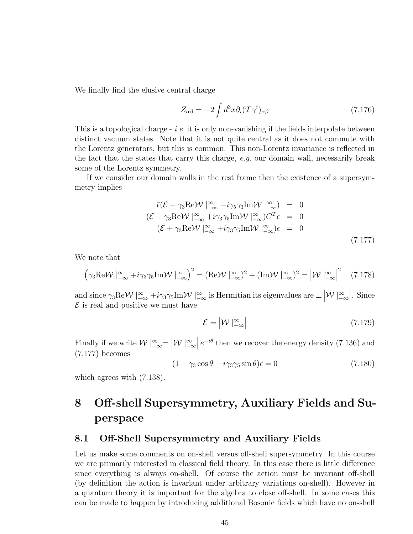We finally find the elusive central charge

$$
Z_{\alpha\beta} = -2 \int d^3x \partial_i (\mathcal{T}\gamma^i)_{\alpha\beta} \tag{7.176}
$$

This is a topological charge  $-i.e.$  it is only non-vanishing if the fields interpolate between distinct vacuum states. Note that it is not quite central as it does not commute with the Lorentz generators, but this is common. This non-Lorentz invariance is reflected in the fact that the states that carry this charge,  $e.g.$  our domain wall, necessarily break some of the Lorentz symmetry.

If we consider our domain walls in the rest frame then the existence of a supersymmetry implies

$$
\overline{\epsilon}(\mathcal{E} - \gamma_3 \text{Re}\mathcal{W} \mid_{-\infty}^{\infty} -i\gamma_5 \gamma_3 \text{Im}\mathcal{W} \mid_{-\infty}^{\infty}) = 0
$$
  

$$
(\mathcal{E} - \gamma_3 \text{Re}\mathcal{W} \mid_{-\infty}^{\infty} +i\gamma_3 \gamma_5 \text{Im}\mathcal{W} \mid_{-\infty}^{\infty})C^T \epsilon = 0
$$
  

$$
(\mathcal{E} + \gamma_3 \text{Re}\mathcal{W} \mid_{-\infty}^{\infty} +i\gamma_3 \gamma_5 \text{Im}\mathcal{W} \mid_{-\infty}^{\infty})\epsilon = 0
$$
  
(7.177)

We note that

$$
\left(\gamma_3 \text{Re}\mathcal{W}\mid_{-\infty}^{\infty} + i\gamma_3 \gamma_5 \text{Im}\mathcal{W}\mid_{-\infty}^{\infty}\right)^2 = \left(\text{Re}\mathcal{W}\mid_{-\infty}^{\infty}\right)^2 + \left(\text{Im}\mathcal{W}\mid_{-\infty}^{\infty}\right)^2 = \left|\mathcal{W}\mid_{-\infty}^{\infty}\right|^2 \quad (7.178)
$$

and since  $\gamma_3 \text{Re}\mathcal{W} \mid_{-\infty}^{\infty} + i\gamma_3 \gamma_5 \text{Im}\mathcal{W} \mid_{-\infty}^{\infty}$  is Hermitian its eigenvalues are  $\pm |\mathcal{W}| \sim_{-\infty}^{\infty}$ . Since  $\mathcal E$  is real and positive we must have

$$
\mathcal{E} = |\mathcal{W}|_{-\infty}^{\infty} \tag{7.179}
$$

Finally if we write  $\mathcal{W} \mid_{-\infty}^{\infty} = |\mathcal{W}| \sim_{\infty}^{\infty} e^{-i\theta}$  then we recover the energy density (7.136) and (7.177) becomes

$$
(1 + \gamma_3 \cos \theta - i\gamma_3 \gamma_5 \sin \theta)\epsilon = 0 \tag{7.180}
$$

which agrees with (7.138).

## 8 Off-shell Supersymmetry, Auxiliary Fields and Superspace

### 8.1 Off-Shell Supersymmetry and Auxiliary Fields

Let us make some comments on on-shell versus off-shell supersymmetry. In this course we are primarily interested in classical field theory. In this case there is little difference since everything is always on-shell. Of course the action must be invariant off-shell (by definition the action is invariant under arbitrary variations on-shell). However in a quantum theory it is important for the algebra to close off-shell. In some cases this can be made to happen by introducing additional Bosonic fields which have no on-shell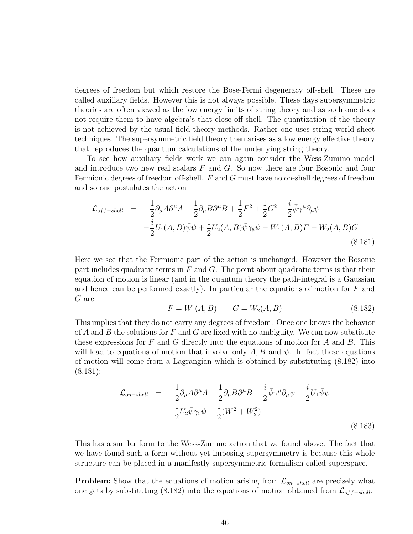degrees of freedom but which restore the Bose-Fermi degeneracy off-shell. These are called auxiliary fields. However this is not always possible. These days supersymmetric theories are often viewed as the low energy limits of string theory and as such one does not require them to have algebra's that close off-shell. The quantization of the theory is not achieved by the usual field theory methods. Rather one uses string world sheet techniques. The supersymmetric field theory then arises as a low energy effective theory that reproduces the quantum calculations of the underlying string theory.

To see how auxiliary fields work we can again consider the Wess-Zumino model and introduce two new real scalars  $F$  and  $G$ . So now there are four Bosonic and four Fermionic degrees of freedom off-shell. F and G must have no on-shell degrees of freedom and so one postulates the action

$$
\mathcal{L}_{off-shell} = -\frac{1}{2}\partial_{\mu}A\partial^{\mu}A - \frac{1}{2}\partial_{\mu}B\partial^{\mu}B + \frac{1}{2}F^{2} + \frac{1}{2}G^{2} - \frac{i}{2}\bar{\psi}\gamma^{\mu}\partial_{\mu}\psi \n- \frac{i}{2}U_{1}(A,B)\bar{\psi}\psi + \frac{1}{2}U_{2}(A,B)\bar{\psi}\gamma_{5}\psi - W_{1}(A,B)F - W_{2}(A,B)G
$$
\n(8.181)

Here we see that the Fermionic part of the action is unchanged. However the Bosonic part includes quadratic terms in  $F$  and  $G$ . The point about quadratic terms is that their equation of motion is linear (and in the quantum theory the path-integral is a Gaussian and hence can be performed exactly). In particular the equations of motion for  $F$  and G are

$$
F = W_1(A, B) \qquad G = W_2(A, B) \tag{8.182}
$$

This implies that they do not carry any degrees of freedom. Once one knows the behavior of A and B the solutions for F and G are fixed with no ambiguity. We can now substitute these expressions for  $F$  and  $G$  directly into the equations of motion for  $A$  and  $B$ . This will lead to equations of motion that involve only  $A, B$  and  $\psi$ . In fact these equations of motion will come from a Lagrangian which is obtained by substituting (8.182) into (8.181):

$$
\mathcal{L}_{on-shell} = -\frac{1}{2}\partial_{\mu}A\partial^{\mu}A - \frac{1}{2}\partial_{\mu}B\partial^{\mu}B - \frac{i}{2}\bar{\psi}\gamma^{\mu}\partial_{\mu}\psi - \frac{i}{2}U_{1}\bar{\psi}\psi
$$
  
 
$$
+\frac{1}{2}U_{2}\bar{\psi}\gamma_{5}\psi - \frac{1}{2}(W_{1}^{2} + W_{2}^{2})
$$
(8.183)

This has a similar form to the Wess-Zumino action that we found above. The fact that we have found such a form without yet imposing supersymmetry is because this whole structure can be placed in a manifestly supersymmetric formalism called superspace.

**Problem:** Show that the equations of motion arising from  $\mathcal{L}_{on-shell}$  are precisely what one gets by substituting (8.182) into the equations of motion obtained from  $\mathcal{L}_{off-shell}$ .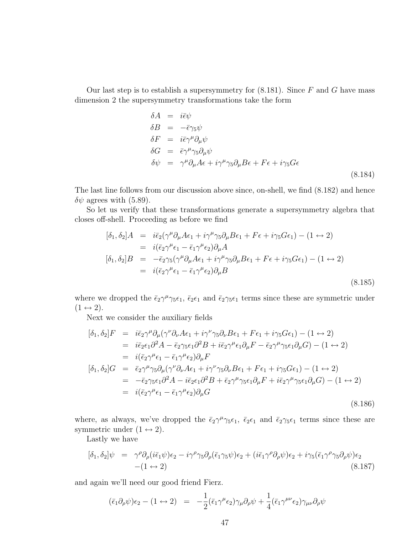Our last step is to establish a supersymmetry for  $(8.181)$ . Since F and G have mass dimension 2 the supersymmetry transformations take the form

$$
\delta A = i\bar{\epsilon}\psi
$$
  
\n
$$
\delta B = -\bar{\epsilon}\gamma_5\psi
$$
  
\n
$$
\delta F = i\bar{\epsilon}\gamma^{\mu}\partial_{\mu}\psi
$$
  
\n
$$
\delta G = \bar{\epsilon}\gamma^{\mu}\gamma_5\partial_{\mu}\psi
$$
  
\n
$$
\delta\psi = \gamma^{\mu}\partial_{\mu}A\epsilon + i\gamma^{\mu}\gamma_5\partial_{\mu}B\epsilon + F\epsilon + i\gamma_5G\epsilon
$$
\n(8.184)

The last line follows from our discussion above since, on-shell, we find (8.182) and hence  $\delta\psi$  agrees with (5.89).

So let us verify that these transformations generate a supersymmetry algebra that closes off-shell. Proceeding as before we find

$$
[\delta_1, \delta_2]A = i\bar{\epsilon}_2(\gamma^{\mu}\partial_{\mu}A\epsilon_1 + i\gamma^{\mu}\gamma_5\partial_{\mu}B\epsilon_1 + F\epsilon + i\gamma_5G\epsilon_1) - (1 \leftrightarrow 2)
$$
  
\n
$$
= i(\bar{\epsilon}_2\gamma^{\mu}\epsilon_1 - \bar{\epsilon}_1\gamma^{\mu}\epsilon_2)\partial_{\mu}A
$$
  
\n
$$
[\delta_1, \delta_2]B = -\bar{\epsilon}_2\gamma_5(\gamma^{\mu}\partial_{\mu}A\epsilon_1 + i\gamma^{\mu}\gamma_5\partial_{\mu}B\epsilon_1 + F\epsilon + i\gamma_5G\epsilon_1) - (1 \leftrightarrow 2)
$$
  
\n
$$
= i(\bar{\epsilon}_2\gamma^{\mu}\epsilon_1 - \bar{\epsilon}_1\gamma^{\mu}\epsilon_2)\partial_{\mu}B
$$
\n(8.185)

where we dropped the  $\bar{\epsilon}_2 \gamma^{\mu} \gamma_5 \epsilon_1$ ,  $\bar{\epsilon}_2 \epsilon_1$  and  $\bar{\epsilon}_2 \gamma_5 \epsilon_1$  terms since these are symmetric under  $(1 \leftrightarrow 2)$ .

Next we consider the auxiliary fields

$$
[\delta_1, \delta_2]F = i\bar{\epsilon}_2 \gamma^{\mu} \partial_{\mu} (\gamma^{\nu} \partial_{\nu} A \epsilon_1 + i\gamma^{\nu} \gamma_5 \partial_{\nu} B \epsilon_1 + F \epsilon_1 + i\gamma_5 G \epsilon_1) - (1 \leftrightarrow 2)
$$
  
\n
$$
= i\bar{\epsilon}_2 \epsilon_1 \partial^2 A - \bar{\epsilon}_2 \gamma_5 \epsilon_1 \partial^2 B + i\bar{\epsilon}_2 \gamma^{\mu} \epsilon_1 \partial_{\mu} F - \bar{\epsilon}_2 \gamma^{\mu} \gamma_5 \epsilon_1 \partial_{\mu} G) - (1 \leftrightarrow 2)
$$
  
\n
$$
= i(\bar{\epsilon}_2 \gamma^{\mu} \epsilon_1 - \bar{\epsilon}_1 \gamma^{\mu} \epsilon_2) \partial_{\mu} F
$$
  
\n
$$
[\delta_1, \delta_2]G = \bar{\epsilon}_2 \gamma^{\mu} \gamma_5 \partial_{\mu} (\gamma^{\nu} \partial_{\nu} A \epsilon_1 + i\gamma^{\nu} \gamma_5 \partial_{\nu} B \epsilon_1 + F \epsilon_1 + i\gamma_5 G \epsilon_1) - (1 \leftrightarrow 2)
$$
  
\n
$$
= -\bar{\epsilon}_2 \gamma_5 \epsilon_1 \partial^2 A - i\bar{\epsilon}_2 \epsilon_1 \partial^2 B + \bar{\epsilon}_2 \gamma^{\mu} \gamma_5 \epsilon_1 \partial_{\mu} F + i\bar{\epsilon}_2 \gamma^{\mu} \gamma_5 \epsilon_1 \partial_{\mu} G) - (1 \leftrightarrow 2)
$$
  
\n
$$
= i(\bar{\epsilon}_2 \gamma^{\mu} \epsilon_1 - \bar{\epsilon}_1 \gamma^{\mu} \epsilon_2) \partial_{\mu} G
$$
  
\n(8.186)

where, as always, we've dropped the  $\bar{\epsilon}_2 \gamma^{\mu} \gamma_5 \epsilon_1$ ,  $\bar{\epsilon}_2 \epsilon_1$  and  $\bar{\epsilon}_2 \gamma_5 \epsilon_1$  terms since these are symmetric under  $(1 \leftrightarrow 2)$ .

Lastly we have

$$
[\delta_1, \delta_2] \psi = \gamma^{\rho} \partial_{\rho} (i \bar{\epsilon}_1 \psi) \epsilon_2 - i \gamma^{\rho} \gamma_5 \partial_{\rho} (\bar{\epsilon}_1 \gamma_5 \psi) \epsilon_2 + (i \bar{\epsilon}_1 \gamma^{\rho} \partial_{\rho} \psi) \epsilon_2 + i \gamma_5 (\bar{\epsilon}_1 \gamma^{\rho} \gamma_5 \partial_{\rho} \psi) \epsilon_2 -(1 \leftrightarrow 2)
$$
\n(8.187)

and again we'll need our good friend Fierz.

$$
(\bar{\epsilon}_1 \partial_\rho \psi)\epsilon_2 - (1 \leftrightarrow 2) = -\frac{1}{2}(\bar{\epsilon}_1 \gamma^\mu \epsilon_2)\gamma_\mu \partial_\rho \psi + \frac{1}{4}(\bar{\epsilon}_1 \gamma^{\mu\nu} \epsilon_2)\gamma_{\mu\nu} \partial_\rho \psi
$$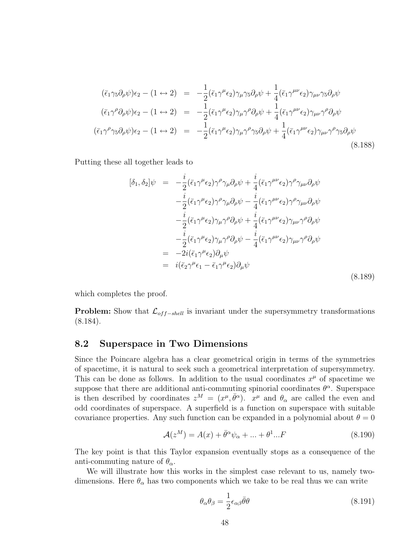$$
(\bar{\epsilon}_{1}\gamma_{5}\partial_{\rho}\psi)\epsilon_{2} - (1 \leftrightarrow 2) = -\frac{1}{2}(\bar{\epsilon}_{1}\gamma^{\mu}\epsilon_{2})\gamma_{\mu}\gamma_{5}\partial_{\rho}\psi + \frac{1}{4}(\bar{\epsilon}_{1}\gamma^{\mu\nu}\epsilon_{2})\gamma_{\mu\nu}\gamma_{5}\partial_{\rho}\psi
$$
  
\n
$$
(\bar{\epsilon}_{1}\gamma^{\rho}\partial_{\rho}\psi)\epsilon_{2} - (1 \leftrightarrow 2) = -\frac{1}{2}(\bar{\epsilon}_{1}\gamma^{\mu}\epsilon_{2})\gamma_{\mu}\gamma^{\rho}\partial_{\rho}\psi + \frac{1}{4}(\bar{\epsilon}_{1}\gamma^{\mu\nu}\epsilon_{2})\gamma_{\mu\nu}\gamma^{\rho}\partial_{\rho}\psi
$$
  
\n
$$
(\bar{\epsilon}_{1}\gamma^{\rho}\gamma_{5}\partial_{\rho}\psi)\epsilon_{2} - (1 \leftrightarrow 2) = -\frac{1}{2}(\bar{\epsilon}_{1}\gamma^{\mu}\epsilon_{2})\gamma_{\mu}\gamma^{\rho}\gamma_{5}\partial_{\rho}\psi + \frac{1}{4}(\bar{\epsilon}_{1}\gamma^{\mu\nu}\epsilon_{2})\gamma_{\mu\nu}\gamma^{\rho}\gamma_{5}\partial_{\rho}\psi
$$
\n(8.188)

Putting these all together leads to

$$
[\delta_1, \delta_2] \psi = -\frac{i}{2} (\bar{\epsilon}_1 \gamma^\mu \epsilon_2) \gamma^\rho \gamma_\mu \partial_\rho \psi + \frac{i}{4} (\bar{\epsilon}_1 \gamma^{\mu\nu} \epsilon_2) \gamma^\rho \gamma_{\mu\nu} \partial_\rho \psi - \frac{i}{2} (\bar{\epsilon}_1 \gamma^\mu \epsilon_2) \gamma^\rho \gamma_\mu \partial_\rho \psi - \frac{i}{4} (\bar{\epsilon}_1 \gamma^{\mu\nu} \epsilon_2) \gamma^\rho \gamma_{\mu\nu} \partial_\rho \psi - \frac{i}{2} (\bar{\epsilon}_1 \gamma^\mu \epsilon_2) \gamma_\mu \gamma^\rho \partial_\rho \psi + \frac{i}{4} (\bar{\epsilon}_1 \gamma^{\mu\nu} \epsilon_2) \gamma_{\mu\nu} \gamma^\rho \partial_\rho \psi - \frac{i}{2} (\bar{\epsilon}_1 \gamma^\mu \epsilon_2) \gamma_\mu \gamma^\rho \partial_\rho \psi - \frac{i}{4} (\bar{\epsilon}_1 \gamma^{\mu\nu} \epsilon_2) \gamma_{\mu\nu} \gamma^\rho \partial_\rho \psi = -2i (\bar{\epsilon}_1 \gamma^\mu \epsilon_2) \partial_\mu \psi = i (\bar{\epsilon}_2 \gamma^\mu \epsilon_1 - \bar{\epsilon}_1 \gamma^\mu \epsilon_2) \partial_\mu \psi
$$
\n(8.189)

which completes the proof.

**Problem:** Show that  $\mathcal{L}_{off-shell}$  is invariant under the supersymmetry transformations (8.184).

### 8.2 Superspace in Two Dimensions

Since the Poincare algebra has a clear geometrical origin in terms of the symmetries of spacetime, it is natural to seek such a geometrical interpretation of supersymmetry. This can be done as follows. In addition to the usual coordinates  $x^{\mu}$  of spacetime we suppose that there are additional anti-commuting spinorial coordinates  $\theta^{\alpha}$ . Superspace is then described by coordinates  $z^M = (x^{\mu}, \bar{\theta}^{\alpha})$ .  $x^{\mu}$  and  $\theta_{\alpha}$  are called the even and odd coordinates of superspace. A superfield is a function on superspace with suitable covariance properties. Any such function can be expanded in a polynomial about  $\theta = 0$ 

$$
\mathcal{A}(z^M) = A(x) + \bar{\theta}^\alpha \psi_\alpha + \dots + \theta^1 \dots F \tag{8.190}
$$

The key point is that this Taylor expansion eventually stops as a consequence of the anti-commuting nature of  $\theta_{\alpha}$ .

We will illustrate how this works in the simplest case relevant to us, namely twodimensions. Here  $\theta_{\alpha}$  has two components which we take to be real thus we can write

$$
\theta_{\alpha}\theta_{\beta} = \frac{1}{2}\epsilon_{\alpha\beta}\bar{\theta}\theta\tag{8.191}
$$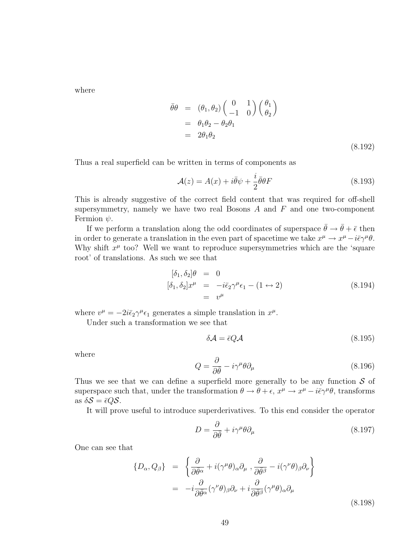where

$$
\begin{aligned}\n\bar{\theta}\theta &= (\theta_1, \theta_2) \begin{pmatrix} 0 & 1 \\ -1 & 0 \end{pmatrix} \begin{pmatrix} \theta_1 \\ \theta_2 \end{pmatrix} \\
&= \theta_1 \theta_2 - \theta_2 \theta_1 \\
&= 2\theta_1 \theta_2\n\end{aligned} \tag{8.192}
$$

Thus a real superfield can be written in terms of components as

$$
\mathcal{A}(z) = A(x) + i\bar{\theta}\psi + \frac{i}{2}\bar{\theta}\theta F \tag{8.193}
$$

This is already suggestive of the correct field content that was required for off-shell supersymmetry, namely we have two real Bosons  $A$  and  $F$  and one two-component Fermion  $\psi$ .

If we perform a translation along the odd coordinates of superspace  $\bar{\theta} \to \bar{\theta} + \bar{\epsilon}$  then in order to generate a translation in the even part of spacetime we take  $x^{\mu} \to x^{\mu} - i \bar{\epsilon} \gamma^{\mu} \theta$ . Why shift  $x^{\mu}$  too? Well we want to reproduce supersymmetries which are the 'square root' of translations. As such we see that

$$
[\delta_1, \delta_2] \theta = 0
$$
  
\n
$$
[\delta_1, \delta_2] x^{\mu} = -i \bar{\epsilon}_2 \gamma^{\mu} \epsilon_1 - (1 \leftrightarrow 2)
$$
  
\n
$$
= v^{\mu}
$$
\n(8.194)

where  $v^{\mu} = -2i\bar{\epsilon}_2\gamma^{\mu}\epsilon_1$  generates a simple translation in  $x^{\mu}$ .

Under such a transformation we see that

$$
\delta \mathcal{A} = \bar{\epsilon} Q \mathcal{A} \tag{8.195}
$$

where

$$
Q = \frac{\partial}{\partial \bar{\theta}} - i\gamma^{\mu} \theta \partial_{\mu}
$$
 (8.196)

Thus we see that we can define a superfield more generally to be any function  $S$  of superspace such that, under the transformation  $\theta \to \theta + \epsilon$ ,  $x^{\mu} \to x^{\mu} - i\bar{\epsilon}\gamma^{\mu}\theta$ , transforms as  $\delta S = \bar{\epsilon} Q S$ .

It will prove useful to introduce superderivatives. To this end consider the operator

$$
D = \frac{\partial}{\partial \bar{\theta}} + i\gamma^{\mu} \theta \partial_{\mu} \tag{8.197}
$$

One can see that

$$
\{D_{\alpha}, Q_{\beta}\} = \left\{ \frac{\partial}{\partial \bar{\theta}^{\alpha}} + i(\gamma^{\mu} \theta)_{\alpha} \partial_{\mu} , \frac{\partial}{\partial \bar{\theta}^{\beta}} - i(\gamma^{\nu} \theta)_{\beta} \partial_{\nu} \right\}
$$

$$
= -i \frac{\partial}{\partial \bar{\theta}^{\alpha}} (\gamma^{\nu} \theta)_{\beta} \partial_{\nu} + i \frac{\partial}{\partial \bar{\theta}^{\beta}} (\gamma^{\mu} \theta)_{\alpha} \partial_{\mu}
$$
(8.198)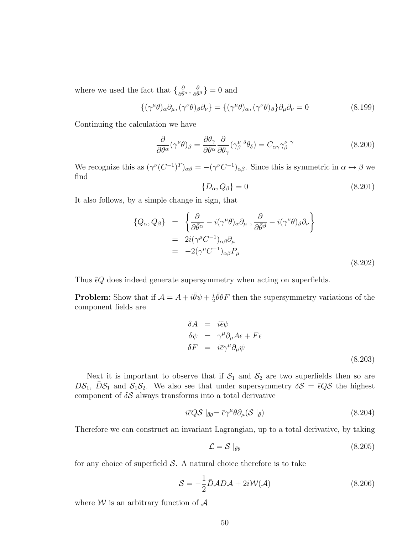where we used the fact that  $\{\frac{\partial}{\partial \theta^{\alpha}}, \frac{\partial}{\partial \theta^{\beta}}\}=0$  and

$$
\{(\gamma^{\mu}\theta)_{\alpha}\partial_{\mu},(\gamma^{\nu}\theta)_{\beta}\partial_{\nu}\}=\{(\gamma^{\mu}\theta)_{\alpha},(\gamma^{\nu}\theta)_{\beta}\}\partial_{\mu}\partial_{\nu}=0
$$
\n(8.199)

Continuing the calculation we have

$$
\frac{\partial}{\partial \bar{\theta}^{\alpha}} (\gamma^{\nu} \theta)_{\beta} = \frac{\partial \theta_{\gamma}}{\partial \bar{\theta}^{\alpha}} \frac{\partial}{\partial \theta_{\gamma}} (\gamma^{\nu}_{\beta} {}^{\delta} \theta_{\delta}) = C_{\alpha \gamma} \gamma^{\nu}_{\beta} {}^{\gamma}
$$
(8.200)

We recognize this as  $(\gamma^{\nu} (C^{-1})^T)_{\alpha\beta} = -(\gamma^{\nu} C^{-1})_{\alpha\beta}$ . Since this is symmetric in  $\alpha \leftrightarrow \beta$  we find

$$
\{D_{\alpha}, Q_{\beta}\} = 0\tag{8.201}
$$

It also follows, by a simple change in sign, that

$$
\{Q_{\alpha}, Q_{\beta}\} = \left\{ \frac{\partial}{\partial \bar{\theta}^{\alpha}} - i(\gamma^{\mu} \theta)_{\alpha} \partial_{\mu} , \frac{\partial}{\partial \bar{\theta}^{\beta}} - i(\gamma^{\nu} \theta)_{\beta} \partial_{\nu} \right\}
$$
  
\n=  $2i(\gamma^{\mu} C^{-1})_{\alpha\beta} \partial_{\mu}$   
\n=  $-2(\gamma^{\mu} C^{-1})_{\alpha\beta} P_{\mu}$  (8.202)

Thus  $\bar{\epsilon}Q$  does indeed generate supersymmetry when acting on superfields.

**Problem:** Show that if  $\mathcal{A} = A + i \bar{\theta} \psi + \frac{i}{2}$  $\frac{i}{2}\bar{\theta}\theta F$  then the supersymmetry variations of the component fields are

$$
\delta A = i\bar{\epsilon}\psi
$$
  
\n
$$
\delta\psi = \gamma^{\mu}\partial_{\mu}A\epsilon + F\epsilon
$$
  
\n
$$
\delta F = i\bar{\epsilon}\gamma^{\mu}\partial_{\mu}\psi
$$
  
\n(8.203)

Next it is important to observe that if  $S_1$  and  $S_2$  are two superfields then so are  $DS_1$ ,  $DS_1$  and  $S_1S_2$ . We also see that under supersymmetry  $\delta S = \bar{\epsilon}QS$  the highest component of  $\delta S$  always transforms into a total derivative

$$
i\bar{\epsilon}Q\mathcal{S}\mid_{\bar{\theta}\theta} = \bar{\epsilon}\gamma^{\mu}\theta\partial_{\mu}(\mathcal{S}\mid_{\bar{\theta}})
$$
\n(8.204)

Therefore we can construct an invariant Lagrangian, up to a total derivative, by taking

$$
\mathcal{L} = \mathcal{S} \mid_{\bar{\theta}\theta} \tag{8.205}
$$

for any choice of superfield  $S$ . A natural choice therefore is to take

$$
S = -\frac{1}{2}\bar{D}AD\mathcal{A} + 2i\mathcal{W}(\mathcal{A})
$$
\n(8.206)

where  $\mathcal W$  is an arbitrary function of  $\mathcal A$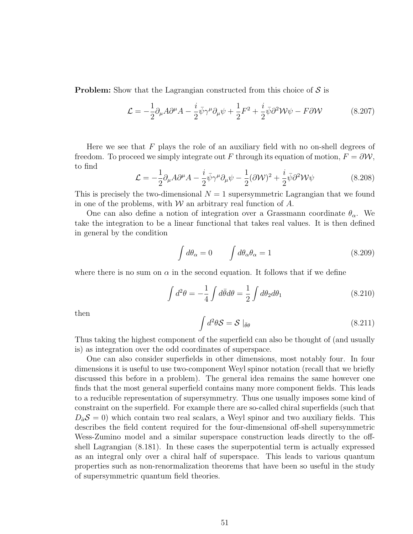**Problem:** Show that the Lagrangian constructed from this choice of  $S$  is

$$
\mathcal{L} = -\frac{1}{2}\partial_{\mu}A\partial^{\mu}A - \frac{i}{2}\bar{\psi}\gamma^{\mu}\partial_{\mu}\psi + \frac{1}{2}F^{2} + \frac{i}{2}\bar{\psi}\partial^{2}\mathcal{W}\psi - F\partial\mathcal{W}
$$
 (8.207)

Here we see that  $F$  plays the role of an auxiliary field with no on-shell degrees of freedom. To proceed we simply integrate out F through its equation of motion,  $F = \partial \mathcal{W}$ , to find

$$
\mathcal{L} = -\frac{1}{2}\partial_{\mu}A\partial^{\mu}A - \frac{i}{2}\bar{\psi}\gamma^{\mu}\partial_{\mu}\psi - \frac{1}{2}(\partial\mathcal{W})^2 + \frac{i}{2}\bar{\psi}\partial^2\mathcal{W}\psi
$$
 (8.208)

This is precisely the two-dimensional  $N = 1$  supersymmetric Lagrangian that we found in one of the problems, with  $W$  an arbitrary real function of  $A$ .

One can also define a notion of integration over a Grassmann coordinate  $\theta_{\alpha}$ . We take the integration to be a linear functional that takes real values. It is then defined in general by the condition

$$
\int d\theta_{\alpha} = 0 \qquad \int d\theta_{\alpha} \theta_{\alpha} = 1 \tag{8.209}
$$

where there is no sum on  $\alpha$  in the second equation. It follows that if we define

$$
\int d^2\theta = -\frac{1}{4} \int d\bar{\theta} d\theta = \frac{1}{2} \int d\theta_2 d\theta_1
$$
\n(8.210)

then

$$
\int d^2\theta \mathcal{S} = \mathcal{S} \mid_{\bar{\theta}\theta} \tag{8.211}
$$

Thus taking the highest component of the superfield can also be thought of (and usually is) as integration over the odd coordinates of superspace.

One can also consider superfields in other dimensions, most notably four. In four dimensions it is useful to use two-component Weyl spinor notation (recall that we briefly discussed this before in a problem). The general idea remains the same however one finds that the most general superfield contains many more component fields. This leads to a reducible representation of supersymmetry. Thus one usually imposes some kind of constraint on the superfield. For example there are so-called chiral superfields (such that  $D_aS = 0$ ) which contain two real scalars, a Weyl spinor and two auxiliary fields. This describes the field content required for the four-dimensional off-shell supersymmetric Wess-Zumino model and a similar superspace construction leads directly to the offshell Lagrangian (8.181). In these cases the superpotential term is actually expressed as an integral only over a chiral half of superspace. This leads to various quantum properties such as non-renormalization theorems that have been so useful in the study of supersymmetric quantum field theories.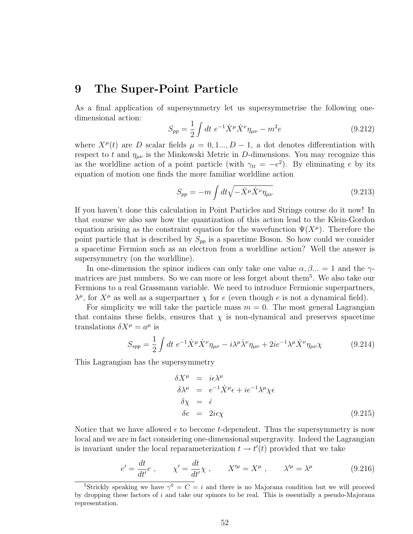### 9 The Super-Point Particle

As a final application of supersymmetry let us supersymmetrise the following onedimensional action:

$$
S_{pp} = \frac{1}{2} \int dt \ e^{-1} \dot{X}^{\mu} \dot{X}^{\nu} \eta_{\mu\nu} - m^2 e \tag{9.212}
$$

where  $X^{\mu}(t)$  are D scalar fields  $\mu = 0, 1, ..., D-1$ , a dot denotes differentiation with respect to t and  $\eta_{\mu\nu}$  is the Minkowski Metric in D-dimensions. You may recognize this as the worldline action of a point particle (with  $\gamma_{tt} = -e^2$ ). By eliminating e by its equation of motion one finds the more familiar worldline action

$$
S_{pp} = -m \int dt \sqrt{-\dot{X}^{\mu} \dot{X}^{\nu} \eta_{\mu\nu}} \tag{9.213}
$$

If you haven't done this calculation in Point Particles and Strings course do it now! In that course we also saw how the quantization of this action lead to the Klein-Gordon equation arising as the constraint equation for the wavefunction  $\Psi(X^{\mu})$ . Therefore the point particle that is described by  $S_{pp}$  is a spacetime Boson. So how could we consider a spacetime Fermion such as an electron from a worldline action? Well the answer is supersymmetry (on the worldline).

In one-dimension the spinor indices can only take one value  $\alpha, \beta, \ldots = 1$  and the  $\gamma$ matrices are just numbers. So we can more or less forget about them<sup>5</sup>. We also take our Fermions to a real Grassmann variable. We need to introduce Fermionic superpartners,  $\lambda^{\mu}$ , for  $X^{\mu}$  as well as a superpartner  $\chi$  for e (even though e is not a dynamical field).

For simplicity we will take the particle mass  $m = 0$ . The most general Lagrangian that contains these fields, ensures that  $\chi$  is non-dynamical and preserves spacetime translations  $\delta X^{\mu} = a^{\mu}$  is

$$
S_{spp} = \frac{1}{2} \int dt \ e^{-1} \dot{X}^{\mu} \dot{X}^{\nu} \eta_{\mu\nu} - i \lambda^{\mu} \dot{\lambda}^{\nu} \eta_{\mu\nu} + 2ie^{-1} \lambda^{\mu} \dot{X}^{\nu} \eta_{\mu\nu} \chi \tag{9.214}
$$

This Lagrangian has the supersymmetry

$$
\delta X^{\mu} = i\epsilon \lambda^{\mu}
$$
  
\n
$$
\delta \lambda^{\mu} = e^{-1} \dot{X}^{\mu} \epsilon + i e^{-1} \lambda^{\mu} \chi \epsilon
$$
  
\n
$$
\delta \chi = \dot{\epsilon}
$$
  
\n
$$
\delta e = 2i\epsilon \chi
$$
\n(9.215)

Notice that we have allowed  $\epsilon$  to become t-dependent. Thus the supersymmetry is now local and we are in fact considering one-dimensional supergravity. Indeed the Lagrangian is invariant under the local reparameterization  $t \to t'(t)$  provided that we take

$$
e' = \frac{dt}{dt'}e , \qquad \chi' = \frac{dt}{dt'}\chi , \qquad X'^{\mu} = X^{\mu} , \qquad \lambda'^{\mu} = \lambda^{\mu} \tag{9.216}
$$

<sup>&</sup>lt;sup>5</sup>Strickly speaking we have  $\gamma^0 = C = i$  and there is no Majorana condition but we will proceed by dropping these factors of i and take our spinors to be real. This is essentially a pseudo-Majorana representation.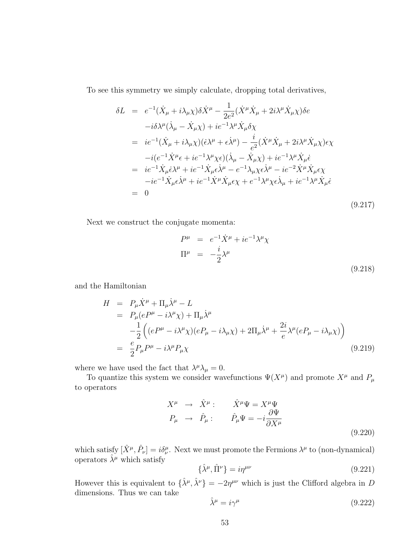To see this symmetry we simply calculate, dropping total derivatives,

$$
\delta L = e^{-1}(\dot{X}_{\mu} + i\lambda_{\mu}\chi)\delta\dot{X}^{\mu} - \frac{1}{2e^{2}}(\dot{X}^{\mu}\dot{X}_{\mu} + 2i\lambda^{\mu}\dot{X}_{\mu}\chi)\delta e
$$
  
\n
$$
-i\delta\lambda^{\mu}(\dot{\lambda}_{\mu} - \dot{X}_{\mu}\chi) + ie^{-1}\lambda^{\mu}\dot{X}_{\mu}\delta\chi
$$
  
\n
$$
= ie^{-1}(\dot{X}_{\mu} + i\lambda_{\mu}\chi)(\dot{\epsilon}\lambda^{\mu} + \dot{\epsilon}\dot{\lambda}^{\mu}) - \frac{i}{e^{2}}(\dot{X}^{\mu}\dot{X}_{\mu} + 2i\lambda^{\mu}\dot{X}_{\mu}\chi)\epsilon\chi
$$
  
\n
$$
-i(e^{-1}\dot{X}^{\mu}\epsilon + ie^{-1}\lambda^{\mu}\chi\epsilon)(\dot{\lambda}_{\mu} - \dot{X}_{\mu}\chi) + ie^{-1}\lambda^{\mu}\dot{X}_{\mu}\dot{\epsilon}
$$
  
\n
$$
= ie^{-1}\dot{X}_{\mu}\dot{\epsilon}\lambda^{\mu} + ie^{-1}\dot{X}_{\mu}\dot{\epsilon}\dot{\lambda}^{\mu} - e^{-1}\lambda_{\mu}\chi\epsilon\dot{\lambda}^{\mu} - ie^{-2}\dot{X}^{\mu}\dot{X}_{\mu}\epsilon\chi
$$
  
\n
$$
-ie^{-1}\dot{X}_{\mu}\epsilon\dot{\lambda}^{\mu} + ie^{-1}\dot{X}^{\mu}\dot{X}_{\mu}\epsilon\chi + e^{-1}\lambda^{\mu}\chi\epsilon\dot{\lambda}_{\mu} + ie^{-1}\lambda^{\mu}\dot{X}_{\mu}\dot{\epsilon}
$$
  
\n
$$
= 0
$$
  
\n(9.217)

Next we construct the conjugate momenta:

$$
P^{\mu} = e^{-1}\dot{X}^{\mu} + ie^{-1}\lambda^{\mu}\chi
$$
  

$$
\Pi^{\mu} = -\frac{i}{2}\lambda^{\mu}
$$
 (9.218)

and the Hamiltonian

$$
H = P_{\mu}\dot{X}^{\mu} + \Pi_{\mu}\dot{\lambda}^{\mu} - L
$$
  
\n
$$
= P_{\mu}(eP^{\mu} - i\lambda^{\mu}\chi) + \Pi_{\mu}\dot{\lambda}^{\mu}
$$
  
\n
$$
- \frac{1}{2} \left( (eP^{\mu} - i\lambda^{\mu}\chi)(eP_{\mu} - i\lambda_{\mu}\chi) + 2\Pi_{\mu}\dot{\lambda}^{\mu} + \frac{2i}{e}\lambda^{\mu}(eP_{\mu} - i\lambda_{\mu}\chi) \right)
$$
  
\n
$$
= \frac{e}{2}P_{\mu}P^{\mu} - i\lambda^{\mu}P_{\mu}\chi
$$
\n(9.219)

where we have used the fact that  $\lambda^{\mu} \lambda_{\mu} = 0$ .

To quantize this system we consider wavefunctions  $\Psi(X^{\mu})$  and promote  $X^{\mu}$  and  $P_{\mu}$ to operators

$$
X^{\mu} \rightarrow \hat{X}^{\mu}: \qquad \hat{X}^{\mu}\Psi = X^{\mu}\Psi
$$
  

$$
P_{\mu} \rightarrow \hat{P}_{\mu}: \qquad \hat{P}_{\mu}\Psi = -i\frac{\partial\Psi}{\partial X^{\mu}}
$$
  
(9.220)

which satisfy  $[\hat{X}^{\mu}, \hat{P}_{\nu}] = i\delta^{\mu}_{\nu}$ . Next we must promote the Fermions  $\lambda^{\mu}$  to (non-dynamical) operators  $\hat{\lambda}^{\mu}$  which satisfy

$$
\{\hat{\lambda}^{\mu}, \hat{\Pi}^{\nu}\} = i\eta^{\mu\nu} \tag{9.221}
$$

However this is equivalent to  $\{\hat{\lambda}^{\mu}, \hat{\lambda}^{\nu}\} = -2\eta^{\mu\nu}$  which is just the Clifford algebra in D dimensions. Thus we can take

$$
\hat{\lambda}^{\mu} = i\gamma^{\mu} \tag{9.222}
$$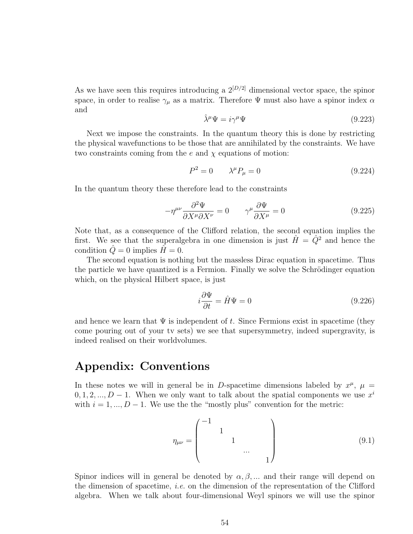As we have seen this requires introducing a  $2^{[D/2]}$  dimensional vector space, the spinor space, in order to realise  $\gamma_{\mu}$  as a matrix. Therefore  $\Psi$  must also have a spinor index  $\alpha$ and

$$
\hat{\lambda}^{\mu}\Psi = i\gamma^{\mu}\Psi \tag{9.223}
$$

Next we impose the constraints. In the quantum theory this is done by restricting the physical wavefunctions to be those that are annihilated by the constraints. We have two constraints coming from the  $e$  and  $\chi$  equations of motion:

$$
P^2 = 0 \qquad \lambda^\mu P_\mu = 0 \tag{9.224}
$$

In the quantum theory these therefore lead to the constraints

$$
-\eta^{\mu\nu}\frac{\partial^2 \Psi}{\partial X^{\mu}\partial X^{\nu}} = 0 \qquad \gamma^{\mu}\frac{\partial \Psi}{\partial X^{\mu}} = 0
$$
 (9.225)

Note that, as a consequence of the Clifford relation, the second equation implies the first. We see that the superalgebra in one dimension is just  $\hat{H} = \hat{Q}^2$  and hence the condition  $\hat{Q} = 0$  implies  $\hat{H} = 0$ .

The second equation is nothing but the massless Dirac equation in spacetime. Thus the particle we have quantized is a Fermion. Finally we solve the Schrödinger equation which, on the physical Hilbert space, is just

$$
i\frac{\partial \Psi}{\partial t} = \hat{H}\Psi = 0\tag{9.226}
$$

and hence we learn that  $\Psi$  is independent of t. Since Fermions exist in spacetime (they come pouring out of your tv sets) we see that supersymmetry, indeed supergravity, is indeed realised on their worldvolumes.

### Appendix: Conventions

In these notes we will in general be in D-spacetime dimensions labeled by  $x^{\mu}$ ,  $\mu =$  $0, 1, 2, ..., D - 1$ . When we only want to talk about the spatial components we use  $x<sup>i</sup>$ with  $i = 1, ..., D - 1$ . We use the the "mostly plus" convention for the metric:

$$
\eta_{\mu\nu} = \begin{pmatrix} -1 & & & & \\ & 1 & & & \\ & & 1 & & \\ & & & \cdots & \\ & & & & 1 \end{pmatrix}
$$
 (9.1)

Spinor indices will in general be denoted by  $\alpha, \beta, \dots$  and their range will depend on the dimension of spacetime, *i.e.* on the dimension of the representation of the Clifford algebra. When we talk about four-dimensional Weyl spinors we will use the spinor